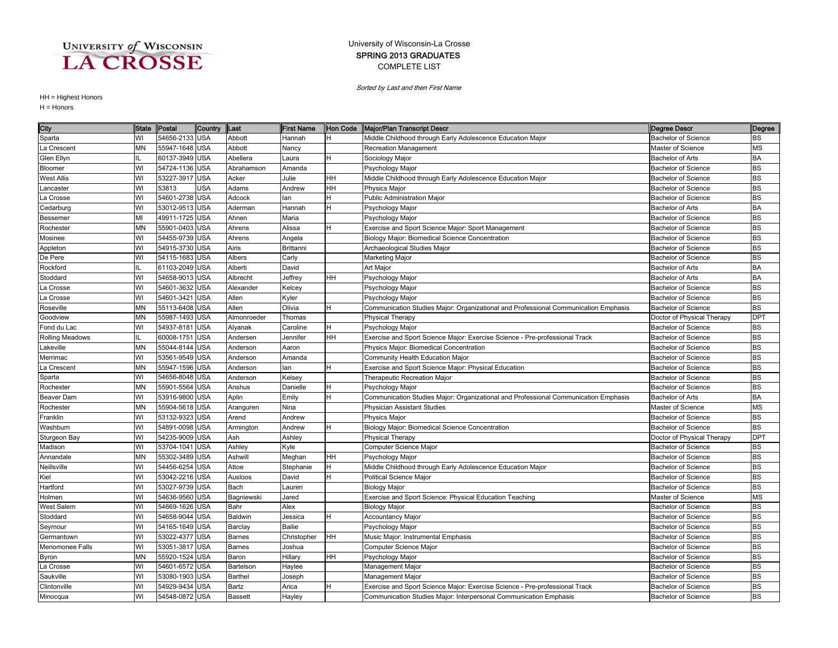### COMPLETE LIST SPRING 2013 GRADUATES University of Wisconsin-La Crosse

Sorted by Last and then First Name

| City              | <b>State</b> | Postal         | Country    | Last           | <b>First Name</b> | Hon Code | Major/Plan Transcript Descr                                                         | <b>Degree Descr</b>        | Degree     |
|-------------------|--------------|----------------|------------|----------------|-------------------|----------|-------------------------------------------------------------------------------------|----------------------------|------------|
| Sparta            | WI           | 54656-2133 USA |            | Abbott         | Hannah            | H        | Middle Childhood through Early Adolescence Education Major                          | <b>Bachelor of Science</b> | BS         |
| La Crescent       | ΜN           | 55947-1648 USA |            | Abbott         | Nancy             |          | Recreation Management                                                               | Master of Science          | ΜS         |
| Glen Ellyn        |              | 60137-3949 USA |            | Abellera       | Laura             | н        | Sociology Major                                                                     | Bachelor of Arts           | BA         |
| Bloomer           | WI           | 54724-1136 USA |            | Abrahamson     | Amanda            |          | Psychology Major                                                                    | <b>Bachelor of Science</b> | <b>BS</b>  |
| <b>West Allis</b> | WI           | 53227-3917 USA |            | Acker          | Julie             | HH       | Middle Childhood through Early Adolescence Education Major                          | <b>Bachelor of Science</b> | <b>BS</b>  |
| Lancaster         | WI           | 53813          | USA        | Adams          | Andrew            | HH       | <b>Physics Major</b>                                                                | <b>Bachelor of Science</b> | <b>BS</b>  |
| La Crosse         | WI           | 54601-2738 USA |            | Adcock         | lan               | H.       | <b>Public Administration Major</b>                                                  | <b>Bachelor of Science</b> | <b>BS</b>  |
| Cedarburg         | WI           | 53012-9513 USA |            | Aderman        | Hannah            | H        | Psychology Major                                                                    | <b>Bachelor of Arts</b>    | BA         |
| Bessemer          | MI           | 49911-1725 USA |            | Ahnen          | Maria             |          | Psychology Major                                                                    | <b>Bachelor of Science</b> | <b>BS</b>  |
| Rochester         | <b>MN</b>    | 55901-0403 USA |            | Ahrens         | Alissa            |          | Exercise and Sport Science Major: Sport Management                                  | <b>Bachelor of Science</b> | BS         |
| Mosinee           | WI           | 54455-9739 USA |            | Ahrens         | Angela            |          | Biology Major: Biomedical Science Concentration                                     | <b>Bachelor of Science</b> | BS         |
| Appleton          | WI           | 54915-3730 USA |            | Airis          | Brittanni         |          | Archaeological Studies Major                                                        | Bachelor of Science        | <b>BS</b>  |
| De Pere           | WI           | 54115-1683 USA |            | Albers         | Carly             |          | Marketing Major                                                                     | <b>Bachelor of Science</b> | <b>BS</b>  |
| Rockford          |              | 61103-2049 USA |            | Alberti        | David             |          | Art Major                                                                           | <b>Bachelor of Arts</b>    | <b>BA</b>  |
| Stoddard          | WI           | 54658-9013 USA |            | Albrecht       | Jeffrey           | HH       | Psychology Major                                                                    | <b>Bachelor of Arts</b>    | <b>BA</b>  |
| La Crosse         | WI           | 54601-3632 USA |            | Alexander      | Kelcey            |          | Psychology Major                                                                    | <b>Bachelor of Science</b> | <b>BS</b>  |
| La Crosse         | WI           | 54601-3421     | <b>USA</b> | Allen          | Kyler             |          | Psychology Major                                                                    | <b>Bachelor of Science</b> | <b>BS</b>  |
| Roseville         | <b>MN</b>    | 55113-6408 USA |            | Allen          | Olivia            | H        | Communication Studies Major: Organizational and Professional Communication Emphasis | Bachelor of Science        | BS         |
| Goodview          | MN           | 55987-1493 USA |            | Almonroeder    | Thomas            |          | Physical Therapy                                                                    | Doctor of Physical Therapy | <b>DPT</b> |
| Fond du Lac       | WI           | 54937-8181 USA |            | Alyanak        | Caroline          | H        | Psychology Major                                                                    | <b>Bachelor of Science</b> | <b>BS</b>  |
| Rolling Meadows   |              | 60008-1751 USA |            | Andersen       | Jennifer          | HH       | Exercise and Sport Science Major: Exercise Science - Pre-professional Track         | <b>Bachelor of Science</b> | <b>BS</b>  |
| Lakeville         | <b>MN</b>    | 55044-8144 USA |            | Anderson       | Aaron             |          | Physics Major: Biomedical Concentration                                             | <b>Bachelor of Science</b> | <b>BS</b>  |
| Merrimac          | WI           | 53561-9549 USA |            | Anderson       | Amanda            |          | Community Health Education Major                                                    | <b>Bachelor of Science</b> | <b>BS</b>  |
| La Crescent       | ΜN           | 55947-1596 USA |            | Anderson       | lan               | H        | Exercise and Sport Science Major: Physical Education                                | <b>Bachelor of Science</b> | BS         |
| Sparta            | WI           | 54656-8048 USA |            | Anderson       | Kelsey            |          | Therapeutic Recreation Major                                                        | Bachelor of Science        | <b>BS</b>  |
| Rochester         | <b>MN</b>    | 55901-5564     | <b>USA</b> | Anshus         | Danielle          | H.       | Psychology Major                                                                    | <b>Bachelor of Science</b> | <b>BS</b>  |
| Beaver Dam        | WI           | 53916-9800 USA |            | Aplin          | Emily             |          | Communication Studies Major: Organizational and Professional Communication Emphasis | <b>Bachelor of Arts</b>    | BA         |
| Rochester         | MN           | 55904-5618 USA |            | Aranguren      | Nina              |          | <b>Physician Assistant Studies</b>                                                  | Master of Science          | MS         |
| Franklin          | WI           | 53132-9323 USA |            | Arend          | Andrew            |          | Physics Major                                                                       | <b>Bachelor of Science</b> | <b>BS</b>  |
| Washburn          | WI           | 54891-0098 USA |            | Armington      | Andrew            | H.       | Biology Major: Biomedical Science Concentration                                     | <b>Bachelor of Science</b> | <b>BS</b>  |
| Sturgeon Bay      | WI           | 54235-9009     | <b>USA</b> | Ash            | Ashley            |          | <b>Physical Therapy</b>                                                             | Doctor of Physical Therapy | <b>DPT</b> |
| Madison           | WI           | 53704-1041     | <b>USA</b> | Ashley         | Kyle              |          | Computer Science Major                                                              | <b>Bachelor of Science</b> | <b>BS</b>  |
| Annandale         | MN           | 55302-3489 USA |            | Ashwill        | Meghan            | HH       | Psychology Major                                                                    | Bachelor of Science        | BS         |
| Neillsville       | WI           | 54456-6254     | <b>USA</b> | Attoe          | Stephanie         | H.       | Middle Childhood through Early Adolescence Education Major                          | <b>Bachelor of Science</b> | BS         |
| Kiel              | WI           | 53042-2216 USA |            | Ausloos        | David             |          | Political Science Major                                                             | <b>Bachelor of Science</b> | BS         |
| Hartford          | WI           | 53027-9739 USA |            | Bach           | auren             |          | <b>Biology Major</b>                                                                | <b>Bachelor of Science</b> | <b>BS</b>  |
| Holmen            | WI           | 54636-9560 USA |            | Bagniewski     | Jared             |          | Exercise and Sport Science: Physical Education Teaching                             | Master of Science          | <b>MS</b>  |
| <b>West Salem</b> | WI           | 54669-1626 USA |            | Bahr           | Alex              |          | <b>Biology Major</b>                                                                | <b>Bachelor of Science</b> | <b>BS</b>  |
| Stoddard          | WI           | 54658-9044     | <b>USA</b> | Baldwin        | Jessica           | H        | Accountancy Major                                                                   | <b>Bachelor of Science</b> | <b>BS</b>  |
| Seymour           | WI           | 54165-1649 USA |            | Barclay        | <b>Bailie</b>     |          | Psychology Major                                                                    | <b>Bachelor of Science</b> | <b>BS</b>  |
| Germantown        | WI           | 53022-4377     | <b>USA</b> | Barnes         | Christopher       | HH       | Music Major: Instrumental Emphasis                                                  | Bachelor of Science        | BS         |
| Menomonee Falls   | WI           | 53051-3817     | <b>USA</b> | <b>Barnes</b>  | Joshua            |          | Computer Science Major                                                              | <b>Bachelor of Science</b> | <b>BS</b>  |
| Byron             | ΜN           | 55920-1524     | <b>USA</b> | Baron          | Hillary           | HH       | Psychology Major                                                                    | <b>Bachelor of Science</b> | BS         |
| La Crosse         | WI           | 54601-6572 USA |            | Bartelson      | Haylee            |          | Management Major                                                                    | <b>Bachelor of Science</b> | <b>BS</b>  |
| Saukville         | WI           | 53080-1903 USA |            | Barthel        | Joseph            |          | Management Major                                                                    | <b>Bachelor of Science</b> | <b>BS</b>  |
| Clintonville      | WI           | 54929-9434 USA |            | Bartz          | Arica             | H.       | Exercise and Sport Science Major: Exercise Science - Pre-professional Track         | <b>Bachelor of Science</b> | <b>BS</b>  |
| Minocqua          | WI           | 54548-0872 USA |            | <b>Bassett</b> | Hayley            |          | Communication Studies Major: Interpersonal Communication Emphasis                   | <b>Bachelor of Science</b> | <b>BS</b>  |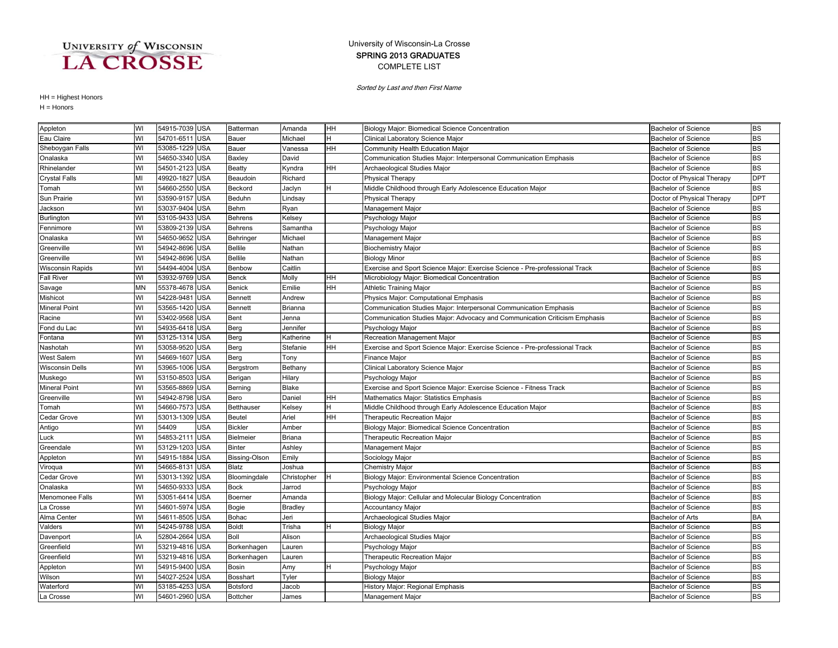### COMPLETE LIST SPRING 2013 GRADUATES University of Wisconsin-La Crosse

Sorted by Last and then First Name

| Appleton                | WI | 54915-7039 USA |            | Batterman        | Amanda         | HH        | Biology Major: Biomedical Science Concentration                             | Bachelor of Science        | <b>BS</b>  |
|-------------------------|----|----------------|------------|------------------|----------------|-----------|-----------------------------------------------------------------------------|----------------------------|------------|
| Eau Claire              | WI | 54701-6511 USA |            | Bauer            | Michael        | н         | Clinical Laboratory Science Major                                           | <b>Bachelor of Science</b> | <b>BS</b>  |
| Sheboygan Falls         | WI | 53085-1229 USA |            | Bauer            | Vanessa        | ΗH        | Community Health Education Major                                            | <b>Bachelor of Science</b> | <b>BS</b>  |
| Onalaska                | WI | 54650-3340 USA |            | Baxley           | David          |           | Communication Studies Major: Interpersonal Communication Emphasis           | <b>Bachelor of Science</b> | <b>BS</b>  |
| Rhinelander             | WI | 54501-2123 USA |            | Beatty           | Kyndra         | HН        | Archaeological Studies Major                                                | <b>Bachelor of Science</b> | <b>BS</b>  |
| <b>Crystal Falls</b>    | MI | 49920-1827     | <b>USA</b> | Beaudoin         | Richard        |           | <b>Physical Therapy</b>                                                     | Doctor of Physical Therapy | <b>DPT</b> |
| Tomah                   | WI | 54660-2550     | <b>USA</b> | Beckord          | Jaclyn         | H         | Middle Childhood through Early Adolescence Education Major                  | <b>Bachelor of Science</b> | <b>BS</b>  |
| Sun Prairie             | WI | 53590-9157     | <b>USA</b> | Beduhn           | Lindsay        |           | Physical Therapy                                                            | Doctor of Physical Therapy | <b>DPT</b> |
| Jackson                 | WI | 53037-9404     | <b>USA</b> | Behm             | Ryan           |           | Management Major                                                            | <b>Bachelor of Science</b> | <b>BS</b>  |
| Burlington              | WI | 53105-9433 USA |            | <b>Behrens</b>   | Kelsey         |           | Psychology Major                                                            | <b>Bachelor of Science</b> | <b>BS</b>  |
| Fennimore               | WI | 53809-2139 USA |            | <b>Behrens</b>   | Samantha       |           | Psychology Major                                                            | <b>Bachelor of Science</b> | <b>BS</b>  |
| Onalaska                | WI | 54650-9652 USA |            | Behringer        | Michael        |           | Management Major                                                            | <b>Bachelor of Science</b> | <b>BS</b>  |
| Greenville              | WI | 54942-8696 USA |            | <b>Bellile</b>   | Nathan         |           | <b>Biochemistry Major</b>                                                   | <b>Bachelor of Science</b> | <b>BS</b>  |
| Greenville              | WI | 54942-8696 USA |            | <b>Bellile</b>   | Nathan         |           | <b>Biology Minor</b>                                                        | <b>Bachelor of Science</b> | <b>BS</b>  |
| <b>Wisconsin Rapids</b> | WI | 54494-4004     | <b>USA</b> | Benbow           | Caitlin        |           | Exercise and Sport Science Major: Exercise Science - Pre-professional Track | <b>Bachelor of Science</b> | <b>BS</b>  |
| <b>Fall River</b>       | WI | 53932-9769     | <b>USA</b> | <b>Benck</b>     | Molly          | HH        | Microbiology Major: Biomedical Concentration                                | <b>Bachelor of Science</b> | <b>BS</b>  |
| Savage                  | ΜN | 55378-4678     | <b>USA</b> | <b>Benick</b>    | Emilie         | HН        | Athletic Training Major                                                     | <b>Bachelor of Science</b> | <b>BS</b>  |
| Mishicot                | WI | 54228-9481     | <b>USA</b> | Bennett          | Andrew         |           | Physics Major: Computational Emphasis                                       | <b>Bachelor of Science</b> | <b>BS</b>  |
| <b>Mineral Point</b>    | WI | 53565-1420 USA |            | <b>Bennett</b>   | <b>Brianna</b> |           | Communication Studies Major: Interpersonal Communication Emphasis           | <b>Bachelor of Science</b> | <b>BS</b>  |
| Racine                  | WI | 53402-9568 USA |            | <b>Bent</b>      | Jenna          |           | Communication Studies Major: Advocacy and Communication Criticism Emphasis  | <b>Bachelor of Science</b> | <b>BS</b>  |
| Fond du Lac             | WI | 54935-6418 USA |            | Berg             | Jennifer       |           | Psychology Major                                                            | Bachelor of Science        | <b>BS</b>  |
| Fontana                 | WI | 53125-1314     | <b>USA</b> | Berg             | Katherine      |           | Recreation Management Major                                                 | <b>Bachelor of Science</b> | <b>BS</b>  |
| Nashotah                | WI | 53058-9520     | <b>USA</b> | Berg             | Stefanie       | <b>HH</b> | Exercise and Sport Science Major: Exercise Science - Pre-professional Track | <b>Bachelor of Science</b> | <b>BS</b>  |
| West Salem              | WI | 54669-1607     | <b>USA</b> | Berg             | Tony           |           | <b>Finance Major</b>                                                        | <b>Bachelor of Science</b> | <b>BS</b>  |
| <b>Wisconsin Dells</b>  | WI | 53965-1006 USA |            | Bergstrom        | Bethany        |           | Clinical Laboratory Science Major                                           | <b>Bachelor of Science</b> | <b>BS</b>  |
| Muskego                 | WI | 53150-8503 USA |            | Berigan          | Hilary         |           | Psychology Major                                                            | Bachelor of Science        | <b>BS</b>  |
| <b>Mineral Point</b>    | WI | 53565-8869 USA |            | Berning          | Blake          |           | Exercise and Sport Science Major: Exercise Science - Fitness Track          | Bachelor of Science        | <b>BS</b>  |
| Greenville              | WI | 54942-8798 USA |            | Bero             | Daniel         | HH        | Mathematics Major: Statistics Emphasis                                      | <b>Bachelor of Science</b> | <b>BS</b>  |
| Tomah                   | WI | 54660-7573 USA |            | Betthauser       | Kelsey         | H         | Middle Childhood through Early Adolescence Education Major                  | <b>Bachelor of Science</b> | <b>BS</b>  |
| Cedar Grove             | WI | 53013-1309 USA |            | Beutel           | Ariel          | HH        | Therapeutic Recreation Major                                                | <b>Bachelor of Science</b> | <b>BS</b>  |
| Antigo                  | WI | 54409          | <b>USA</b> | <b>Bickler</b>   | Amber          |           | <b>Biology Major: Biomedical Science Concentration</b>                      | <b>Bachelor of Science</b> | <b>BS</b>  |
| uck.                    | WI | 54853-2111     | <b>USA</b> | <b>Bielmeier</b> | <b>Briana</b>  |           | Therapeutic Recreation Major                                                | <b>Bachelor of Science</b> | <b>BS</b>  |
| Greendale               | WI | 53129-1203     | <b>USA</b> | <b>Binter</b>    | Ashley         |           | Management Major                                                            | <b>Bachelor of Science</b> | <b>BS</b>  |
| Appleton                | WI | 54915-1884 USA |            | Bissing-Olson    | Emily          |           | Sociology Major                                                             | <b>Bachelor of Science</b> | <b>BS</b>  |
| Viroqua                 | WI | 54665-8131 USA |            | Blatz            | Joshua         |           | <b>Chemistry Major</b>                                                      | <b>Bachelor of Science</b> | <b>BS</b>  |
| Cedar Grove             | WI | 53013-1392 USA |            | Bloomingdale     | Christopher    |           | Biology Major: Environmental Science Concentration                          | <b>Bachelor of Science</b> | <b>BS</b>  |
| Onalaska                | WI | 54650-9333 USA |            | <b>Bock</b>      | Jarrod         |           | Psychology Major                                                            | <b>Bachelor of Science</b> | <b>BS</b>  |
| Menomonee Falls         | WI | 53051-6414     | <b>USA</b> | Boerner          | Amanda         |           | Biology Major: Cellular and Molecular Biology Concentration                 | <b>Bachelor of Science</b> | <b>BS</b>  |
| La Crosse               | WI | 54601-5974 USA |            | <b>Bogie</b>     | Bradley        |           | <b>Accountancy Major</b>                                                    | Bachelor of Science        | <b>BS</b>  |
| Alma Center             | WI | 54611-8505     | <b>USA</b> | <b>Bohac</b>     | Jeri           |           | Archaeological Studies Major                                                | <b>Bachelor of Arts</b>    | <b>BA</b>  |
| Valders                 | WI | 54245-9788 USA |            | <b>Boldt</b>     | Trisha         |           | <b>Biology Major</b>                                                        | <b>Bachelor of Science</b> | <b>BS</b>  |
| Davenport               | IA | 52804-2664 USA |            | Boll             | Alison         |           | Archaeological Studies Major                                                | Bachelor of Science        | <b>BS</b>  |
| Greenfield              | WI | 53219-4816 USA |            | Borkenhagen      | Lauren         |           | Psychology Major                                                            | <b>Bachelor of Science</b> | <b>BS</b>  |
| Greenfield              | WI | 53219-4816 USA |            | Borkenhagen      | Lauren         |           | Therapeutic Recreation Major                                                | <b>Bachelor of Science</b> | <b>BS</b>  |
| Appleton                | WI | 54915-9400 USA |            | <b>Bosin</b>     | Amy            | H.        | Psychology Major                                                            | Bachelor of Science        | <b>BS</b>  |
| Wilson                  | WI | 54027-2524     | <b>USA</b> | Bosshart         | Tyler          |           | <b>Biology Major</b>                                                        | <b>Bachelor of Science</b> | <b>BS</b>  |
| Waterford               | WI | 53185-4253 USA |            | <b>Botsford</b>  | Jacob          |           | History Major: Regional Emphasis                                            | <b>Bachelor of Science</b> | <b>BS</b>  |
| La Crosse               | WI | 54601-2960 USA |            | <b>Bottcher</b>  | James          |           | Management Major                                                            | <b>Bachelor of Science</b> | <b>BS</b>  |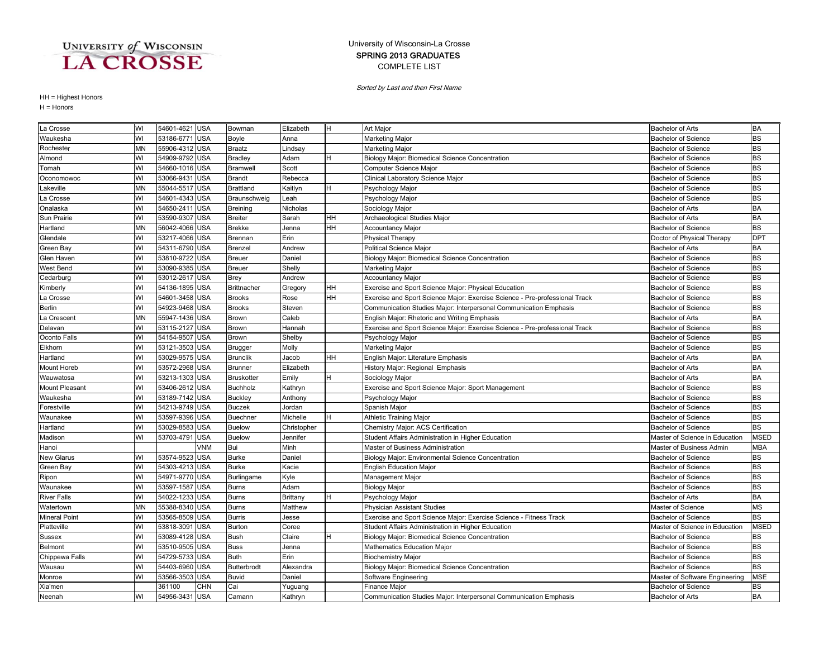### COMPLETE LIST SPRING 2013 GRADUATES University of Wisconsin-La Crosse

Sorted by Last and then First Name

| La Crosse            | WI        | 54601-4621 USA |            | Bowman             | Elizabeth   | H  | Art Major                                                                   | <b>Bachelor of Arts</b>        | <b>BA</b>   |
|----------------------|-----------|----------------|------------|--------------------|-------------|----|-----------------------------------------------------------------------------|--------------------------------|-------------|
| Waukesha             | WI        | 53186-6771     | <b>USA</b> | Boyle              | Anna        |    | Marketing Major                                                             | <b>Bachelor of Science</b>     | <b>BS</b>   |
| Rochester            | MΝ        | 55906-4312 USA |            | Braatz             | Lindsay     |    | Marketing Major                                                             | <b>Bachelor of Science</b>     | <b>BS</b>   |
| Almond               | WI        | 54909-9792 USA |            | <b>Bradley</b>     | Adam        |    | Biology Major: Biomedical Science Concentration                             | <b>Bachelor of Science</b>     | <b>BS</b>   |
| Tomah                | WI        | 54660-1016 USA |            | Bramwell           | Scott       |    | Computer Science Major                                                      | <b>Bachelor of Science</b>     | <b>BS</b>   |
| Oconomowoc           | WI        | 53066-9431     | <b>USA</b> | <b>Brandt</b>      | Rebecca     |    | Clinical Laboratory Science Major                                           | <b>Bachelor of Science</b>     | <b>BS</b>   |
| Lakeville            | <b>MN</b> | 55044-5517 USA |            | <b>Brattland</b>   | Kaitlyn     |    | Psychology Major                                                            | <b>Bachelor of Science</b>     | <b>BS</b>   |
| La Crosse            | WI        | 54601-4343 USA |            | Braunschweig       | Leah        |    | Psychology Major                                                            | <b>Bachelor of Science</b>     | <b>BS</b>   |
| Onalaska             | WI        | 54650-241      | <b>USA</b> | <b>Breining</b>    | Nicholas    |    | Sociology Major                                                             | <b>Bachelor of Arts</b>        | <b>BA</b>   |
| Sun Prairie          | WI        | 53590-9307     | <b>USA</b> | <b>Breiter</b>     | Sarah       | HH | Archaeological Studies Major                                                | <b>Bachelor of Arts</b>        | <b>BA</b>   |
| Hartland             | MΝ        | 56042-4066 USA |            | <b>Brekke</b>      | Jenna       | HН | Accountancy Major                                                           | <b>Bachelor of Science</b>     | <b>BS</b>   |
| Glendale             | WI        | 53217-4066 USA |            | Brennan            | Erin        |    | <b>Physical Therapy</b>                                                     | Doctor of Physical Therapy     | <b>DPT</b>  |
| Green Bay            | WI        | 54311-6790 USA |            | Brenzel            | Andrew      |    | Political Science Major                                                     | <b>Bachelor of Arts</b>        | <b>BA</b>   |
| Glen Haven           | WI        | 53810-9722 USA |            | <b>Breuer</b>      | Daniel      |    | Biology Major: Biomedical Science Concentration                             | <b>Bachelor of Science</b>     | <b>BS</b>   |
| West Bend            | WI        | 53090-9385     | <b>USA</b> | <b>Breuer</b>      | Shelly      |    | Marketing Major                                                             | <b>Bachelor of Science</b>     | <b>BS</b>   |
| Cedarburg            | WI        | 53012-2617     | <b>USA</b> | <b>Brey</b>        | Andrew      |    | <b>Accountancy Major</b>                                                    | <b>Bachelor of Science</b>     | <b>BS</b>   |
| Kimberly             | WI        | 54136-1895     | USA        | <b>Brittnacher</b> | Gregory     | HН | Exercise and Sport Science Major: Physical Education                        | <b>Bachelor of Science</b>     | <b>BS</b>   |
| La Crosse            | WI        | 54601-3458     | <b>USA</b> | <b>Brooks</b>      | Rose        | HН | Exercise and Sport Science Major: Exercise Science - Pre-professional Track | <b>Bachelor of Science</b>     | <b>BS</b>   |
| Berlin               | WI        | 54923-9468 USA |            | <b>Brooks</b>      | Steven      |    | Communication Studies Major: Interpersonal Communication Emphasis           | <b>Bachelor of Science</b>     | <b>BS</b>   |
| La Crescent          | <b>MN</b> | 55947-1436 USA |            | Brown              | Caleb       |    | English Major: Rhetoric and Writing Emphasis                                | <b>Bachelor of Arts</b>        | <b>BA</b>   |
| Delavan              | WI        | 53115-2127 USA |            | Brown              | Hannah      |    | Exercise and Sport Science Major: Exercise Science - Pre-professional Track | <b>Bachelor of Science</b>     | <b>BS</b>   |
| Oconto Falls         | WI        | 54154-9507     | <b>USA</b> | Brown              | Shelby      |    | Psychology Major                                                            | <b>Bachelor of Science</b>     | <b>BS</b>   |
| Elkhorn              | WI        | 53121-3503 USA |            | <b>Brugger</b>     | Molly       |    | Marketing Major                                                             | <b>Bachelor of Science</b>     | <b>BS</b>   |
| Hartland             | WI        | 53029-9575 USA |            | <b>Brunclik</b>    | Jacob       | HH | English Major: Literature Emphasis                                          | <b>Bachelor of Arts</b>        | <b>BA</b>   |
| Mount Horeb          | WI        | 53572-2968     | <b>USA</b> | <b>Brunner</b>     | Elizabeth   |    | History Major: Regional Emphasis                                            | <b>Bachelor of Arts</b>        | <b>BA</b>   |
| Wauwatosa            | WI        | 53213-1303 USA |            | <b>Bruskotter</b>  | Emily       |    | Sociology Major                                                             | <b>Bachelor of Arts</b>        | <b>BA</b>   |
| Mount Pleasant       | WI        | 53406-2612 USA |            | Buchholz           | Kathryn     |    | Exercise and Sport Science Major: Sport Management                          | <b>Bachelor of Science</b>     | <b>BS</b>   |
| Waukesha             | WI        | 53189-7142 USA |            | <b>Buckley</b>     | Anthony     |    | Psychology Major                                                            | <b>Bachelor of Science</b>     | <b>BS</b>   |
| Forestville          | WI        | 54213-9749 USA |            | <b>Buczek</b>      | Jordan      |    | Spanish Major                                                               | <b>Bachelor of Science</b>     | <b>BS</b>   |
| Waunakee             | WI        | 53597-9396 USA |            | <b>Buechner</b>    | Michelle    |    | <b>Athletic Training Major</b>                                              | <b>Bachelor of Science</b>     | <b>BS</b>   |
| Hartland             | WI        | 53029-8583     | <b>USA</b> | <b>Buelow</b>      | Christopher |    | Chemistry Major: ACS Certification                                          | <b>Bachelor of Science</b>     | <b>BS</b>   |
| Madison              | WI        | 53703-4791     | <b>USA</b> | <b>Buelow</b>      | Jennifer    |    | Student Affairs Administration in Higher Education                          | Master of Science in Education | <b>MSED</b> |
| Hanoi                |           |                | <b>VNM</b> | Bui                | Minh        |    | Master of Business Administration                                           | Master of Business Admin       | <b>MBA</b>  |
| <b>New Glarus</b>    | WI        | 53574-9523 USA |            | <b>Burke</b>       | Daniel      |    | Biology Major: Environmental Science Concentration                          | <b>Bachelor of Science</b>     | <b>BS</b>   |
| Green Bay            | WI        | 54303-4213 USA |            | <b>Burke</b>       | Kacie       |    | <b>English Education Major</b>                                              | <b>Bachelor of Science</b>     | <b>BS</b>   |
| Ripon                | WI        | 54971-9770 USA |            | Burlingame         | Kyle        |    | Management Major                                                            | <b>Bachelor of Science</b>     | <b>BS</b>   |
| Waunakee             | WI        | 53597-1587 USA |            | <b>Burns</b>       | Adam        |    | <b>Biology Major</b>                                                        | <b>Bachelor of Science</b>     | <b>BS</b>   |
| <b>River Falls</b>   | WI        | 54022-1233     | <b>USA</b> | <b>Burns</b>       | Brittany    |    | Psychology Major                                                            | <b>Bachelor of Arts</b>        | <b>BA</b>   |
| Watertown            | MN        | 55388-8340 USA |            | <b>Burns</b>       | Matthew     |    | <b>Physician Assistant Studies</b>                                          | Master of Science              | <b>MS</b>   |
| <b>Mineral Point</b> | WI        | 53565-8509     | <b>USA</b> | <b>Burris</b>      | Jesse       |    | Exercise and Sport Science Major: Exercise Science - Fitness Track          | <b>Bachelor of Science</b>     | <b>BS</b>   |
| Platteville          | WI        | 53818-3091     | <b>USA</b> | Burton             | Coree       |    | Student Affairs Administration in Higher Education                          | Master of Science in Education | MSED        |
| Sussex               | WI        | 53089-4128 USA |            | <b>Bush</b>        | Claire      |    | Biology Major: Biomedical Science Concentration                             | <b>Bachelor of Science</b>     | <b>BS</b>   |
| Belmont              | WI        | 53510-9505 USA |            | <b>Buss</b>        | Jenna       |    | Mathematics Education Major                                                 | <b>Bachelor of Science</b>     | <b>BS</b>   |
| Chippewa Falls       | WI        | 54729-5733 USA |            | <b>Buth</b>        | Erin        |    | <b>Biochemistry Major</b>                                                   | <b>Bachelor of Science</b>     | <b>BS</b>   |
| Wausau               | WI        | 54403-6960 USA |            | <b>Butterbrodt</b> | Alexandra   |    | Biology Major: Biomedical Science Concentration                             | <b>Bachelor of Science</b>     | <b>BS</b>   |
| Monroe               | WI        | 53566-3503 USA |            | <b>Buvid</b>       | Daniel      |    | Software Engineering                                                        | Master of Software Engineering | <b>MSE</b>  |
| Xia'men              |           | 361100         | <b>CHN</b> | Cai                | Yuguang     |    | Finance Major                                                               | <b>Bachelor of Science</b>     | <b>BS</b>   |
| Neenah               | WI        | 54956-3431 USA |            | Camann             | Kathrvn     |    | Communication Studies Major: Interpersonal Communication Emphasis           | <b>Bachelor of Arts</b>        | <b>BA</b>   |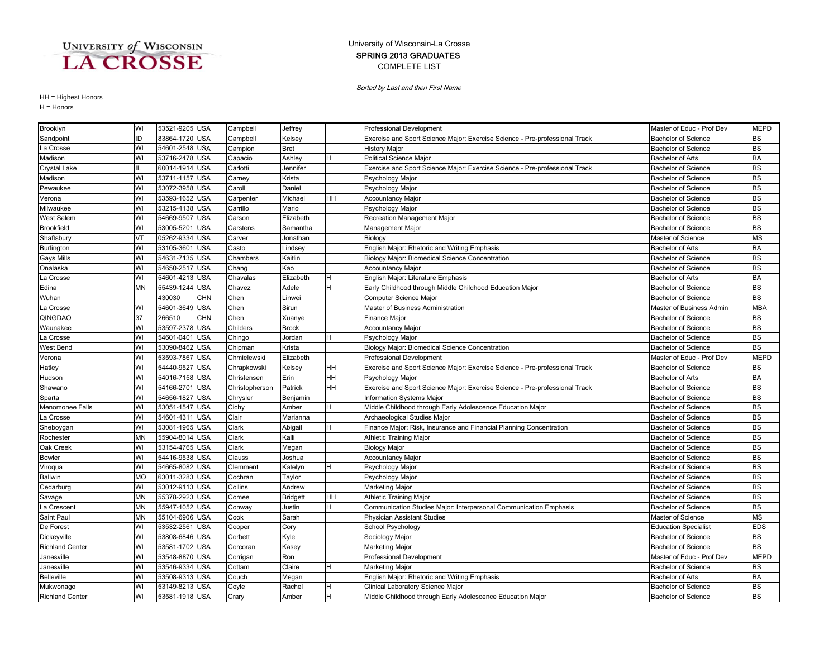### COMPLETE LIST SPRING 2013 GRADUATES University of Wisconsin-La Crosse

Sorted by Last and then First Name

| Brooklyn               | WI        | 53521-9205 USA           | Campbell       | Jeffrey         |    | Professional Development                                                    | Master of Educ - Prof Dev   | <b>MEPD</b> |
|------------------------|-----------|--------------------------|----------------|-----------------|----|-----------------------------------------------------------------------------|-----------------------------|-------------|
| Sandpoint              | ID        | 83864-1720 USA           | Campbell       | Kelsey          |    | Exercise and Sport Science Major: Exercise Science - Pre-professional Track | <b>Bachelor of Science</b>  | <b>BS</b>   |
| La Crosse              | WI        | 54601-2548 USA           | Campion        | Bret            |    | <b>History Major</b>                                                        | <b>Bachelor of Science</b>  | <b>BS</b>   |
| Madison                | WI        | 53716-2478 USA           | Capacio        | Ashley          |    | <b>Political Science Major</b>                                              | Bachelor of Arts            | <b>BA</b>   |
| Crystal Lake           |           | 60014-1914 USA           | Carlotti       | Jennifer        |    | Exercise and Sport Science Major: Exercise Science - Pre-professional Track | <b>Bachelor of Science</b>  | <b>BS</b>   |
| Madison                | WI        | 53711-1157 USA           | Carney         | Krista          |    | Psychology Major                                                            | <b>Bachelor of Science</b>  | <b>BS</b>   |
| Pewaukee               | WI        | 53072-3958 USA           | Caroll         | Daniel          |    | Psychology Major                                                            | <b>Bachelor of Science</b>  | <b>BS</b>   |
| Verona                 | WI        | 53593-1652 USA           | Carpenter      | Michael         | HH | <b>Accountancy Major</b>                                                    | <b>Bachelor of Science</b>  | <b>BS</b>   |
| Milwaukee              | WI        | 53215-4138 USA           | Carrillo       | Mario           |    | Psychology Major                                                            | <b>Bachelor of Science</b>  | <b>BS</b>   |
| West Salem             | WI        | 54669-9507<br><b>USA</b> | Carson         | Elizabeth       |    | Recreation Management Major                                                 | <b>Bachelor of Science</b>  | <b>BS</b>   |
| Brookfield             | WI        | 53005-5201<br><b>USA</b> | Carstens       | Samantha        |    | Management Major                                                            | <b>Bachelor of Science</b>  | <b>BS</b>   |
| Shaftsbury             | VT        | 05262-9334 USA           | Carver         | Jonathan        |    | Biology                                                                     | Master of Science           | <b>MS</b>   |
| Burlington             | WI        | 53105-3601<br><b>USA</b> | Casto          | Lindsey         |    | English Major: Rhetoric and Writing Emphasis                                | <b>Bachelor of Arts</b>     | <b>BA</b>   |
| Gays Mills             | WI        | 54631-7135 USA           | Chambers       | Kaitlin         |    | Biology Major: Biomedical Science Concentration                             | <b>Bachelor of Science</b>  | <b>BS</b>   |
| Onalaska               | WI        | 54650-2517 USA           | Chang          | Kao             |    | <b>Accountancy Major</b>                                                    | <b>Bachelor of Science</b>  | <b>BS</b>   |
| La Crosse              | WI        | 54601-4213 USA           | Chavalas       | Elizabeth       |    | English Major: Literature Emphasis                                          | <b>Bachelor of Arts</b>     | <b>BA</b>   |
| Edina                  | <b>MN</b> | 55439-1244 USA           | Chavez         | Adele           |    | Early Childhood through Middle Childhood Education Major                    | <b>Bachelor of Science</b>  | <b>BS</b>   |
| Wuhan                  |           | 430030<br><b>CHN</b>     | Chen           | Linwei          |    | Computer Science Major                                                      | <b>Bachelor of Science</b>  | <b>BS</b>   |
| La Crosse              | WI        | 54601-3649 USA           | Chen           | Sirun           |    | Master of Business Administration                                           | Master of Business Admin    | <b>MBA</b>  |
| QINGDAO                | 37        | 266510<br><b>CHN</b>     | Chen           | Xuanye          |    | Finance Major                                                               | <b>Bachelor of Science</b>  | <b>BS</b>   |
| Waunakee               | WI        | 53597-2378 USA           | Childers       | <b>Brock</b>    |    | Accountancy Major                                                           | <b>Bachelor of Science</b>  | <b>BS</b>   |
| La Crosse              | WI        | 54601-0401<br><b>USA</b> | Chingo         | Jordan          |    | Psychology Major                                                            | <b>Bachelor of Science</b>  | <b>BS</b>   |
| <b>West Bend</b>       | WI        | 53090-8462 USA           | Chipman        | Krista          |    | Biology Major: Biomedical Science Concentration                             | <b>Bachelor of Science</b>  | <b>BS</b>   |
| Verona                 | WI        | <b>USA</b><br>53593-7867 | Chmielewski    | Elizabeth       |    | <b>Professional Development</b>                                             | Master of Educ - Prof Dev   | <b>MEPD</b> |
| Hatley                 | WI        | 54440-9527<br><b>USA</b> | Chrapkowski    | Kelsey          | HН | Exercise and Sport Science Major: Exercise Science - Pre-professional Track | <b>Bachelor of Science</b>  | <b>BS</b>   |
| Hudson                 | WI        | 54016-7158 USA           | Christensen    | Erin            | HΗ | Psychology Major                                                            | <b>Bachelor of Arts</b>     | <b>BA</b>   |
| Shawano                | WI        | 54166-2701 USA           | Christopherson | Patrick         | HH | Exercise and Sport Science Major: Exercise Science - Pre-professional Track | <b>Bachelor of Science</b>  | <b>BS</b>   |
| Sparta                 | WI        | 54656-1827 USA           | Chrysler       | Benjamin        |    | Information Systems Major                                                   | <b>Bachelor of Science</b>  | <b>BS</b>   |
| Menomonee Falls        | WI        | 53051-1547 USA           | Cichy          | Amber           | н  | Middle Childhood through Early Adolescence Education Major                  | <b>Bachelor of Science</b>  | <b>BS</b>   |
| La Crosse              | WI        | 54601-431<br><b>USA</b>  | Clair          | Marianna        |    | Archaeological Studies Major                                                | <b>Bachelor of Science</b>  | <b>BS</b>   |
| Sheboygan              | WI        | 53081-1965 USA           | Clark          | Abigail         |    | Finance Major: Risk, Insurance and Financial Planning Concentration         | <b>Bachelor of Science</b>  | <b>BS</b>   |
| Rochester              | <b>MN</b> | 55904-801<br><b>USA</b>  | Clark          | Kalli           |    | <b>Athletic Training Major</b>                                              | <b>Bachelor of Science</b>  | <b>BS</b>   |
| Oak Creek              | WI        | 53154-4765 USA           | Clark          | Megan           |    | <b>Biology Major</b>                                                        | <b>Bachelor of Science</b>  | <b>BS</b>   |
| Bowler                 | WI        | 54416-9538 USA           | Clauss         | Joshua          |    | <b>Accountancy Major</b>                                                    | <b>Bachelor of Science</b>  | <b>BS</b>   |
| Viroqua                | WI        | 54665-8082 USA           | Clemment       | Katelyn         |    | Psychology Major                                                            | <b>Bachelor of Science</b>  | <b>BS</b>   |
| Ballwin                | <b>MO</b> | 63011-3283 USA           | Cochran        | Taylor          |    | Psychology Major                                                            | <b>Bachelor of Science</b>  | <b>BS</b>   |
| Cedarburg              | WI        | 53012-9113 USA           | Collins        | Andrew          |    | Marketing Major                                                             | <b>Bachelor of Science</b>  | <b>BS</b>   |
| Savage                 | <b>MN</b> | 55378-2923 USA           | Comee          | <b>Bridgett</b> | HH | <b>Athletic Training Major</b>                                              | <b>Bachelor of Science</b>  | <b>BS</b>   |
| La Crescent            | MN        | 55947-1052 USA           | Conway         | Justin          | н  | Communication Studies Major: Interpersonal Communication Emphasis           | <b>Bachelor of Science</b>  | <b>BS</b>   |
| Saint Paul             | MN        | 55104-6906 USA           | Cook           | Sarah           |    | Physician Assistant Studies                                                 | Master of Science           | <b>MS</b>   |
| De Forest              | WI        | 53532-2561<br><b>USA</b> | Cooper         | Cory            |    | School Psychology                                                           | <b>Education Specialist</b> | <b>EDS</b>  |
| Dickeyville            | WI        | 53808-6846 USA           | Corbett        | Kyle            |    | Sociology Major                                                             | <b>Bachelor of Science</b>  | <b>BS</b>   |
| <b>Richland Center</b> | WI        | 53581-1702 USA           | Corcoran       | Kasey           |    | Marketing Major                                                             | <b>Bachelor of Science</b>  | <b>BS</b>   |
| Janesville             | WI        | 53548-8870 USA           | Corrigan       | Ron             |    | Professional Development                                                    | Master of Educ - Prof Dev   | <b>MEPD</b> |
| Janesville             | WI        | 53546-9334 USA           | Cottam         | Claire          | н  | Marketing Major                                                             | <b>Bachelor of Science</b>  | <b>BS</b>   |
| <b>Belleville</b>      | WI        | 53508-9313 USA           | Couch          | Megan           |    | English Major: Rhetoric and Writing Emphasis                                | <b>Bachelor of Arts</b>     | <b>BA</b>   |
| Mukwonago              | WI        | 53149-8213 USA           | Coyle          | Rachel          | н  | Clinical Laboratory Science Major                                           | <b>Bachelor of Science</b>  | <b>BS</b>   |
| <b>Richland Center</b> | WI        | 53581-1918 USA           | Crarv          | Amber           | H. | Middle Childhood through Early Adolescence Education Major                  | <b>Bachelor of Science</b>  | <b>BS</b>   |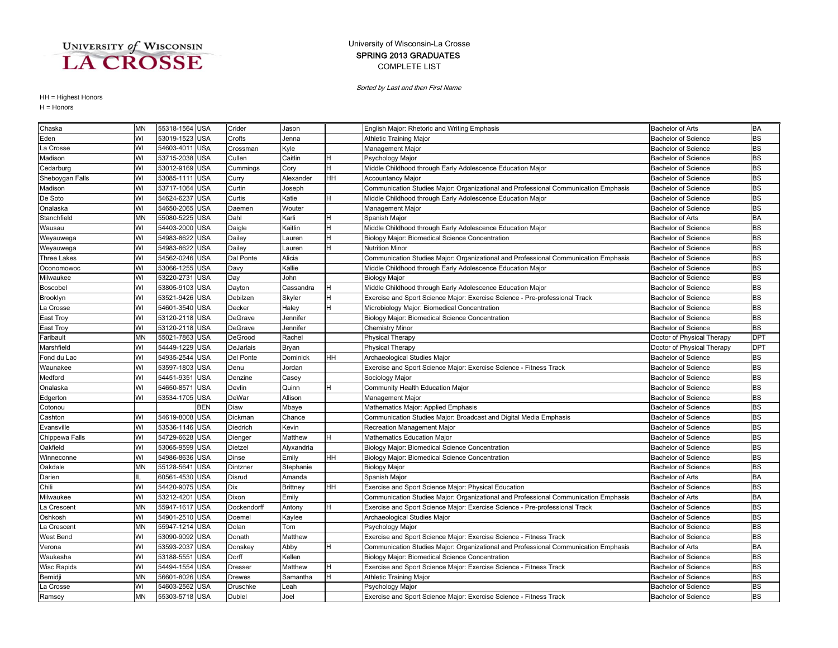### COMPLETE LIST SPRING 2013 GRADUATES University of Wisconsin-La Crosse

Sorted by Last and then First Name

| Chaska             | MN        | 55318-1564 USA |            | Crider         | Jason           |    | English Major: Rhetoric and Writing Emphasis                                        | <b>Bachelor of Arts</b>    | <b>BA</b>  |
|--------------------|-----------|----------------|------------|----------------|-----------------|----|-------------------------------------------------------------------------------------|----------------------------|------------|
| Eden               | WI        | 53019-1523     | <b>USA</b> | Crofts         | Jenna           |    | Athletic Training Major                                                             | <b>Bachelor of Science</b> | <b>BS</b>  |
| La Crosse          | WI        | 54603-4011 USA |            | Crossman       | Kyle            |    | Management Major                                                                    | <b>Bachelor of Science</b> | <b>BS</b>  |
| Madison            | WI        | 53715-2038 USA |            | Cullen         | Caitlin         | н  | Psychology Major                                                                    | <b>Bachelor of Science</b> | <b>BS</b>  |
| Cedarburg          | WI        | 53012-9169 USA |            | Cummings       | Cory            | H  | Middle Childhood through Early Adolescence Education Major                          | <b>Bachelor of Science</b> | <b>BS</b>  |
| Sheboygan Falls    | WI        | 53085-1111     | <b>USA</b> | Curry          | Alexander       | HH | <b>Accountancy Major</b>                                                            | <b>Bachelor of Science</b> | <b>BS</b>  |
| Madison            | WI        | 53717-1064     | <b>USA</b> | Curtin         | Joseph          |    | Communication Studies Major: Organizational and Professional Communication Emphasis | <b>Bachelor of Science</b> | <b>BS</b>  |
| De Soto            | WI        | 54624-6237     | <b>USA</b> | Curtis         | Katie           | H  | Middle Childhood through Early Adolescence Education Major                          | <b>Bachelor of Science</b> | <b>BS</b>  |
| Onalaska           | WI        | 54650-2065     | <b>USA</b> | Daemen         | Wouter          |    | Management Major                                                                    | <b>Bachelor of Science</b> | <b>BS</b>  |
| Stanchfield        | MN        | 55080-5225     | <b>USA</b> | Dahl           | Karli           | н  | Spanish Major                                                                       | <b>Bachelor of Arts</b>    | <b>BA</b>  |
| Wausau             | WI        | 54403-2000 USA |            | Daigle         | Kaitlin         |    | Middle Childhood through Early Adolescence Education Major                          | <b>Bachelor of Science</b> | <b>BS</b>  |
| Weyauwega          | WI        | 54983-8622     | <b>USA</b> | Dailey         | Lauren          | н  | Biology Major: Biomedical Science Concentration                                     | <b>Bachelor of Science</b> | <b>BS</b>  |
| Weyauwega          | WI        | 54983-8622     | <b>USA</b> | Dailey         | Lauren          |    | <b>Nutrition Minor</b>                                                              | <b>Bachelor of Science</b> | <b>BS</b>  |
| <b>Three Lakes</b> | WI        | 54562-0246 USA |            | Dal Ponte      | Alicia          |    | Communication Studies Major: Organizational and Professional Communication Emphasis | <b>Bachelor of Science</b> | <b>BS</b>  |
| Oconomowoc         | WI        | 53066-1255     | <b>USA</b> | Davy           | Kallie          |    | Middle Childhood through Early Adolescence Education Major                          | <b>Bachelor of Science</b> | <b>BS</b>  |
| Milwaukee          | WI        | 53220-2731     | <b>USA</b> | Day            | John            |    | <b>Biology Major</b>                                                                | <b>Bachelor of Science</b> | <b>BS</b>  |
| <b>Boscobel</b>    | WI        | 53805-9103     | <b>USA</b> | Dayton         | Cassandra       |    | Middle Childhood through Early Adolescence Education Major                          | <b>Bachelor of Science</b> | <b>BS</b>  |
| Brooklyn           | WI        | 53521-9426 USA |            | Debilzen       | Skyler          | н  | Exercise and Sport Science Major: Exercise Science - Pre-professional Track         | <b>Bachelor of Science</b> | <b>BS</b>  |
| La Crosse          | WI        | 54601-3540 USA |            | Decker         | Haley           | н  | Microbiology Major: Biomedical Concentration                                        | <b>Bachelor of Science</b> | <b>BS</b>  |
| <b>East Troy</b>   | WI        | 53120-2118 USA |            | DeGrave        | Jennifer        |    | Biology Major: Biomedical Science Concentration                                     | <b>Bachelor of Science</b> | <b>BS</b>  |
| East Troy          | WI        | 53120-2118 USA |            | DeGrave        | Jennifer        |    | <b>Chemistry Minor</b>                                                              | <b>Bachelor of Science</b> | <b>BS</b>  |
| Faribault          | <b>MN</b> | 55021-7863     | <b>USA</b> | DeGrood        | Rachel          |    | <b>Physical Therapy</b>                                                             | Doctor of Physical Therapy | <b>DPT</b> |
| Marshfield         | WI        | 54449-1229     | <b>USA</b> | DeJarlais      | Bryan           |    | <b>Physical Therapy</b>                                                             | Doctor of Physical Therapy | <b>DPT</b> |
| Fond du Lac        | WI        | 54935-2544     | <b>USA</b> | Del Ponte      | Dominick        | HH | Archaeological Studies Major                                                        | <b>Bachelor of Science</b> | <b>BS</b>  |
| Waunakee           | WI        | 53597-1803     | USA        | Denu           | Jordan          |    | Exercise and Sport Science Major: Exercise Science - Fitness Track                  | <b>Bachelor of Science</b> | <b>BS</b>  |
| Medford            | WI        | 54451-935      | <b>USA</b> | Denzine        | Casey           |    | Sociology Major                                                                     | <b>Bachelor of Science</b> | <b>BS</b>  |
| Onalaska           | WI        | 54650-8571     | <b>USA</b> | Devlin         | Quinn           |    | Community Health Education Major                                                    | <b>Bachelor of Science</b> | <b>BS</b>  |
| Edgerton           | WI        | 53534-1705 USA |            | DeWar          | Allison         |    | Management Major                                                                    | <b>Bachelor of Science</b> | <b>BS</b>  |
| Cotonou            |           |                | <b>BEN</b> | Diaw           | Mbaye           |    | Mathematics Major: Applied Emphasis                                                 | <b>Bachelor of Science</b> | <b>BS</b>  |
| Cashton            | WI        | 54619-8008 USA |            | Dickman        | Chance          |    | Communication Studies Major: Broadcast and Digital Media Emphasis                   | <b>Bachelor of Science</b> | <b>BS</b>  |
| Evansville         | WI        | 53536-1146 USA |            | Diedrich       | Kevin           |    | Recreation Management Major                                                         | <b>Bachelor of Science</b> | <b>BS</b>  |
| Chippewa Falls     | WI        | 54729-6628     | <b>USA</b> | Dienger        | Matthew         |    | <b>Mathematics Education Maior</b>                                                  | <b>Bachelor of Science</b> | <b>BS</b>  |
| Oakfield           | WI        | 53065-9599     | <b>USA</b> | Dietzel        | Alyxandria      |    | Biology Major: Biomedical Science Concentration                                     | <b>Bachelor of Science</b> | <b>BS</b>  |
| Winneconne         | WI        | 54986-8636     | <b>USA</b> | Dinse          | Emily           | HН | Biology Major: Biomedical Science Concentration                                     | <b>Bachelor of Science</b> | <b>BS</b>  |
| Oakdale            | MN        | 55128-5641     | <b>USA</b> | Dintzner       | Stephanie       |    | <b>Biology Major</b>                                                                | <b>Bachelor of Science</b> | <b>BS</b>  |
| Darien             |           | 60561-4530 USA |            | Disrud         | Amanda          |    | Spanish Major                                                                       | <b>Bachelor of Arts</b>    | <b>BA</b>  |
| Chili              | WI        | 54420-9075 USA |            | <b>Dix</b>     | <b>Brittney</b> | HН | Exercise and Sport Science Major: Physical Education                                | <b>Bachelor of Science</b> | <b>BS</b>  |
| Milwaukee          | WI        | 53212-4201     | <b>USA</b> | Dixon          | Emily           |    | Communication Studies Major: Organizational and Professional Communication Emphasis | <b>Bachelor of Arts</b>    | <b>BA</b>  |
| La Crescent        | <b>MN</b> | 55947-1617     | <b>USA</b> | Dockendorff    | Antony          |    | Exercise and Sport Science Major: Exercise Science - Pre-professional Track         | <b>Bachelor of Science</b> | <b>BS</b>  |
| Oshkosh            | WI        | 54901-2510     | <b>USA</b> | Doemel         | Kaylee          |    | Archaeological Studies Major                                                        | <b>Bachelor of Science</b> | <b>BS</b>  |
| La Crescent        | <b>MN</b> | 55947-1214     | <b>USA</b> | Dolan          | Tom             |    | Psychology Major                                                                    | <b>Bachelor of Science</b> | <b>BS</b>  |
| West Bend          | WI        | 53090-9092     | <b>USA</b> | Donath         | Matthew         |    | Exercise and Sport Science Major: Exercise Science - Fitness Track                  | <b>Bachelor of Science</b> | <b>BS</b>  |
| Verona             | WI        | 53593-2037 USA |            | Donskey        | Abby            | н  | Communication Studies Major: Organizational and Professional Communication Emphasis | <b>Bachelor of Arts</b>    | <b>BA</b>  |
| Waukesha           | WI        | 53188-555      | <b>USA</b> | Dorff          | Kellen          |    | Biology Major: Biomedical Science Concentration                                     | <b>Bachelor of Science</b> | <b>BS</b>  |
| <b>Wisc Rapids</b> | WI        | 54494-1554     | <b>USA</b> | <b>Dresser</b> | Matthew         | н  | Exercise and Sport Science Major: Exercise Science - Fitness Track                  | <b>Bachelor of Science</b> | <b>BS</b>  |
| Bemidji            | <b>MN</b> | 56601-8026     | <b>USA</b> | <b>Drewes</b>  | Samantha        | H  | Athletic Training Major                                                             | <b>Bachelor of Science</b> | <b>BS</b>  |
| La Crosse          | WI        | 54603-2562     | <b>USA</b> | Druschke       | Leah            |    | Psychology Major                                                                    | <b>Bachelor of Science</b> | <b>BS</b>  |
| Ramsev             | <b>MN</b> | 55303-5718 USA |            | Dubiel         | Joel            |    | Exercise and Sport Science Major: Exercise Science - Fitness Track                  | <b>Bachelor of Science</b> | <b>BS</b>  |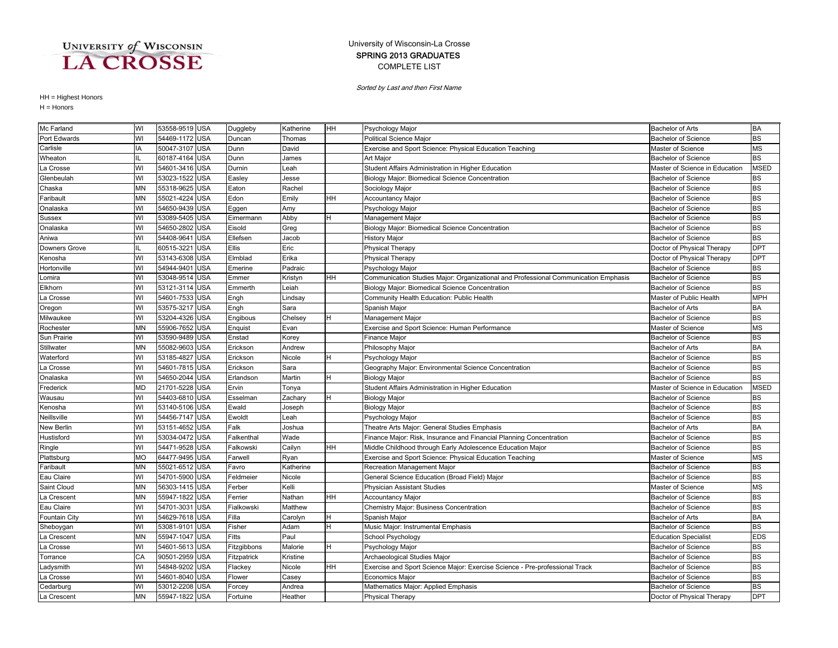### COMPLETE LIST SPRING 2013 GRADUATES University of Wisconsin-La Crosse

Sorted by Last and then First Name

| Mc Farland           | WI        | 53558-9519 USA |            | Duggleby    | Katherine | HH | Psychology Major                                                                    | <b>Bachelor of Arts</b>        | <b>BA</b>   |
|----------------------|-----------|----------------|------------|-------------|-----------|----|-------------------------------------------------------------------------------------|--------------------------------|-------------|
| Port Edwards         | WI        | 54469-1172 USA |            | Duncan      | Thomas    |    | <b>Political Science Major</b>                                                      | Bachelor of Science            | <b>BS</b>   |
| Carlisle             | IA        | 50047-3107 USA |            | Dunn        | David     |    | Exercise and Sport Science: Physical Education Teaching                             | Master of Science              | <b>MS</b>   |
| Wheaton              |           | 60187-4164 USA |            | Dunn        | James     |    | Art Major                                                                           | <b>Bachelor of Science</b>     | <b>BS</b>   |
| La Crosse            | WI        | 54601-3416 USA |            | Durnin      | Leah      |    | Student Affairs Administration in Higher Education                                  | Master of Science in Education | <b>MSED</b> |
| Glenbeulah           | WI        | 53023-1522     | <b>USA</b> | Easley      | Jesse     |    | Biology Major: Biomedical Science Concentration                                     | <b>Bachelor of Science</b>     | <b>BS</b>   |
| Chaska               | <b>MN</b> | 55318-9625     | <b>USA</b> | Eaton       | Rachel    |    | Sociology Major                                                                     | <b>Bachelor of Science</b>     | <b>BS</b>   |
| Faribault            | <b>MN</b> | 55021-4224     | <b>USA</b> | Edon        | Emily     | HH | <b>Accountancy Major</b>                                                            | <b>Bachelor of Science</b>     | <b>BS</b>   |
| Onalaska             | WI        | 54650-9439     | <b>USA</b> | Eggen       | Amy       |    | Psychology Major                                                                    | <b>Bachelor of Science</b>     | <b>BS</b>   |
| Sussex               | WI        | 53089-5405     | <b>USA</b> | Eimermann   | Abby      |    | Management Major                                                                    | <b>Bachelor of Science</b>     | <b>BS</b>   |
| Onalaska             | WI        | 54650-2802     | <b>USA</b> | Eisold      | Greg      |    | Biology Major: Biomedical Science Concentration                                     | <b>Bachelor of Science</b>     | <b>BS</b>   |
| Aniwa                | WI        | 54408-964      | <b>USA</b> | Ellefsen    | Jacob     |    | <b>History Major</b>                                                                | <b>Bachelor of Science</b>     | <b>BS</b>   |
| Downers Grove        | IL        | 60515-322      | <b>USA</b> | Ellis       | Eric      |    | Physical Therapy                                                                    | Doctor of Physical Therapy     | <b>DPT</b>  |
| Kenosha              | WI        | 53143-6308     | <b>USA</b> | Elmblad     | Erika     |    | Physical Therapy                                                                    | Doctor of Physical Therapy     | <b>DPT</b>  |
| Hortonville          | WI        | 54944-9401     | <b>USA</b> | Emerine     | Padraic   |    | Psychology Major                                                                    | <b>Bachelor of Science</b>     | <b>BS</b>   |
| Lomira               | WI        | 53048-9514     | <b>USA</b> | Emmer       | Kristyn   | HН | Communication Studies Major: Organizational and Professional Communication Emphasis | <b>Bachelor of Science</b>     | <b>BS</b>   |
| Elkhorn              | WI        | 53121-3114     | <b>USA</b> | Emmerth     | Leiah     |    | Biology Major: Biomedical Science Concentration                                     | <b>Bachelor of Science</b>     | <b>BS</b>   |
| La Crosse            | WI        | 54601-7533     | <b>USA</b> | Engh        | Lindsay   |    | Community Health Education: Public Health                                           | Master of Public Health        | <b>MPH</b>  |
| Oregon               | WI        | 53575-3217     | <b>USA</b> | Engh        | Sara      |    | Spanish Major                                                                       | <b>Bachelor of Arts</b>        | <b>BA</b>   |
| Milwaukee            | WI        | 53204-4326 USA |            | Engibous    | Chelsey   | н  | Management Major                                                                    | <b>Bachelor of Science</b>     | <b>BS</b>   |
| Rochester            | <b>MN</b> | 55906-7652     | <b>USA</b> | Enquist     | Evan      |    | Exercise and Sport Science: Human Performance                                       | Master of Science              | <b>MS</b>   |
| Sun Prairie          | WI        | 53590-9489 USA |            | Enstad      | Korey     |    | Finance Major                                                                       | <b>Bachelor of Science</b>     | <b>BS</b>   |
| Stillwater           | <b>MN</b> | 55082-9603     | <b>USA</b> | Erickson    | Andrew    |    | Philosophy Major                                                                    | <b>Bachelor of Arts</b>        | <b>BA</b>   |
| Waterford            | WI        | 53185-4827     | <b>USA</b> | Erickson    | Nicole    | H  | Psychology Major                                                                    | <b>Bachelor of Science</b>     | <b>BS</b>   |
| La Crosse            | WI        | 54601-7815     | <b>USA</b> | Erickson    | Sara      |    | Geography Major: Environmental Science Concentration                                | <b>Bachelor of Science</b>     | <b>BS</b>   |
| Onalaska             | WI        | 54650-2044     | <b>USA</b> | Erlandson   | Martin    |    | <b>Biology Major</b>                                                                | Bachelor of Science            | <b>BS</b>   |
| Frederick            | <b>MD</b> | 21701-5228     | <b>USA</b> | Ervin       | Tonya     |    | Student Affairs Administration in Higher Education                                  | Master of Science in Education | <b>MSED</b> |
| Wausau               | WI        | 54403-6810 USA |            | Esselman    | Zachary   | н  | <b>Biology Major</b>                                                                | <b>Bachelor of Science</b>     | <b>BS</b>   |
| Kenosha              | WI        | 53140-5106 USA |            | Ewald       | Joseph    |    | <b>Biology Major</b>                                                                | <b>Bachelor of Science</b>     | <b>BS</b>   |
| Neillsville          | WI        | 54456-7147     | <b>USA</b> | Ewoldt      | Leah      |    | Psychology Major                                                                    | <b>Bachelor of Science</b>     | <b>BS</b>   |
| New Berlin           | WI        | 53151-4652     | <b>USA</b> | Falk        | Joshua    |    | Theatre Arts Major: General Studies Emphasis                                        | <b>Bachelor of Arts</b>        | <b>BA</b>   |
| Hustisford           | WI        | 53034-0472     | <b>USA</b> | Falkenthal  | Wade      |    | Finance Major: Risk, Insurance and Financial Planning Concentration                 | <b>Bachelor of Science</b>     | <b>BS</b>   |
| Ringle               | WI        | 54471-9528     | <b>USA</b> | Falkowski   | Cailyn    | HH | Middle Childhood through Early Adolescence Education Major                          | <b>Bachelor of Science</b>     | <b>BS</b>   |
| Plattsburg           | <b>MO</b> | 64477-9495     | <b>USA</b> | Farwell     | Ryan      |    | Exercise and Sport Science: Physical Education Teaching                             | Master of Science              | <b>MS</b>   |
| Faribault            | <b>MN</b> | 55021-6512     | <b>USA</b> | Favro       | Katherine |    | Recreation Management Major                                                         | Bachelor of Science            | <b>BS</b>   |
| Eau Claire           | WI        | 54701-5900     | <b>USA</b> | Feldmeier   | Nicole    |    | General Science Education (Broad Field) Major                                       | <b>Bachelor of Science</b>     | <b>BS</b>   |
| Saint Cloud          | MN        | 56303-1415 USA |            | Ferber      | Kelli     |    | Physician Assistant Studies                                                         | Master of Science              | <b>MS</b>   |
| La Crescent          | <b>MN</b> | 55947-1822     | <b>USA</b> | Ferrier     | Nathan    | HН | Accountancy Major                                                                   | <b>Bachelor of Science</b>     | <b>BS</b>   |
| Eau Claire           | WI        | 54701-3031     | <b>USA</b> | Fialkowski  | Matthew   |    | Chemistry Major: Business Concentration                                             | <b>Bachelor of Science</b>     | <b>BS</b>   |
| <b>Fountain City</b> | WI        | 54629-7618 USA |            | Filla       | Carolyn   | H  | Spanish Major                                                                       | <b>Bachelor of Arts</b>        | <b>BA</b>   |
| Sheboygan            | WI        | 53081-9101     | <b>USA</b> | Fisher      | Adam      | H  | Music Major: Instrumental Emphasis                                                  | <b>Bachelor of Science</b>     | <b>BS</b>   |
| La Crescent          | <b>MN</b> | 55947-1047     | <b>USA</b> | Fitts       | Paul      |    | School Psychology                                                                   | <b>Education Specialist</b>    | <b>EDS</b>  |
| a Crosse.            | WI        | 54601-5613     | <b>USA</b> | Fitzgibbons | Malorie   |    | Psychology Major                                                                    | Bachelor of Science            | <b>BS</b>   |
| Torrance             | CA        | 90501-2959 USA |            | Fitzpatrick | Kristine  |    | Archaeological Studies Major                                                        | <b>Bachelor of Science</b>     | <b>BS</b>   |
| Ladysmith            | WI        | 54848-9202 USA |            | Flackey     | Nicole    | HН | Exercise and Sport Science Major: Exercise Science - Pre-professional Track         | <b>Bachelor of Science</b>     | <b>BS</b>   |
| La Crosse            | WI        | 54601-8040 USA |            | Flower      | Casey     |    | <b>Economics Major</b>                                                              | <b>Bachelor of Science</b>     | <b>BS</b>   |
| Cedarburg            | WI        | 53012-2208 USA |            | Forcey      | Andrea    |    | Mathematics Major: Applied Emphasis                                                 | <b>Bachelor of Science</b>     | <b>BS</b>   |
| La Crescent          | <b>MN</b> | 55947-1822 USA |            | Fortuine    | Heather   |    | Physical Therapy                                                                    | Doctor of Physical Therapy     | <b>DPT</b>  |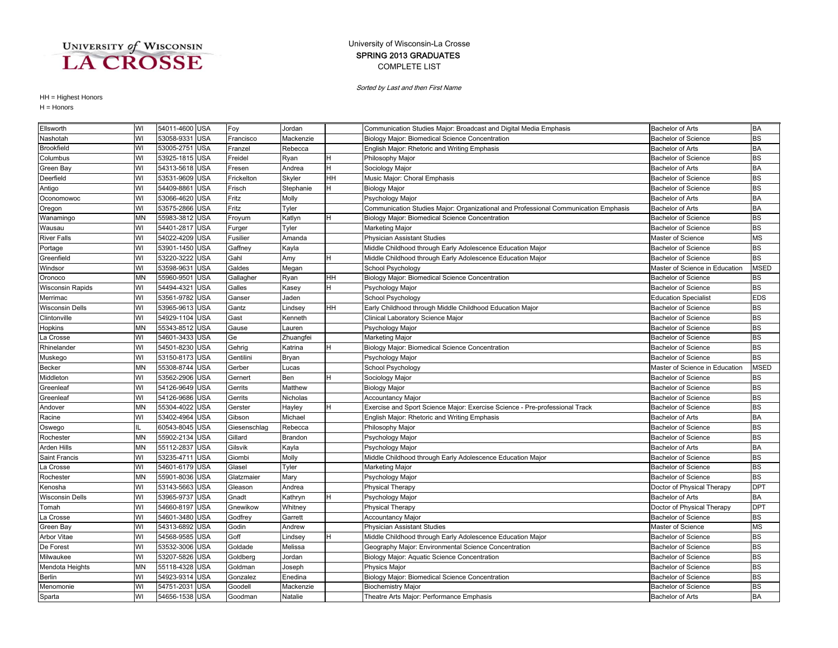#### COMPLETE LIST SPRING 2013 GRADUATES University of Wisconsin-La Crosse

Sorted by Last and then First Name

| Ellsworth               | WI        | 54011-4600 USA |            | Foy          | Jordan    |    | Communication Studies Major: Broadcast and Digital Media Emphasis                   | <b>Bachelor of Arts</b>        | <b>BA</b>   |
|-------------------------|-----------|----------------|------------|--------------|-----------|----|-------------------------------------------------------------------------------------|--------------------------------|-------------|
| Nashotah                | WI        | 53058-9331     | <b>USA</b> | Francisco    | Mackenzie |    | Biology Major: Biomedical Science Concentration                                     | <b>Bachelor of Science</b>     | <b>BS</b>   |
| <b>Brookfield</b>       | WI        | 53005-2751 USA |            | Franzel      | Rebecca   |    | English Major: Rhetoric and Writing Emphasis                                        | <b>Bachelor of Arts</b>        | <b>BA</b>   |
| Columbus                | WI        | 53925-1815 USA |            | Freidel      | Ryan      |    | Philosophy Major                                                                    | <b>Bachelor of Science</b>     | <b>BS</b>   |
| Green Bay               | WI        | 54313-5618 USA |            | Fresen       | Andrea    | H. | Sociology Major                                                                     | <b>Bachelor of Arts</b>        | <b>BA</b>   |
| Deerfield               | WI        | 53531-9609     | <b>USA</b> | Frickelton   | Skyler    | HH | Music Major: Choral Emphasis                                                        | <b>Bachelor of Science</b>     | <b>BS</b>   |
| Antigo                  | WI        | 54409-8861     | <b>USA</b> | Frisch       | Stephanie | H. | <b>Biology Major</b>                                                                | <b>Bachelor of Science</b>     | <b>BS</b>   |
| Oconomowoc              | WI        | 53066-4620 USA |            | Fritz        | Molly     |    | Psychology Major                                                                    | <b>Bachelor of Arts</b>        | <b>BA</b>   |
| Oregon                  | WI        | 53575-2866     | <b>USA</b> | Fritz        | Tyler     |    | Communication Studies Major: Organizational and Professional Communication Emphasis | <b>Bachelor of Arts</b>        | <b>BA</b>   |
| Wanamingo               | <b>MN</b> | 55983-3812     | <b>USA</b> | Froyum       | Katlyn    |    | Biology Major: Biomedical Science Concentration                                     | <b>Bachelor of Science</b>     | <b>BS</b>   |
| Wausau                  | WI        | 54401-2817     | <b>USA</b> | -urger       | Tyler     |    | Marketing Major                                                                     | <b>Bachelor of Science</b>     | <b>BS</b>   |
| <b>River Falls</b>      | WI        | 54022-4209 USA |            | Fusilier     | Amanda    |    | <b>Physician Assistant Studies</b>                                                  | Master of Science              | <b>MS</b>   |
| Portage                 | WI        | 53901-1450 USA |            | Gaffney      | Kayla     |    | Middle Childhood through Early Adolescence Education Major                          | <b>Bachelor of Science</b>     | <b>BS</b>   |
| Greenfield              | WI        | 53220-322      | <b>USA</b> | Gahl         | Amy       | H  | Middle Childhood through Early Adolescence Education Major                          | <b>Bachelor of Science</b>     | <b>BS</b>   |
| Windsor                 | WI        | 53598-963      | <b>USA</b> | Galdes       | Megan     |    | School Psychology                                                                   | Master of Science in Education | <b>MSED</b> |
| Oronoco                 | <b>MN</b> | 55960-9501     | <b>USA</b> | Gallagher    | Ryan      | HН | Biology Major: Biomedical Science Concentration                                     | <b>Bachelor of Science</b>     | <b>BS</b>   |
| <b>Wisconsin Rapids</b> | WI        | 54494-432      | <b>USA</b> | Galles       | Kasey     | н  | Psychology Major                                                                    | <b>Bachelor of Science</b>     | <b>BS</b>   |
| Merrimac                | WI        | 53561-9782     | <b>USA</b> | Ganser       | Jaden     |    | School Psychology                                                                   | <b>Education Specialist</b>    | <b>EDS</b>  |
| <b>Wisconsin Dells</b>  | WI        | 53965-9613     | <b>USA</b> | Gantz        | Lindsey   | HН | Early Childhood through Middle Childhood Education Major                            | <b>Bachelor of Science</b>     | <b>BS</b>   |
| Clintonville            | WI        | 54929-1104     | <b>USA</b> | Gast         | Kenneth   |    | Clinical Laboratory Science Major                                                   | <b>Bachelor of Science</b>     | <b>BS</b>   |
| Hopkins                 | <b>MN</b> | 55343-8512 USA |            | Gause        | Lauren    |    | Psychology Major                                                                    | <b>Bachelor of Science</b>     | <b>BS</b>   |
| La Crosse               | WI        | 54601-3433     | <b>USA</b> | Ge           | Zhuangfei |    | Marketing Major                                                                     | <b>Bachelor of Science</b>     | <b>BS</b>   |
| Rhinelander             | WI        | 54501-8230     | <b>USA</b> | Gehrig       | Katrina   | н  | Biology Major: Biomedical Science Concentration                                     | <b>Bachelor of Science</b>     | <b>BS</b>   |
| Muskego                 | WI        | 53150-8173 USA |            | Gentilini    | Bryan     |    | Psychology Major                                                                    | <b>Bachelor of Science</b>     | <b>BS</b>   |
| Becker                  | <b>MN</b> | 55308-8744 USA |            | Gerber       | Lucas     |    | School Psychology                                                                   | Master of Science in Education | <b>MSED</b> |
| Middleton               | WI        | 53562-2906 USA |            | Gernert      | Ben       | H. | Sociology Major                                                                     | <b>Bachelor of Science</b>     | <b>BS</b>   |
| Greenleaf               | WI        | 54126-9649     | <b>USA</b> | Gerrits      | Matthew   |    | <b>Biology Major</b>                                                                | <b>Bachelor of Science</b>     | <b>BS</b>   |
| Greenleaf               | WI        | 54126-9686 USA |            | Gerrits      | Nicholas  |    | <b>Accountancy Major</b>                                                            | <b>Bachelor of Science</b>     | <b>BS</b>   |
| Andover                 | <b>MN</b> | 55304-4022     | <b>USA</b> | Gerster      | Hayley    |    | Exercise and Sport Science Major: Exercise Science - Pre-professional Track         | <b>Bachelor of Science</b>     | <b>BS</b>   |
| Racine                  | WI        | 53402-4964 USA |            | Gibson       | Michael   |    | English Major: Rhetoric and Writing Emphasis                                        | <b>Bachelor of Arts</b>        | <b>BA</b>   |
| Oswego                  | IL        | 60543-8045 USA |            | Giesenschlag | Rebecca   |    | Philosophy Major                                                                    | <b>Bachelor of Science</b>     | <b>BS</b>   |
| Rochester               | <b>MN</b> | 55902-2134 USA |            | Gillard      | Brandon   |    | Psychology Major                                                                    | <b>Bachelor of Science</b>     | <b>BS</b>   |
| <b>Arden Hills</b>      | MN        | 55112-2837     | <b>USA</b> | Gilsvik      | Kayla     |    | Psychology Major                                                                    | <b>Bachelor of Arts</b>        | <b>BA</b>   |
| Saint Francis           | WI        | 53235-4711     | <b>USA</b> | Giombi       | Molly     |    | Middle Childhood through Early Adolescence Education Major                          | <b>Bachelor of Science</b>     | <b>BS</b>   |
| La Crosse               | WI        | 54601-6179 USA |            | Glasel       | Tyler     |    | <b>Marketing Major</b>                                                              | <b>Bachelor of Science</b>     | <b>BS</b>   |
| Rochester               | <b>MN</b> | 55901-8036     | <b>USA</b> | Glatzmaier   | Mary      |    | Psychology Major                                                                    | <b>Bachelor of Science</b>     | <b>BS</b>   |
| Kenosha                 | WI        | 53143-5663     | <b>USA</b> | Gleason      | Andrea    |    | <b>Physical Therapy</b>                                                             | Doctor of Physical Therapy     | <b>DPT</b>  |
| <b>Wisconsin Dells</b>  | WI        | 53965-9737     | <b>USA</b> | Gnadt        | Kathryn   |    | Psychology Major                                                                    | <b>Bachelor of Arts</b>        | <b>BA</b>   |
| Tomah                   | WI        | 54660-8197 USA |            | Gnewikow     | Whitney   |    | <b>Physical Therapy</b>                                                             | Doctor of Physical Therapy     | <b>DPT</b>  |
| La Crosse               | WI        | 54601-3480     | <b>USA</b> | Godfrey      | Garrett   |    | <b>Accountancy Major</b>                                                            | <b>Bachelor of Science</b>     | <b>BS</b>   |
| Green Bay               | WI        | 54313-6892     | <b>USA</b> | Godin        | Andrew    |    | Physician Assistant Studies                                                         | Master of Science              | <b>MS</b>   |
| <b>Arbor Vitae</b>      | WI        | 54568-9585 USA |            | Goff         | Lindsey   |    | Middle Childhood through Early Adolescence Education Major                          | <b>Bachelor of Science</b>     | <b>BS</b>   |
| De Forest               | WI        | 53532-3006 USA |            | Goldade      | Melissa   |    | Geography Major: Environmental Science Concentration                                | <b>Bachelor of Science</b>     | <b>BS</b>   |
| Milwaukee               | WI        | 53207-5826 USA |            | Goldberg     | Jordan    |    | Biology Major: Aquatic Science Concentration                                        | <b>Bachelor of Science</b>     | <b>BS</b>   |
| Mendota Heights         | <b>MN</b> | 55118-4328     | <b>USA</b> | Goldman      | Joseph    |    | <b>Physics Major</b>                                                                | <b>Bachelor of Science</b>     | <b>BS</b>   |
| Berlin                  | WI        | 54923-9314     | <b>USA</b> | Gonzalez     | Enedina   |    | Biology Major: Biomedical Science Concentration                                     | <b>Bachelor of Science</b>     | <b>BS</b>   |
| Menomonie               | WI        | 54751-2031     | <b>USA</b> | Goodell      | Mackenzie |    | <b>Biochemistry Major</b>                                                           | <b>Bachelor of Science</b>     | <b>BS</b>   |
| Sparta                  | WI        | 54656-1538 USA |            | Goodman      | Natalie   |    | Theatre Arts Major: Performance Emphasis                                            | <b>Bachelor of Arts</b>        | <b>BA</b>   |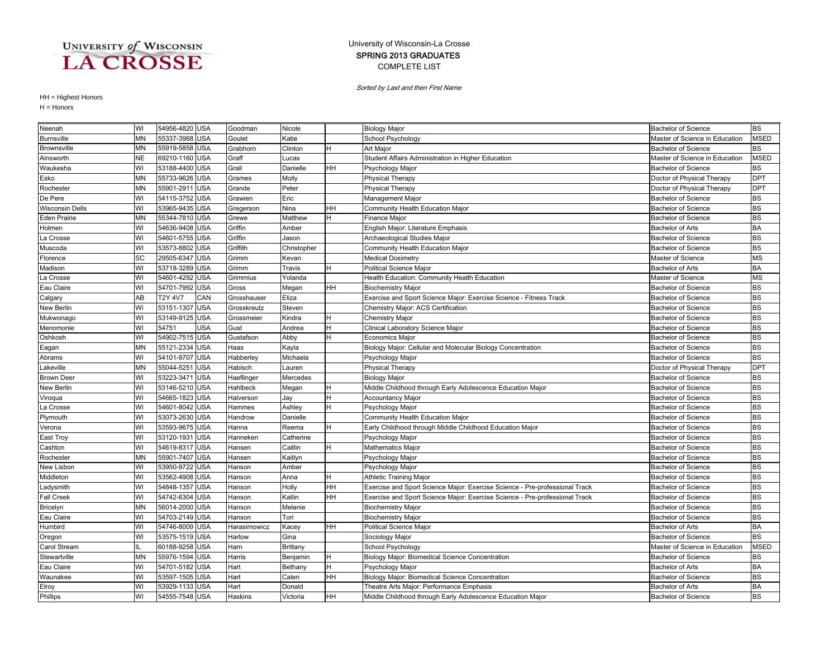### COMPLETE LIST SPRING 2013 GRADUATES University of Wisconsin-La Crosse

Sorted by Last and then First Name

| Neenah                 | WI        | 54956-4820 USA |            | Goodman        | Nicole          |           | <b>Biology Major</b>                                                        | <b>Bachelor of Science</b>     | <b>BS</b>       |
|------------------------|-----------|----------------|------------|----------------|-----------------|-----------|-----------------------------------------------------------------------------|--------------------------------|-----------------|
| <b>Burnsville</b>      | MΝ        | 55337-3968 USA |            | Goulet         | Katie           |           | School Psychology                                                           | Master of Science in Education | <b>MSED</b>     |
| <b>Brownsville</b>     | ΜN        | 55919-5858 USA |            | Grabhorn       | Clinton         |           | Art Major                                                                   | <b>Bachelor of Science</b>     | <b>BS</b>       |
| Ainsworth              | <b>NE</b> | 69210-1160 USA |            | Graff          | Lucas           |           | Student Affairs Administration in Higher Education                          | Master of Science in Education | <b>MSED</b>     |
| Waukesha               | WI        | 53188-4400 USA |            | Grall          | Danielle        | HН        | Psychology Major                                                            | <b>Bachelor of Science</b>     | <b>BS</b>       |
| Esko                   | MN        | 55733-9626 USA |            | Grames         | Molly           |           | <b>Physical Therapy</b>                                                     | Doctor of Physical Therapy     | <b>DPT</b>      |
| Rochester              | <b>MN</b> | 55901-291      | <b>USA</b> | Grande         | Peter           |           | <b>Physical Therapy</b>                                                     | Doctor of Physical Therapy     | <b>DPT</b>      |
| De Pere                | WI        | 54115-3752     | <b>USA</b> | Grawien        | Eric            |           | <b>Management Major</b>                                                     | <b>Bachelor of Science</b>     | <b>BS</b>       |
| <b>Wisconsin Dells</b> | WI        | 53965-9435 USA |            | Gregerson      | Nina            | HН        | Community Health Education Major                                            | <b>Bachelor of Science</b>     | <b>BS</b>       |
| Eden Prairie           | ΜN        | 55344-7810 USA |            | Grewe          | Matthew         | н         | Finance Major                                                               | <b>Bachelor of Science</b>     | <b>BS</b>       |
| Holmen                 | WI        | 54636-9408 USA |            | Griffin        | Amber           |           | English Major: Literature Emphasis                                          | <b>Bachelor of Arts</b>        | <b>BA</b>       |
| La Crosse              | WI        | 54601-5755 USA |            | Griffin        | Jason           |           | Archaeological Studies Major                                                | <b>Bachelor of Science</b>     | <b>BS</b>       |
| Muscoda                | WI        | 53573-8802 USA |            | Griffith       | Christopher     |           | Community Health Education Major                                            | <b>Bachelor of Science</b>     | <b>BS</b>       |
| Florence               | SC        | 29505-6347     | <b>USA</b> | Grimm          | Kevan           |           | <b>Medical Dosimetry</b>                                                    | Master of Science              | <b>MS</b>       |
| Madison                | WI        | 53718-3289     | <b>USA</b> | Grimm          | Travis          | н         | <b>Political Science Major</b>                                              | <b>Bachelor of Arts</b>        | <b>BA</b>       |
| a Crosse               | WI        | 54601-4292     | USA        | Grimmius       | Yolanda         |           | Health Education: Community Health Education                                | Master of Science              | <b>MS</b>       |
| Eau Claire             | WI        | 54701-7992     | <b>USA</b> | Gross          | Megan           | HН        | <b>Biochemistry Major</b>                                                   | <b>Bachelor of Science</b>     | <b>BS</b>       |
| Calgary                | AB        | T2Y 4V7        | CAN        | Grosshauser    | Eliza           |           | Exercise and Sport Science Major: Exercise Science - Fitness Track          | <b>Bachelor of Science</b>     | <b>BS</b>       |
| New Berlin             | WI        | 53151-1307     | <b>USA</b> | Grosskreutz    | Steven          |           | Chemistry Major: ACS Certification                                          | <b>Bachelor of Science</b>     | <b>BS</b>       |
| Mukwonago              | WI        | 53149-9125 USA |            | Grossmeier     | Kindra          |           | <b>Chemistry Major</b>                                                      | <b>Bachelor of Science</b>     | <b>BS</b>       |
| Menomonie              | WI        | 54751          | USA        | Gust           | Andrea          |           | Clinical Laboratory Science Major                                           | <b>Bachelor of Science</b>     | <b>BS</b>       |
| Oshkosh                | WI        | 54902-7515 USA |            | Gustafson      | Abby            |           | <b>Economics Major</b>                                                      | <b>Bachelor of Science</b>     | <b>BS</b>       |
| Eagan                  | <b>MN</b> | 55121-2334 USA |            | Haas           | Kayla           |           | Biology Major: Cellular and Molecular Biology Concentration                 | <b>Bachelor of Science</b>     | <b>BS</b>       |
| Abrams                 | WI        | 54101-9707     | <b>USA</b> | Habberley      | Michaela        |           | Psychology Major                                                            | <b>Bachelor of Science</b>     | <b>BS</b>       |
| Lakeville              | <b>MN</b> | 55044-5251     | <b>USA</b> | Habisch        | Lauren          |           | <b>Physical Therapy</b>                                                     | Doctor of Physical Therapy     | DP <sub>1</sub> |
| <b>Brown Deer</b>      | WI        | 53223-3471     | <b>USA</b> | Haeflinger     | Mercedes        |           | <b>Biology Major</b>                                                        | <b>Bachelor of Science</b>     | <b>BS</b>       |
| New Berlin             | WI        | 53146-5210 USA |            | Hahlbeck       | Megan           | H         | Middle Childhood through Early Adolescence Education Major                  | <b>Bachelor of Science</b>     | <b>BS</b>       |
| Viroqua                | WI        | 54665-1823 USA |            | Halverson      | Jay             | H         | <b>Accountancy Major</b>                                                    | <b>Bachelor of Science</b>     | <b>BS</b>       |
| La Crosse              | WI        | 54601-8042 USA |            | Hammes         | Ashley          | н         | Psychology Major                                                            | <b>Bachelor of Science</b>     | <b>BS</b>       |
| Plymouth               | WI        | 53073-2630 USA |            | Handrow        | Danielle        |           | Community Health Education Major                                            | <b>Bachelor of Science</b>     | <b>BS</b>       |
| Verona                 | WI        | 53593-9675 USA |            | Hanna          | Reema           | н         | Early Childhood through Middle Childhood Education Major                    | <b>Bachelor of Science</b>     | <b>BS</b>       |
| East Troy              | WI        | 53120-193      | <b>USA</b> | Hanneken       | Catherine       |           | Psychology Major                                                            | <b>Bachelor of Science</b>     | <b>BS</b>       |
| Cashton                | WI        | 54619-8317     | <b>USA</b> | Hansen         | Caitlin         |           | Mathematics Major                                                           | <b>Bachelor of Science</b>     | <b>BS</b>       |
| Rochester              | MN        | 55901-7407 USA |            | Hansen         | Kaitlyn         |           | Psychology Major                                                            | <b>Bachelor of Science</b>     | <b>BS</b>       |
| New Lisbon             | WI        | 53950-9722 USA |            | Hanson         | Amber           |           | Psychology Major                                                            | <b>Bachelor of Science</b>     | <b>BS</b>       |
| Middleton              | WI        | 53562-4908 USA |            | Hanson         | Anna            | н         | Athletic Training Major                                                     | <b>Bachelor of Science</b>     | <b>BS</b>       |
| Ladysmith              | WI        | 54848-1357     | <b>USA</b> | Hanson         | Holly           | HН        | Exercise and Sport Science Major: Exercise Science - Pre-professional Track | <b>Bachelor of Science</b>     | <b>BS</b>       |
| <b>Fall Creek</b>      | WI        | 54742-6304     | <b>USA</b> | Hanson         | Katlin          | HH        | Exercise and Sport Science Major: Exercise Science - Pre-professional Track | <b>Bachelor of Science</b>     | <b>BS</b>       |
| <b>Bricelyn</b>        | MN        | 56014-2000 USA |            | Hanson         | Melanie         |           | <b>Biochemistry Major</b>                                                   | <b>Bachelor of Science</b>     | <b>BS</b>       |
| Eau Claire             | WI        | 54703-2149     | <b>USA</b> | Hanson         | Tori            |           | <b>Biochemistry Major</b>                                                   | <b>Bachelor of Science</b>     | <b>BS</b>       |
| Humbird                | WI        | 54746-8009 USA |            | Harasimowicz   | Kacey           | HН        | Political Science Major                                                     | <b>Bachelor of Arts</b>        | <b>BA</b>       |
| Oregon                 | WI        | 53575-1519 USA |            | Harlow         | Gina            |           | Sociology Major                                                             | <b>Bachelor of Science</b>     | <b>BS</b>       |
| Carol Stream           |           | 60188-9258 USA |            | Harn           | <b>Brittany</b> |           | School Psychology                                                           | Master of Science in Education | <b>MSED</b>     |
| Stewartville           | MN        | 55976-1594 USA |            | Harris         | Benjamin        | H         | Biology Major: Biomedical Science Concentration                             | <b>Bachelor of Science</b>     | <b>BS</b>       |
| Eau Claire             | WI        | 54701-5182 USA |            | Hart           | Bethany         | H         | Psychology Major                                                            | <b>Bachelor of Arts</b>        | <b>BA</b>       |
| Waunakee               | WI        | 53597-1505 USA |            | Hart           | Calen           | HН        | Biology Major: Biomedical Science Concentration                             | <b>Bachelor of Science</b>     | <b>BS</b>       |
| Elroy                  | WI        | 53929-1133 USA |            | Hart           | Donald          |           | Theatre Arts Major: Performance Emphasis                                    | <b>Bachelor of Arts</b>        | <b>BA</b>       |
| Phillips               | WI        | 54555-7548 USA |            | <b>Haskins</b> | Victoria        | <b>HH</b> | Middle Childhood through Early Adolescence Education Major                  | <b>Bachelor of Science</b>     | <b>BS</b>       |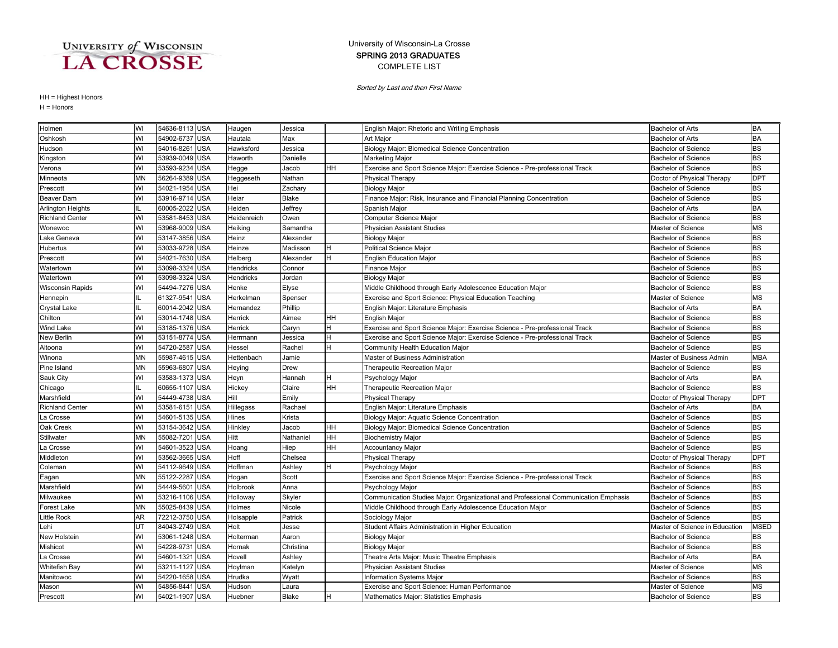#### COMPLETE LIST SPRING 2013 GRADUATES University of Wisconsin-La Crosse

Sorted by Last and then First Name

| Holmen                   | WI        | 54636-8113 USA |            | Haugen           | Jessica   |    | English Major: Rhetoric and Writing Emphasis                                        | Bachelor of Arts               | <b>BA</b>   |
|--------------------------|-----------|----------------|------------|------------------|-----------|----|-------------------------------------------------------------------------------------|--------------------------------|-------------|
| Oshkosh                  | WI        | 54902-6737 USA |            | Hautala          | Max       |    | Art Major                                                                           | <b>Bachelor of Arts</b>        | <b>BA</b>   |
| Hudson                   | WI        | 54016-8261     | <b>USA</b> | Hawksford        | Jessica   |    | Biology Major: Biomedical Science Concentration                                     | <b>Bachelor of Science</b>     | <b>BS</b>   |
| Kingston                 | WI        | 53939-0049     | <b>USA</b> | Haworth          | Danielle  |    | <b>Marketing Major</b>                                                              | <b>Bachelor of Science</b>     | <b>BS</b>   |
| Verona                   | WI        | 53593-9234     | <b>USA</b> | Hegge            | Jacob     | HН | Exercise and Sport Science Major: Exercise Science - Pre-professional Track         | <b>Bachelor of Science</b>     | <b>BS</b>   |
| Minneota                 | MN        | 56264-9389 USA |            | Heggeseth        | Nathan    |    | <b>Physical Therapy</b>                                                             | Doctor of Physical Therapy     | <b>DPT</b>  |
| Prescott                 | WI        | 54021-1954     | <b>USA</b> | Hei              | Zachary   |    | <b>Biology Major</b>                                                                | <b>Bachelor of Science</b>     | <b>BS</b>   |
| <b>Beaver Dam</b>        | WI        | 53916-9714     | <b>USA</b> | Heiar            | Blake     |    | Finance Major: Risk, Insurance and Financial Planning Concentration                 | <b>Bachelor of Science</b>     | <b>BS</b>   |
| <b>Arlington Heights</b> |           | 60005-2022     | <b>USA</b> | Heiden           | Jeffrey   |    | Spanish Major                                                                       | <b>Bachelor of Arts</b>        | <b>BA</b>   |
| <b>Richland Center</b>   | WI        | 53581-8453     | <b>USA</b> | Heidenreich      | Owen      |    | Computer Science Major                                                              | <b>Bachelor of Science</b>     | <b>BS</b>   |
| Wonewoc                  | WI        | 53968-9009     | <b>USA</b> | Heiking          | Samantha  |    | Physician Assistant Studies                                                         | Master of Science              | <b>MS</b>   |
| ake Geneva               | WI        | 53147-3856     | <b>USA</b> | Heinz            | Alexander |    | <b>Biology Major</b>                                                                | <b>Bachelor of Science</b>     | <b>BS</b>   |
| Hubertus                 | WI        | 53033-9728     | <b>USA</b> | Heinze           | Madisson  |    | Political Science Major                                                             | <b>Bachelor of Science</b>     | <b>BS</b>   |
| Prescott                 | WI        | 54021-7630 USA |            | Helberg          | Alexander | н  | <b>English Education Major</b>                                                      | <b>Bachelor of Science</b>     | <b>BS</b>   |
| Watertown                | WI        | 53098-3324 USA |            | Hendricks        | Connor    |    | <b>Finance Major</b>                                                                | <b>Bachelor of Science</b>     | <b>BS</b>   |
| Watertown                | WI        | 53098-3324     | <b>USA</b> | <b>Hendricks</b> | Jordan    |    | <b>Biology Major</b>                                                                | <b>Bachelor of Science</b>     | <b>BS</b>   |
| Wisconsin Rapids         | WI        | 54494-7276 USA |            | Henke            | Elyse     |    | Middle Childhood through Early Adolescence Education Major                          | <b>Bachelor of Science</b>     | <b>BS</b>   |
| Hennepin                 | Ш         | 61327-9541     | <b>USA</b> | Herkelman        | Spenser   |    | Exercise and Sport Science: Physical Education Teaching                             | Master of Science              | <b>MS</b>   |
| Crystal Lake             |           | 60014-2042     | <b>USA</b> | Hernandez        | Phillip   |    | English Major: Literature Emphasis                                                  | <b>Bachelor of Arts</b>        | <b>BA</b>   |
| Chilton                  | WI        | 53014-1748     | <b>USA</b> | Herrick          | Aimee     | HH | <b>English Major</b>                                                                | <b>Bachelor of Science</b>     | <b>BS</b>   |
| <b>Wind Lake</b>         | WI        | 53185-1376     | <b>USA</b> | Herrick          | Caryn     |    | Exercise and Sport Science Major: Exercise Science - Pre-professional Track         | <b>Bachelor of Science</b>     | <b>BS</b>   |
| New Berlin               | WI        | 53151-8774     | <b>USA</b> | Herrmann         | Jessica   |    | Exercise and Sport Science Major: Exercise Science - Pre-professional Track         | <b>Bachelor of Science</b>     | <b>BS</b>   |
| Altoona                  | WI        | 54720-2587 USA |            | Hessel           | Rachel    | н  | Community Health Education Major                                                    | <b>Bachelor of Science</b>     | <b>BS</b>   |
| Winona                   | MN        | 55987-4615 USA |            | Hettenbach       | Jamie     |    | Master of Business Administration                                                   | Master of Business Admin       | <b>MBA</b>  |
| Pine Island              | MN        | 55963-6807     | <b>USA</b> | Heying           | Drew      |    | Therapeutic Recreation Major                                                        | <b>Bachelor of Science</b>     | <b>BS</b>   |
| Sauk City                | WI        | 53583-1373 USA |            | Heyn             | Hannah    | н  | Psychology Major                                                                    | <b>Bachelor of Arts</b>        | <b>BA</b>   |
| Chicago                  | IL.       | 60655-1107     | <b>USA</b> | Hickey           | Claire    | HH | Therapeutic Recreation Major                                                        | Bachelor of Science            | <b>BS</b>   |
| Marshfield               | WI        | 54449-4738     | <b>USA</b> | Hill             | Emily     |    | <b>Physical Therapy</b>                                                             | Doctor of Physical Therapy     | <b>DPT</b>  |
| <b>Richland Center</b>   | WI        | 53581-6151     | <b>USA</b> | Hillegass        | Rachael   |    | English Major: Literature Emphasis                                                  | <b>Bachelor of Arts</b>        | <b>BA</b>   |
| La Crosse                | WI        | 54601-5135 USA |            | Hines            | Krista    |    | Biology Major: Aquatic Science Concentration                                        | <b>Bachelor of Science</b>     | <b>BS</b>   |
| Oak Creek                | WI        | 53154-3642 USA |            | Hinkley          | Jacob     | HН | Biology Major: Biomedical Science Concentration                                     | <b>Bachelor of Science</b>     | <b>BS</b>   |
| Stillwater               | <b>MN</b> | 55082-7201     | <b>USA</b> | Hitt             | Nathaniel | HH | <b>Biochemistry Major</b>                                                           | <b>Bachelor of Science</b>     | <b>BS</b>   |
| La Crosse                | WI        | 54601-3523 USA |            | Hoang            | Hiep      | HH | <b>Accountancy Major</b>                                                            | <b>Bachelor of Science</b>     | <b>BS</b>   |
| Middleton                | WI        | 53562-3665 USA |            | Hoff             | Chelsea   |    | <b>Physical Therapy</b>                                                             | Doctor of Physical Therapy     | <b>DPT</b>  |
| Coleman                  | WI        | 54112-9649     | <b>USA</b> | Hoffman          | Ashley    |    | Psychology Major                                                                    | <b>Bachelor of Science</b>     | <b>BS</b>   |
| Eagan                    | <b>MN</b> | 55122-2287     | <b>USA</b> | Hogan            | Scott     |    | Exercise and Sport Science Major: Exercise Science - Pre-professional Track         | <b>Bachelor of Science</b>     | <b>BS</b>   |
| Marshfield               | WI        | 54449-560      | <b>USA</b> | Holbrook         | Anna      |    | Psychology Major                                                                    | <b>Bachelor of Science</b>     | <b>BS</b>   |
| Milwaukee                | WI        | 53216-1106     | <b>USA</b> | Holloway         | Skyler    |    | Communication Studies Major: Organizational and Professional Communication Emphasis | <b>Bachelor of Science</b>     | <b>BS</b>   |
| Forest Lake              | MΝ        | 55025-8439     | <b>USA</b> | Holmes           | Nicole    |    | Middle Childhood through Early Adolescence Education Major                          | <b>Bachelor of Science</b>     | <b>BS</b>   |
| Little Rock              | AR        | 72212-3750 USA |            | Holsapple        | Patrick   |    | Sociology Major                                                                     | Bachelor of Science            | <b>BS</b>   |
| Lehi                     | UT        | 84043-2749 USA |            | Holt             | Jesse     |    | Student Affairs Administration in Higher Education                                  | Master of Science in Education | <b>MSED</b> |
| New Holstein             | WI        | 53061-1248 USA |            | Holterman        | Aaron     |    | <b>Biology Major</b>                                                                | <b>Bachelor of Science</b>     | <b>BS</b>   |
| Mishicot                 | WI        | 54228-9731     | <b>USA</b> | Hornak           | Christina |    | <b>Biology Major</b>                                                                | <b>Bachelor of Science</b>     | <b>BS</b>   |
| La Crosse                | WI        | 54601-1321     | <b>USA</b> | Hovell           | Ashley    |    | Theatre Arts Major: Music Theatre Emphasis                                          | Bachelor of Arts               | <b>BA</b>   |
| <b>Whitefish Bay</b>     | WI        | 53211-1127     | <b>USA</b> | Hoylman          | Katelyn   |    | Physician Assistant Studies                                                         | Master of Science              | <b>MS</b>   |
| Manitowoc                | WI        | 54220-1658     | <b>USA</b> | Hrudka           | Wyatt     |    | <b>Information Systems Major</b>                                                    | <b>Bachelor of Science</b>     | <b>BS</b>   |
| Mason                    | WI        | 54856-844      | <b>USA</b> | Hudson           | Laura     |    | Exercise and Sport Science: Human Performance                                       | Master of Science              | <b>MS</b>   |
| Prescott                 | WI        | 54021-1907 USA |            | Huebner          | Blake     | H  | Mathematics Major: Statistics Emphasis                                              | <b>Bachelor of Science</b>     | <b>BS</b>   |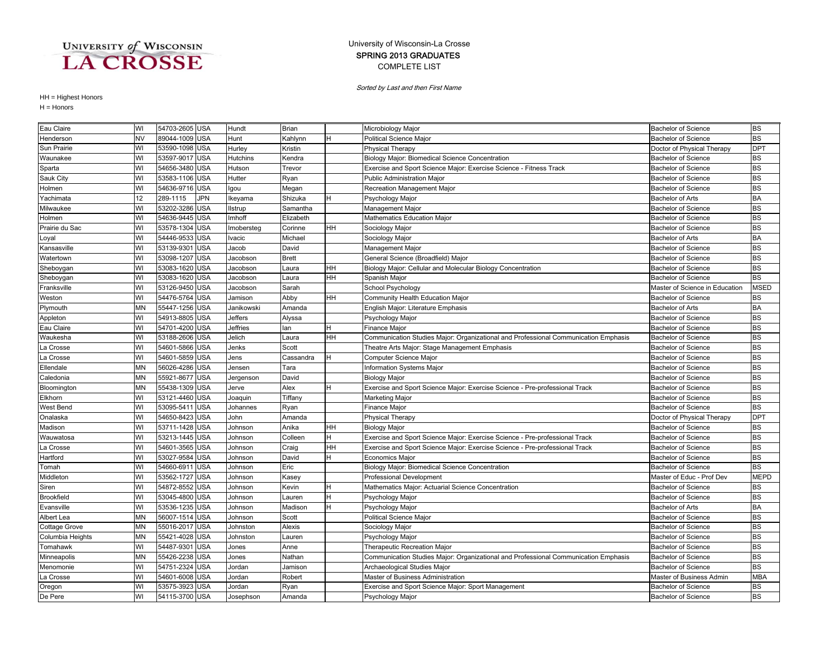### COMPLETE LIST SPRING 2013 GRADUATES University of Wisconsin-La Crosse

Sorted by Last and then First Name

| Eau Claire           | WI        | 54703-2605 USA |            | Hundt           | <b>Brian</b> |           | Microbiology Major                                                                  | <b>Bachelor of Science</b>     | <b>BS</b>   |
|----------------------|-----------|----------------|------------|-----------------|--------------|-----------|-------------------------------------------------------------------------------------|--------------------------------|-------------|
| Henderson            | <b>NV</b> | 89044-1009     | <b>USA</b> | Hunt            | Kahlynn      | н         | <b>Political Science Major</b>                                                      | <b>Bachelor of Science</b>     | <b>BS</b>   |
| Sun Prairie          | WI        | 53590-1098     | <b>USA</b> | Hurley          | Kristin      |           | <b>Physical Therapy</b>                                                             | Doctor of Physical Therapy     | <b>DPT</b>  |
| Waunakee             | WI        | 53597-9017 USA |            | Hutchins        | Kendra       |           | Biology Major: Biomedical Science Concentration                                     | <b>Bachelor of Science</b>     | <b>BS</b>   |
| Sparta               | WI        | 54656-3480 USA |            | Hutson          | Trevor       |           | Exercise and Sport Science Major: Exercise Science - Fitness Track                  | <b>Bachelor of Science</b>     | <b>BS</b>   |
| Sauk City            | WI        | 53583-1106     | <b>USA</b> | Hutter          | Ryan         |           | <b>Public Administration Major</b>                                                  | <b>Bachelor of Science</b>     | <b>BS</b>   |
| Holmen               | WI        | 54636-9716 USA |            | Igou            | Megan        |           | Recreation Management Major                                                         | <b>Bachelor of Science</b>     | <b>BS</b>   |
| Yachimata            | 12        | 289-1115       | <b>JPN</b> | Ikeyama         | Shizuka      |           | Psychology Major                                                                    | <b>Bachelor of Arts</b>        | <b>BA</b>   |
| Milwaukee            | WI        | 53202-3286     | <b>USA</b> | Ilstrup         | Samantha     |           | Management Major                                                                    | <b>Bachelor of Science</b>     | <b>BS</b>   |
| Holmen               | WI        | 54636-9445     | <b>USA</b> | Imhoff          | Elizabeth    |           | Mathematics Education Major                                                         | <b>Bachelor of Science</b>     | <b>BS</b>   |
| Prairie du Sac       | WI        | 53578-1304     | <b>USA</b> | Imobersteg      | Corinne      | HН        | Sociology Major                                                                     | <b>Bachelor of Science</b>     | <b>BS</b>   |
| Loyal                | WI        | 54446-9533     | <b>USA</b> | lvacic          | Michael      |           | Sociology Major                                                                     | <b>Bachelor of Arts</b>        | <b>BA</b>   |
| Kansasville          | WI        | 53139-9301 USA |            | Jacob           | David        |           | Management Major                                                                    | <b>Bachelor of Science</b>     | <b>BS</b>   |
| Watertown            | WI        | 53098-1207 USA |            | Jacobson        | <b>Brett</b> |           | General Science (Broadfield) Major                                                  | <b>Bachelor of Science</b>     | <b>BS</b>   |
| Sheboygan            | WI        | 53083-1620 USA |            | Jacobson        | Laura        | HH        | Biology Major: Cellular and Molecular Biology Concentration                         | <b>Bachelor of Science</b>     | <b>BS</b>   |
| Sheboygan            | WI        | 53083-1620 USA |            | Jacobson        | Laura        | <b>HH</b> | Spanish Major                                                                       | <b>Bachelor of Science</b>     | <b>BS</b>   |
| Franksville          | WI        | 53126-9450     | <b>USA</b> | Jacobson        | Sarah        |           | School Psychology                                                                   | Master of Science in Education | <b>MSED</b> |
| Weston               | WI        | 54476-5764     | <b>USA</b> | Jamison         | Abby         | HН        | Community Health Education Major                                                    | <b>Bachelor of Science</b>     | <b>BS</b>   |
| Plymouth             | MΝ        | 55447-1256     | <b>USA</b> | Janikowski      | Amanda       |           | English Major: Literature Emphasis                                                  | <b>Bachelor of Arts</b>        | <b>BA</b>   |
| Appleton             | WI        | 54913-8805 USA |            | Jeffers         | Alyssa       |           | Psychology Major                                                                    | <b>Bachelor of Science</b>     | <b>BS</b>   |
| Eau Claire           | WI        | 54701-4200 USA |            | <b>Jeffries</b> | lan          | H         | Finance Major                                                                       | <b>Bachelor of Science</b>     | <b>BS</b>   |
| Waukesha             | WI        | 53188-2606 USA |            | Jelich          | Laura        | <b>HH</b> | Communication Studies Major: Organizational and Professional Communication Emphasis | <b>Bachelor of Science</b>     | <b>BS</b>   |
| La Crosse            | WI        | 54601-5866 USA |            | Jenks           | Scott        |           | Theatre Arts Major: Stage Management Emphasis                                       | <b>Bachelor of Science</b>     | <b>BS</b>   |
| La Crosse            | WI        | 54601-5859 USA |            | Jens            | Cassandra    | lн.       | Computer Science Major                                                              | <b>Bachelor of Science</b>     | <b>BS</b>   |
| Ellendale            | MN        | 56026-4286     | <b>USA</b> | Jensen          | Tara         |           | Information Systems Major                                                           | <b>Bachelor of Science</b>     | <b>BS</b>   |
| Caledonia            | <b>MN</b> | 55921-8677     | <b>USA</b> | Jergenson       | David        |           | <b>Biology Major</b>                                                                | <b>Bachelor of Science</b>     | <b>BS</b>   |
| Bloomington          | MΝ        | 55438-1309     | <b>USA</b> | Jerve           | Alex         |           | Exercise and Sport Science Major: Exercise Science - Pre-professional Track         | <b>Bachelor of Science</b>     | <b>BS</b>   |
| Elkhorn              | WI        | 53121-4460     | <b>USA</b> | Joaquin         | Tiffany      |           | Marketing Major                                                                     | <b>Bachelor of Science</b>     | <b>BS</b>   |
| West Bend            | WI        | 53095-5411 USA |            | Johannes        | Ryan         |           | Finance Major                                                                       | <b>Bachelor of Science</b>     | <b>BS</b>   |
| Onalaska             | WI        | 54650-8423 USA |            | John            | Amanda       |           | <b>Physical Therapy</b>                                                             | Doctor of Physical Therapy     | <b>DPT</b>  |
| Madison              | WI        | 53711-1428 USA |            | Johnson         | Anika        | <b>HH</b> | <b>Biology Major</b>                                                                | <b>Bachelor of Science</b>     | <b>BS</b>   |
| Wauwatosa            | WI        | 53213-1445 USA |            | Johnson         | Colleen      | H         | Exercise and Sport Science Major: Exercise Science - Pre-professional Track         | <b>Bachelor of Science</b>     | <b>BS</b>   |
| La Crosse            | WI        | 54601-3565     | <b>USA</b> | Johnson         | Craig        | HН        | Exercise and Sport Science Major: Exercise Science - Pre-professional Track         | <b>Bachelor of Science</b>     | <b>BS</b>   |
| Hartford             | WI        | 53027-9584     | <b>USA</b> | Johnson         | David        | H         | <b>Economics Major</b>                                                              | <b>Bachelor of Science</b>     | <b>BS</b>   |
| Tomah                | WI        | 54660-691      | <b>USA</b> | Johnson         | Eric         |           | Biology Major: Biomedical Science Concentration                                     | <b>Bachelor of Science</b>     | <b>BS</b>   |
| Middleton            | WI        | 53562-1727     | <b>USA</b> | Johnson         | Kasey        |           | Professional Development                                                            | Master of Educ - Prof Dev      | <b>MEPD</b> |
| Siren                | WI        | 54872-8552 USA |            | Johnson         | Kevin        | н         | Mathematics Major: Actuarial Science Concentration                                  | <b>Bachelor of Science</b>     | <b>BS</b>   |
| <b>Brookfield</b>    | WI        | 53045-4800 USA |            | Johnson         | Lauren       | н         | Psychology Major                                                                    | <b>Bachelor of Science</b>     | <b>BS</b>   |
| Evansville           | WI        | 53536-1235 USA |            | Johnson         | Madison      | н         | Psychology Major                                                                    | <b>Bachelor of Arts</b>        | <b>BA</b>   |
| Albert Lea           | MN        | 56007-1514     | <b>USA</b> | Johnson         | Scott        |           | <b>Political Science Major</b>                                                      | <b>Bachelor of Science</b>     | <b>BS</b>   |
| <b>Cottage Grove</b> | MN        | 55016-2017 USA |            | Johnston        | Alexis       |           | Sociology Major                                                                     | <b>Bachelor of Science</b>     | <b>BS</b>   |
| Columbia Heights     | MN        | 55421-4028     | <b>USA</b> | Johnston        | Lauren       |           | Psychology Major                                                                    | <b>Bachelor of Science</b>     | <b>BS</b>   |
| Tomahawk             | WI        | 54487-9301     | <b>USA</b> | Jones           | Anne         |           | Therapeutic Recreation Major                                                        | <b>Bachelor of Science</b>     | <b>BS</b>   |
| Minneapolis          | ΜN        | 55426-2238     | <b>USA</b> | Jones           | Nathan       |           | Communication Studies Major: Organizational and Professional Communication Emphasis | <b>Bachelor of Science</b>     | <b>BS</b>   |
| Menomonie            | WI        | 54751-2324 USA |            | Jordan          | Jamison      |           | Archaeological Studies Major                                                        | <b>Bachelor of Science</b>     | <b>BS</b>   |
| La Crosse            | WI        | 54601-6008 USA |            | Jordan          | Robert       |           | Master of Business Administration                                                   | Master of Business Admin       | <b>MBA</b>  |
| Oregon               | WI        | 53575-3923 USA |            | Jordan          | Ryan         |           | Exercise and Sport Science Major: Sport Management                                  | <b>Bachelor of Science</b>     | <b>BS</b>   |
| De Pere              | WI        | 54115-3700 USA |            | Josephson       | Amanda       |           | Psychology Major                                                                    | <b>Bachelor of Science</b>     | <b>BS</b>   |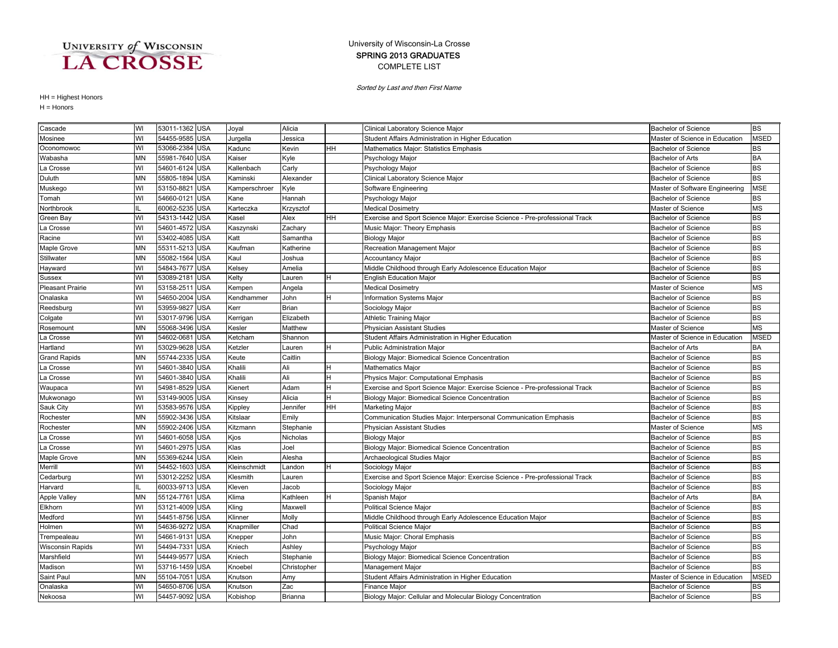### COMPLETE LIST SPRING 2013 GRADUATES University of Wisconsin-La Crosse

Sorted by Last and then First Name

| Cascade                 | WI        | 53011-1362 USA |            | Joyal         | Alicia         |    | Clinical Laboratory Science Major                                           | <b>Bachelor of Science</b>     | <b>BS</b>   |
|-------------------------|-----------|----------------|------------|---------------|----------------|----|-----------------------------------------------------------------------------|--------------------------------|-------------|
| Mosinee                 | WI        | 54455-9585 USA |            | Jurgella      | Jessica        |    | Student Affairs Administration in Higher Education                          | Master of Science in Education | <b>MSED</b> |
| Oconomowoc              | WI        | 53066-2384 USA |            | Kadunc        | Kevin          | HН | Mathematics Major: Statistics Emphasis                                      | <b>Bachelor of Science</b>     | <b>BS</b>   |
| Wabasha                 | MN        | 55981-7640 USA |            | Kaiser        | Kyle           |    | Psychology Major                                                            | <b>Bachelor of Arts</b>        | <b>BA</b>   |
| La Crosse               | WI        | 54601-6124 USA |            | Kallenbach    | Carly          |    | Psychology Major                                                            | <b>Bachelor of Science</b>     | <b>BS</b>   |
| Duluth                  | MN        | 55805-1894 USA |            | Kaminski      | Alexander      |    | Clinical Laboratory Science Major                                           | <b>Bachelor of Science</b>     | <b>BS</b>   |
| Muskego                 | WI        | 53150-8821     | <b>USA</b> | Kamperschroer | Kyle           |    | Software Engineering                                                        | Master of Software Engineering | <b>MSE</b>  |
| Tomah                   | WI        | 54660-0121     | <b>USA</b> | Kane          | Hannah         |    | Psychology Major                                                            | <b>Bachelor of Science</b>     | <b>BS</b>   |
| Northbrook              |           | 60062-5235 USA |            | Karteczka     | Krzysztof      |    | <b>Medical Dosimetry</b>                                                    | Master of Science              | <b>MS</b>   |
| Green Bay               | WI        | 54313-1442 USA |            | Kasel         | Alex           | HН | Exercise and Sport Science Major: Exercise Science - Pre-professional Track | <b>Bachelor of Science</b>     | <b>BS</b>   |
| La Crosse               | WI        | 54601-4572 USA |            | Kaszynski     | Zachary        |    | Music Major: Theory Emphasis                                                | <b>Bachelor of Science</b>     | <b>BS</b>   |
| Racine                  | WI        | 53402-4085 USA |            | Katt          | Samantha       |    | <b>Biology Major</b>                                                        | <b>Bachelor of Science</b>     | <b>BS</b>   |
| Maple Grove             | <b>MN</b> | 55311-5213 USA |            | Kaufman       | Katherine      |    | Recreation Management Major                                                 | <b>Bachelor of Science</b>     | <b>BS</b>   |
| Stillwater              | <b>MN</b> | 55082-1564     | <b>USA</b> | Kaul          | Joshua         |    | <b>Accountancy Major</b>                                                    | <b>Bachelor of Science</b>     | <b>BS</b>   |
| Hayward                 | WI        | 54843-7677     | <b>USA</b> | Kelsey        | Amelia         |    | Middle Childhood through Early Adolescence Education Major                  | <b>Bachelor of Science</b>     | <b>BS</b>   |
| Sussex                  | WI        | 53089-2181     | <b>USA</b> | Kelty         | Lauren         |    | <b>English Education Maior</b>                                              | <b>Bachelor of Science</b>     | <b>BS</b>   |
| <b>Pleasant Prairie</b> | WI        | 53158-251      | <b>USA</b> | Kempen        | Angela         |    | <b>Medical Dosimetry</b>                                                    | Master of Science              | MS          |
| Onalaska                | WI        | 54650-2004 USA |            | Kendhammer    | John           |    | Information Systems Major                                                   | <b>Bachelor of Science</b>     | <b>BS</b>   |
| Reedsburg               | WI        | 53959-9827     | <b>USA</b> | Kerr          | Brian          |    | Sociology Major                                                             | <b>Bachelor of Science</b>     | <b>BS</b>   |
| Colgate                 | WI        | 53017-9796 USA |            | Kerrigan      | Elizabeth      |    | Athletic Training Major                                                     | <b>Bachelor of Science</b>     | <b>BS</b>   |
| Rosemount               | <b>MN</b> | 55068-3496 USA |            | Kesler        | Matthew        |    | <b>Physician Assistant Studies</b>                                          | Master of Science              | <b>MS</b>   |
| La Crosse               | WI        | 54602-0681     | <b>USA</b> | Ketcham       | Shannon        |    | Student Affairs Administration in Higher Education                          | Master of Science in Education | <b>MSED</b> |
| Hartland                | WI        | 53029-9628     | <b>USA</b> | Ketzler       | Lauren         | н  | <b>Public Administration Major</b>                                          | <b>Bachelor of Arts</b>        | <b>BA</b>   |
| <b>Grand Rapids</b>     | <b>MN</b> | 55744-2335     | <b>USA</b> | Keute         | Caitlin        |    | Biology Major: Biomedical Science Concentration                             | <b>Bachelor of Science</b>     | <b>BS</b>   |
| La Crosse               | WI        | 54601-3840 USA |            | Khalili       | Ali            |    | Mathematics Major                                                           | <b>Bachelor of Science</b>     | <b>BS</b>   |
| La Crosse               | WI        | 54601-3840 USA |            | Khalili       | Ali            | н  | Physics Major: Computational Emphasis                                       | <b>Bachelor of Science</b>     | <b>BS</b>   |
| Waupaca                 | WI        | 54981-8529 USA |            | Kienert       | Adam           |    | Exercise and Sport Science Major: Exercise Science - Pre-professional Track | <b>Bachelor of Science</b>     | <b>BS</b>   |
| Mukwonago               | WI        | 53149-9005 USA |            | Kinsey        | Alicia         | H  | Biology Major: Biomedical Science Concentration                             | <b>Bachelor of Science</b>     | <b>BS</b>   |
| Sauk City               | WI        | 53583-9576 USA |            | Kippley       | Jennifer       | HН | Marketing Major                                                             | <b>Bachelor of Science</b>     | <b>BS</b>   |
| Rochester               | <b>MN</b> | 55902-3436 USA |            | Kitslaar      | Emily          |    | Communication Studies Major: Interpersonal Communication Emphasis           | <b>Bachelor of Science</b>     | <b>BS</b>   |
| Rochester               | <b>MN</b> | 55902-2406 USA |            | Kitzmann      | Stephanie      |    | <b>Physician Assistant Studies</b>                                          | Master of Science              | <b>MS</b>   |
| La Crosse               | WI        | 54601-6058     | <b>USA</b> | Kjos          | Nicholas       |    | <b>Biology Major</b>                                                        | <b>Bachelor of Science</b>     | <b>BS</b>   |
| La Crosse               | WI        | 54601-2975 USA |            | Klas          | Joel           |    | Biology Major: Biomedical Science Concentration                             | <b>Bachelor of Science</b>     | <b>BS</b>   |
| Maple Grove             | MΝ        | 55369-6244 USA |            | Klein         | Alesha         |    | Archaeological Studies Major                                                | <b>Bachelor of Science</b>     | <b>BS</b>   |
| Merrill                 | WI        | 54452-1603 USA |            | Kleinschmidt  | Landon         |    | Sociology Major                                                             | <b>Bachelor of Science</b>     | <b>BS</b>   |
| Cedarburg               | WI        | 53012-2252 USA |            | Klesmith      | Lauren         |    | Exercise and Sport Science Major: Exercise Science - Pre-professional Track | <b>Bachelor of Science</b>     | <b>BS</b>   |
| Harvard                 |           | 60033-9713 USA |            | Kleven        | Jacob          |    | Sociology Major                                                             | <b>Bachelor of Science</b>     | <b>BS</b>   |
| <b>Apple Valley</b>     | <b>MN</b> | 55124-7761     | <b>USA</b> | Klima         | Kathleen       |    | Spanish Major                                                               | <b>Bachelor of Arts</b>        | <b>BA</b>   |
| Elkhorn                 | WI        | 53121-4009 USA |            | Kling         | Maxwell        |    | <b>Political Science Major</b>                                              | <b>Bachelor of Science</b>     | <b>BS</b>   |
| Medford                 | WI        | 54451-8756     | <b>USA</b> | Klinner       | Molly          |    | Middle Childhood through Early Adolescence Education Major                  | <b>Bachelor of Science</b>     | <b>BS</b>   |
| Holmen                  | WI        | 54636-9272 USA |            | Knapmiller    | Chad           |    | Political Science Major                                                     | <b>Bachelor of Science</b>     | <b>BS</b>   |
| Trempealeau             | WI        | 54661-9131 USA |            | Knepper       | John           |    | Music Major: Choral Emphasis                                                | <b>Bachelor of Science</b>     | <b>BS</b>   |
| <b>Wisconsin Rapids</b> | WI        | 54494-7331 USA |            | Kniech        | Ashley         |    | Psychology Major                                                            | <b>Bachelor of Science</b>     | <b>BS</b>   |
| Marshfield              | WI        | 54449-9577 USA |            | Kniech        | Stephanie      |    | Biology Major: Biomedical Science Concentration                             | <b>Bachelor of Science</b>     | <b>BS</b>   |
| Madison                 | WI        | 53716-1459 USA |            | Knoebel       | Christopher    |    | Management Major                                                            | <b>Bachelor of Science</b>     | <b>BS</b>   |
| Saint Paul              | MN        | 55104-7051     | <b>USA</b> | Knutson       | Amy            |    | Student Affairs Administration in Higher Education                          | Master of Science in Education | <b>MSED</b> |
| Onalaska                | WI        | 54650-8706 USA |            | Knutson       | Zac            |    | <b>Finance Maior</b>                                                        | <b>Bachelor of Science</b>     | <b>BS</b>   |
| Nekoosa                 | WI        | 54457-9092 USA |            | Kobishop      | <b>Brianna</b> |    | Biology Maior: Cellular and Molecular Biology Concentration                 | <b>Bachelor of Science</b>     | <b>BS</b>   |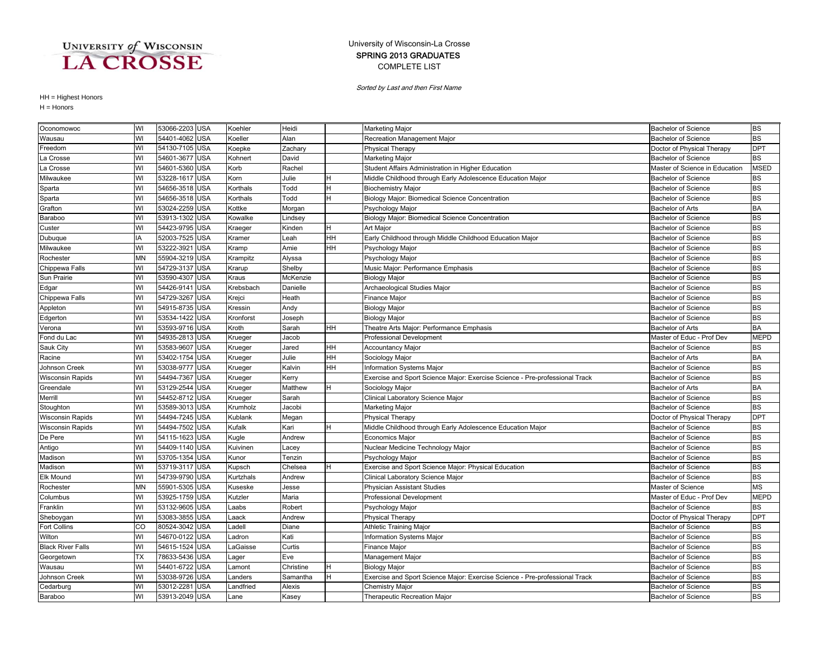### COMPLETE LIST SPRING 2013 GRADUATES University of Wisconsin-La Crosse

Sorted by Last and then First Name

| Oconomowoc               | WI        | 53066-2203 USA |            | Koehler   | Heidi     |           | Marketing Major                                                             | <b>Bachelor of Science</b>     | <b>BS</b>   |
|--------------------------|-----------|----------------|------------|-----------|-----------|-----------|-----------------------------------------------------------------------------|--------------------------------|-------------|
| Wausau                   | WI        | 54401-4062 USA |            | Koeller   | Alan      |           | Recreation Management Major                                                 | Bachelor of Science            | <b>BS</b>   |
| Freedom                  | WI        | 54130-7105 USA |            | Koepke    | Zachary   |           | Physical Therapy                                                            | Doctor of Physical Therapy     | <b>DPT</b>  |
| La Crosse                | WI        | 54601-3677 USA |            | Kohnert   | David     |           | Marketing Major                                                             | <b>Bachelor of Science</b>     | <b>BS</b>   |
| La Crosse                | WI        | 54601-5360     | <b>USA</b> | Korb      | Rachel    |           | Student Affairs Administration in Higher Education                          | Master of Science in Education | <b>MSED</b> |
| Milwaukee                | WI        | 53228-1617     | <b>USA</b> | Korn      | Julie     | H         | Middle Childhood through Early Adolescence Education Major                  | <b>Bachelor of Science</b>     | <b>BS</b>   |
| Sparta                   | WI        | 54656-3518     | <b>USA</b> | Korthals  | Todd      | H.        | <b>Biochemistry Major</b>                                                   | <b>Bachelor of Science</b>     | <b>BS</b>   |
| Sparta                   | WI        | 54656-3518     | <b>USA</b> | Korthals  | Todd      |           | Biology Major: Biomedical Science Concentration                             | <b>Bachelor of Science</b>     | <b>BS</b>   |
| Grafton                  | WI        | 53024-2259 USA |            | Kottke    | Morgan    |           | Psychology Major                                                            | <b>Bachelor of Arts</b>        | <b>BA</b>   |
| Baraboo                  | WI        | 53913-1302 USA |            | Kowalke   | Lindsey   |           | Biology Major: Biomedical Science Concentration                             | <b>Bachelor of Science</b>     | <b>BS</b>   |
| Custer                   | WI        | 54423-9795 USA |            | Kraeger   | Kinden    | H         | Art Major                                                                   | <b>Bachelor of Science</b>     | <b>BS</b>   |
| Dubuque                  | IA        | 52003-7525 USA |            | Kramer    | Leah      | HH        | Early Childhood through Middle Childhood Education Major                    | <b>Bachelor of Science</b>     | <b>BS</b>   |
| Milwaukee                | WI        | 53222-3921     | <b>USA</b> | Kramp     | Amie      | HH        | Psychology Major                                                            | <b>Bachelor of Science</b>     | <b>BS</b>   |
| Rochester                | <b>MN</b> | 55904-3219 USA |            | Krampitz  | Alyssa    |           | Psychology Major                                                            | <b>Bachelor of Science</b>     | <b>BS</b>   |
| Chippewa Falls           | WI        | 54729-3137     | <b>USA</b> | Krarup    | Shelby    |           | Music Major: Performance Emphasis                                           | <b>Bachelor of Science</b>     | <b>BS</b>   |
| Sun Prairie              | WI        | 53590-4307     | <b>USA</b> | Kraus     | McKenzie  |           | <b>Biology Major</b>                                                        | <b>Bachelor of Science</b>     | <b>BS</b>   |
| Edgar                    | WI        | 54426-914      | <b>USA</b> | Krebsbach | Danielle  |           | Archaeological Studies Major                                                | <b>Bachelor of Science</b>     | <b>BS</b>   |
| Chippewa Falls           | WI        | 54729-3267     | <b>USA</b> | Krejci    | Heath     |           | Finance Major                                                               | <b>Bachelor of Science</b>     | <b>BS</b>   |
| Appleton                 | WI        | 54915-8735 USA |            | Kressin   | Andy      |           | <b>Biology Major</b>                                                        | <b>Bachelor of Science</b>     | <b>BS</b>   |
| Edgerton                 | WI        | 53534-1422 USA |            | Kronforst | Joseph    |           | <b>Biology Major</b>                                                        | <b>Bachelor of Science</b>     | <b>BS</b>   |
| Verona                   | WI        | 53593-9716 USA |            | Kroth     | Sarah     | <b>HH</b> | Theatre Arts Major: Performance Emphasis                                    | Bachelor of Arts               | <b>BA</b>   |
| Fond du Lac              | WI        | 54935-2813     | <b>USA</b> | Krueger   | Jacob     |           | Professional Development                                                    | Master of Educ - Prof Dev      | <b>MEPD</b> |
| Sauk City                | WI        | 53583-9607     | <b>USA</b> | Krueger   | Jared     | <b>HH</b> | <b>Accountancy Major</b>                                                    | <b>Bachelor of Science</b>     | <b>BS</b>   |
| Racine                   | WI        | 53402-1754     | <b>USA</b> | Krueger   | Julie     | HH        | Sociology Major                                                             | <b>Bachelor of Arts</b>        | <b>BA</b>   |
| Johnson Creek            | WI        | 53038-9777 USA |            | Krueger   | Kalvin    | HH        | Information Systems Major                                                   | <b>Bachelor of Science</b>     | <b>BS</b>   |
| <b>Wisconsin Rapids</b>  | WI        | 54494-7367 USA |            | Krueger   | Kerry     |           | Exercise and Sport Science Major: Exercise Science - Pre-professional Track | <b>Bachelor of Science</b>     | <b>BS</b>   |
| Greendale                | WI        | 53129-2544 USA |            | Krueger   | Matthew   | H         | Sociology Major                                                             | Bachelor of Arts               | <b>BA</b>   |
| Merrill                  | WI        | 54452-8712 USA |            | Krueger   | Sarah     |           | Clinical Laboratory Science Major                                           | <b>Bachelor of Science</b>     | <b>BS</b>   |
| Stoughton                | WI        | 53589-3013     | <b>USA</b> | Krumholz  | Jacobi    |           | <b>Marketing Major</b>                                                      | <b>Bachelor of Science</b>     | <b>BS</b>   |
| <b>Wisconsin Rapids</b>  | WI        | 54494-7245 USA |            | Kublank   | Megan     |           | <b>Physical Therapy</b>                                                     | Doctor of Physical Therapy     | <b>DPT</b>  |
| <b>Wisconsin Rapids</b>  | WI        | 54494-7502 USA |            | Kufalk    | Kari      | H         | Middle Childhood through Early Adolescence Education Major                  | <b>Bachelor of Science</b>     | <b>BS</b>   |
| De Pere                  | WI        | 54115-1623     | <b>USA</b> | Kugle     | Andrew    |           | <b>Economics Maior</b>                                                      | <b>Bachelor of Science</b>     | <b>BS</b>   |
| Antigo                   | WI        | 54409-1140     | <b>USA</b> | Kuivinen  | Lacey     |           | Nuclear Medicine Technology Major                                           | <b>Bachelor of Science</b>     | <b>BS</b>   |
| Madison                  | WI        | 53705-1354     | <b>USA</b> | Kunor     | Tenzin    |           | Psychology Major                                                            | <b>Bachelor of Science</b>     | <b>BS</b>   |
| Madison                  | WI        | 53719-3117 USA |            | Kupsch    | Chelsea   | н         | Exercise and Sport Science Major: Physical Education                        | <b>Bachelor of Science</b>     | <b>BS</b>   |
| <b>Elk Mound</b>         | WI        | 54739-9790 USA |            | Kurtzhals | Andrew    |           | Clinical Laboratory Science Major                                           | <b>Bachelor of Science</b>     | <b>BS</b>   |
| Rochester                | <b>MN</b> | 55901-5305 USA |            | Kuseske   | Jesse     |           | <b>Physician Assistant Studies</b>                                          | Master of Science              | <b>MS</b>   |
| Columbus                 | WI        | 53925-1759 USA |            | Kutzler   | Maria     |           | Professional Development                                                    | Master of Educ - Prof Dev      | <b>MEPD</b> |
| Franklin                 | WI        | 53132-9605 USA |            | Laabs     | Robert    |           | Psychology Major                                                            | <b>Bachelor of Science</b>     | <b>BS</b>   |
| Sheboygan                | WI        | 53083-3855     | <b>USA</b> | .aack     | Andrew    |           | <b>Physical Therapy</b>                                                     | Doctor of Physical Therapy     | <b>DPT</b>  |
| <b>Fort Collins</b>      | CO        | 80524-3042     | <b>USA</b> | Ladell    | Diane     |           | <b>Athletic Training Major</b>                                              | <b>Bachelor of Science</b>     | <b>BS</b>   |
| Wilton                   | WI        | 54670-0122 USA |            | .adron    | Kati      |           | Information Systems Major                                                   | <b>Bachelor of Science</b>     | <b>BS</b>   |
| <b>Black River Falls</b> | WI        | 54615-1524 USA |            | LaGaisse  | Curtis    |           | Finance Major                                                               | Bachelor of Science            | <b>BS</b>   |
| Georgetown               | TX        | 78633-5436 USA |            | ager      | Eve       |           | Management Major                                                            | <b>Bachelor of Science</b>     | <b>BS</b>   |
| Wausau                   | WI        | 54401-6722 USA |            | Lamont    | Christine | H.        | <b>Biology Major</b>                                                        | <b>Bachelor of Science</b>     | <b>BS</b>   |
| Johnson Creek            | WI        | 53038-9726 USA |            | Landers   | Samantha  | H         | Exercise and Sport Science Major: Exercise Science - Pre-professional Track | <b>Bachelor of Science</b>     | <b>BS</b>   |
| Cedarburg                | WI        | 53012-2281     | <b>USA</b> | Landfried | Alexis    |           | <b>Chemistry Major</b>                                                      | <b>Bachelor of Science</b>     | <b>BS</b>   |
| Baraboo                  | WI        | 53913-2049 USA |            | Lane      | Kasev     |           | Therapeutic Recreation Major                                                | <b>Bachelor of Science</b>     | <b>BS</b>   |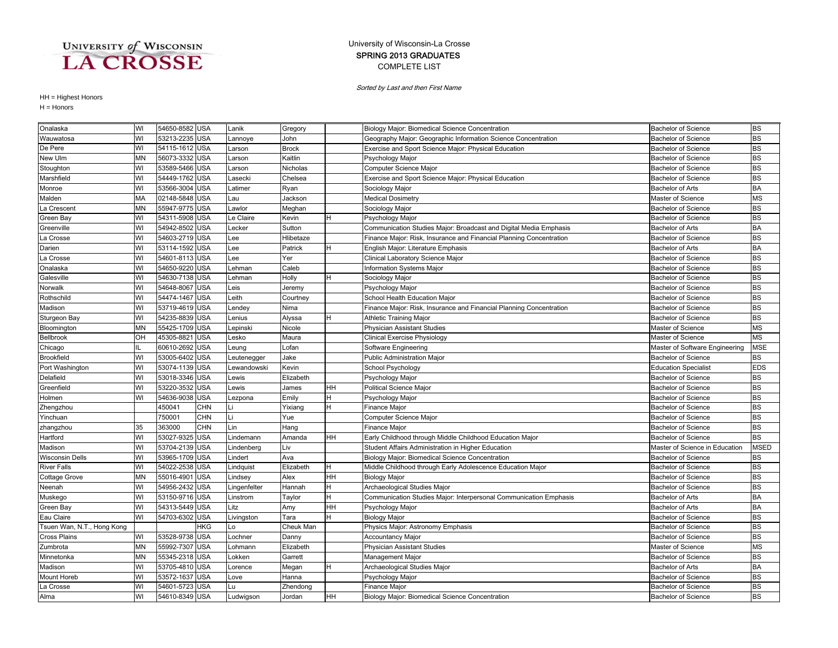### COMPLETE LIST SPRING 2013 GRADUATES University of Wisconsin-La Crosse

Sorted by Last and then First Name

| Onalaska                   | WI        | 54650-8582 USA |            | Lanik        | Gregory      |           | Biology Major: Biomedical Science Concentration                     | <b>Bachelor of Science</b>     | <b>BS</b>   |
|----------------------------|-----------|----------------|------------|--------------|--------------|-----------|---------------------------------------------------------------------|--------------------------------|-------------|
| Wauwatosa                  | WI        | 53213-2235 USA |            | _annoye      | John         |           | Geography Major: Geographic Information Science Concentration       | <b>Bachelor of Science</b>     | <b>BS</b>   |
| De Pere                    | WI        | 54115-1612 USA |            | _arson       | <b>Brock</b> |           | Exercise and Sport Science Major: Physical Education                | <b>Bachelor of Science</b>     | <b>BS</b>   |
| New Ulm                    | <b>MN</b> | 56073-3332 USA |            | Larson       | Kaitlin      |           | Psychology Major                                                    | <b>Bachelor of Science</b>     | <b>BS</b>   |
| Stoughton                  | WI        | 53589-5466 USA |            | Larson       | Nicholas     |           | Computer Science Major                                              | <b>Bachelor of Science</b>     | <b>BS</b>   |
| Marshfield                 | WI        | 54449-1762     | <b>USA</b> | Lasecki      | Chelsea      |           | Exercise and Sport Science Major: Physical Education                | <b>Bachelor of Science</b>     | <b>BS</b>   |
| Monroe                     | WI        | 53566-3004 USA |            | Latimer      | Ryan         |           | Sociology Major                                                     | <b>Bachelor of Arts</b>        | <b>BA</b>   |
| Malden                     | MA        | 02148-5848     | <b>USA</b> | Lau          | Jackson      |           | <b>Medical Dosimetry</b>                                            | Master of Science              | <b>MS</b>   |
| La Crescent                | MN        | 55947-9775     | <b>USA</b> | Lawlor       | Meghan       |           | Sociology Major                                                     | <b>Bachelor of Science</b>     | <b>BS</b>   |
| Green Bay                  | WI        | 54311-5908     | <b>USA</b> | Le Claire    | Kevin        |           | Psychology Major                                                    | <b>Bachelor of Science</b>     | <b>BS</b>   |
| Greenville                 | WI        | 54942-8502     | <b>USA</b> | Lecker       | Sutton       |           | Communication Studies Major: Broadcast and Digital Media Emphasis   | <b>Bachelor of Arts</b>        | <b>BA</b>   |
| La Crosse                  | WI        | 54603-2719 USA |            | Lee          | Hlibetaze    |           | Finance Major: Risk, Insurance and Financial Planning Concentration | <b>Bachelor of Science</b>     | <b>BS</b>   |
| Darien                     | WI        | 53114-1592 USA |            | Lee          | Patrick      |           | English Major: Literature Emphasis                                  | Bachelor of Arts               | <b>BA</b>   |
| La Crosse                  | WI        | 54601-8113 USA |            | Lee          | Yer          |           | Clinical Laboratory Science Major                                   | <b>Bachelor of Science</b>     | <b>BS</b>   |
| Onalaska                   | WI        | 54650-9220     | <b>USA</b> | _ehman       | Caleb        |           | Information Systems Major                                           | <b>Bachelor of Science</b>     | <b>BS</b>   |
| Galesville                 | WI        | 54630-7138 USA |            | Lehman       | Holly        | н         | Sociology Major                                                     | <b>Bachelor of Science</b>     | <b>BS</b>   |
| Norwalk                    | WI        | 54648-8067     | <b>USA</b> | Leis         | Jeremy       |           | Psychology Major                                                    | <b>Bachelor of Science</b>     | <b>BS</b>   |
| Rothschild                 | WI        | 54474-1467     | <b>USA</b> | Leith        | Courtney     |           | School Health Education Major                                       | <b>Bachelor of Science</b>     | <b>BS</b>   |
| Madison                    | WI        | 53719-4619 USA |            | _endey       | Nima         |           | Finance Major: Risk, Insurance and Financial Planning Concentration | <b>Bachelor of Science</b>     | <b>BS</b>   |
| Sturgeon Bay               | WI        | 54235-8839 USA |            | Lenius       | Alyssa       | н         | <b>Athletic Training Major</b>                                      | <b>Bachelor of Science</b>     | <b>BS</b>   |
| Bloomington                | MN        | 55425-1709 USA |            | _epinski     | Nicole       |           | Physician Assistant Studies                                         | Master of Science              | <b>MS</b>   |
| Bellbrook                  | OH        | 45305-8821     | <b>USA</b> | Lesko        | Maura        |           | Clinical Exercise Physiology                                        | Master of Science              | <b>MS</b>   |
| Chicago                    |           | 60610-2692     | <b>USA</b> | Leung        | Lofan        |           | Software Engineering                                                | Master of Software Engineering | <b>MSE</b>  |
| <b>Brookfield</b>          | WI        | 53005-6402     | <b>USA</b> | Leutenegger  | Jake         |           | <b>Public Administration Major</b>                                  | <b>Bachelor of Science</b>     | <b>BS</b>   |
| Port Washington            | WI        | 53074-1139     | <b>USA</b> | _ewandowski  | Kevin        |           | School Psychology                                                   | <b>Education Specialist</b>    | <b>EDS</b>  |
| Delafield                  | WI        | 53018-3346     | <b>USA</b> | _ewis        | Elizabeth    |           | Psychology Major                                                    | <b>Bachelor of Science</b>     | <b>BS</b>   |
| Greenfield                 | WI        | 53220-3532     | <b>USA</b> | Lewis        | James        | HН        | <b>Political Science Major</b>                                      | <b>Bachelor of Science</b>     | <b>BS</b>   |
| Holmen                     | WI        | 54636-9038     | <b>USA</b> | Lezpona      | Emily        | H         | Psychology Major                                                    | <b>Bachelor of Science</b>     | <b>BS</b>   |
| Zhengzhou                  |           | 450041         | <b>CHN</b> |              | Yixiang      |           | Finance Major                                                       | <b>Bachelor of Science</b>     | <b>BS</b>   |
| Yinchuan                   |           | 750001         | <b>CHN</b> | Li           | Yue          |           | Computer Science Major                                              | <b>Bachelor of Science</b>     | <b>BS</b>   |
| zhangzhou                  | 35        | 363000         | <b>CHN</b> | Lin          | Hang         |           | Finance Major                                                       | <b>Bachelor of Science</b>     | <b>BS</b>   |
| Hartford                   | WI        | 53027-9325 USA |            | Lindemann    | Amanda       | HН        | Early Childhood through Middle Childhood Education Major            | <b>Bachelor of Science</b>     | <b>BS</b>   |
| Madison                    | WI        | 53704-2139     | <b>USA</b> | Lindenberg   | Liv          |           | Student Affairs Administration in Higher Education                  | Master of Science in Education | <b>MSED</b> |
| <b>Wisconsin Dells</b>     | WI        | 53965-1709     | <b>USA</b> | Lindert      | Ava          |           | Biology Major: Biomedical Science Concentration                     | <b>Bachelor of Science</b>     | <b>BS</b>   |
| <b>River Falls</b>         | WI        | 54022-2538     | <b>USA</b> | Lindquist    | Elizabeth    | H         | Middle Childhood through Early Adolescence Education Major          | <b>Bachelor of Science</b>     | <b>BS</b>   |
| Cottage Grove              | MN        | 55016-4901     | <b>USA</b> | Lindsey      | Alex         | HΗ        | <b>Biology Major</b>                                                | <b>Bachelor of Science</b>     | <b>BS</b>   |
| Neenah                     | WI        | 54956-2432 USA |            | Lingenfelter | Hannah       | н         | Archaeological Studies Major                                        | Bachelor of Science            | <b>BS</b>   |
| Muskego                    | WI        | 53150-9716 USA |            | Linstrom     | Taylor       | H         | Communication Studies Major: Interpersonal Communication Emphasis   | <b>Bachelor of Arts</b>        | <b>BA</b>   |
| Green Bay                  | WI        | 54313-5449 USA |            | Litz         | Amy          | HН        | Psychology Major                                                    | <b>Bachelor of Arts</b>        | <b>BA</b>   |
| Eau Claire                 | WI        | 54703-6302     | <b>USA</b> | Livingston   | Tara         |           | <b>Biology Major</b>                                                | <b>Bachelor of Science</b>     | <b>BS</b>   |
| Tsuen Wan, N.T., Hong Kong |           |                | <b>HKG</b> | Lo           | Cheuk Man    |           | Physics Major: Astronomy Emphasis                                   | <b>Bachelor of Science</b>     | <b>BS</b>   |
| <b>Cross Plains</b>        | WI        | 53528-9738     | <b>USA</b> | _ochner      | Danny        |           | <b>Accountancy Major</b>                                            | <b>Bachelor of Science</b>     | <b>BS</b>   |
| Zumbrota                   | MΝ        | 55992-7307     | <b>USA</b> | _ohmann      | Elizabeth    |           | <b>Physician Assistant Studies</b>                                  | Master of Science              | <b>MS</b>   |
| Minnetonka                 | ΜN        | 55345-2318 USA |            | _okken       | Garrett      |           | Management Major                                                    | <b>Bachelor of Science</b>     | <b>BS</b>   |
| Madison                    | WI        | 53705-4810 USA |            | Lorence      | Megan        |           | Archaeological Studies Major                                        | <b>Bachelor of Arts</b>        | <b>BA</b>   |
| Mount Horeb                | WI        | 53572-1637 USA |            | Love         | Hanna        |           | Psychology Major                                                    | <b>Bachelor of Science</b>     | <b>BS</b>   |
| La Crosse                  | WI        | 54601-5723 USA |            | Lu           | Zhendong     |           | Finance Major                                                       | <b>Bachelor of Science</b>     | <b>BS</b>   |
| Alma                       | WI        | 54610-8349 USA |            | Ludwigson    | Jordan       | <b>HH</b> | <b>Biology Major: Biomedical Science Concentration</b>              | <b>Bachelor of Science</b>     | <b>BS</b>   |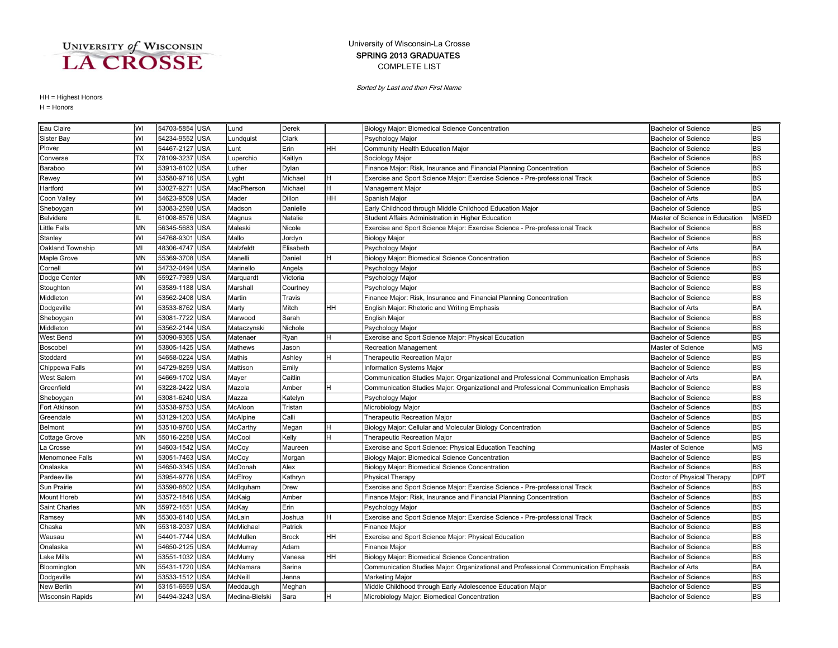### COMPLETE LIST SPRING 2013 GRADUATES University of Wisconsin-La Crosse

Sorted by Last and then First Name

| Eau Claire              | WI        | 54703-5854 USA |            | Lund           | Derek         |          | Biology Major: Biomedical Science Concentration                                     | Bachelor of Science            | BS          |
|-------------------------|-----------|----------------|------------|----------------|---------------|----------|-------------------------------------------------------------------------------------|--------------------------------|-------------|
| Sister Bay              | WI        | 54234-9552 USA |            | Lundquist      | Clark         |          | Psychology Major                                                                    | <b>Bachelor of Science</b>     | BS          |
| Plover                  | WI        | 54467-2127 USA |            | unt.           | Erin          | HΗ       | Community Health Education Major                                                    | <b>Bachelor of Science</b>     | <b>BS</b>   |
| Converse                | <b>TX</b> | 78109-3237 USA |            | uperchio.      | Kaitlyn       |          | Sociology Major                                                                     | <b>Bachelor of Science</b>     | BS          |
| Baraboo                 | WI        | 53913-8102     | <b>USA</b> | uther_         | Dylan         |          | Finance Major: Risk, Insurance and Financial Planning Concentration                 | <b>Bachelor of Science</b>     | <b>BS</b>   |
| Rewey                   | WI        | 53580-9716     | <b>USA</b> | -yght          | Michael       | н        | Exercise and Sport Science Major: Exercise Science - Pre-professional Track         | <b>Bachelor of Science</b>     | <b>BS</b>   |
| Hartford                | WI        | 53027-927      | <b>USA</b> | MacPherson     | Michael       | H        | <b>Management Major</b>                                                             | <b>Bachelor of Science</b>     | <b>BS</b>   |
| Coon Valley             | WI        | 54623-9509     | <b>USA</b> | Mader          | <b>Dillon</b> | HH       | Spanish Maior                                                                       | <b>Bachelor of Arts</b>        | BA          |
| Sheboygan               | WI        | 53083-2598     | USA        | Madson         | Danielle      |          | Early Childhood through Middle Childhood Education Major                            | <b>Bachelor of Science</b>     | BS          |
| Belvidere               |           | 61008-8576 USA |            | Magnus         | Natalie       |          | Student Affairs Administration in Higher Education                                  | Master of Science in Education | <b>MSED</b> |
| <b>Little Falls</b>     | MN        | 56345-5683 USA |            | Maleski        | Nicole        |          | Exercise and Sport Science Major: Exercise Science - Pre-professional Track         | <b>Bachelor of Science</b>     | BS          |
| Stanley                 | WI        | 54768-9301     | <b>USA</b> | Mallo          | Jordyn        |          | <b>Biology Major</b>                                                                | <b>Bachelor of Science</b>     | <b>BS</b>   |
| Oakland Township        | MI        | 48306-4747     | <b>USA</b> | Malzfeldt      | Elisabeth     |          | Psychology Major                                                                    | <b>Bachelor of Arts</b>        | BA          |
| Maple Grove             | <b>MN</b> | 55369-3708 USA |            | Manelli        | Daniel        | н        | Biology Major: Biomedical Science Concentration                                     | <b>Bachelor of Science</b>     | <b>BS</b>   |
| Cornell                 | WI        | 54732-0494     | <b>USA</b> | Marinello      | Angela        |          | Psychology Major                                                                    | <b>Bachelor of Science</b>     | <b>BS</b>   |
| Dodge Center            | <b>MN</b> | 55927-7989     | <b>USA</b> | Marquardt      | Victoria      |          | Psychology Major                                                                    | <b>Bachelor of Science</b>     | <b>BS</b>   |
| Stoughton               | WI        | 53589-1188     | <b>USA</b> | Marshall       | Courtney      |          | Psychology Major                                                                    | <b>Bachelor of Science</b>     | BS          |
| Middleton               | WI        | 53562-2408 USA |            | Martin         | Travis        |          | Finance Major: Risk, Insurance and Financial Planning Concentration                 | Bachelor of Science            | BS          |
| Dodgeville              | WI        | 53533-8762 USA |            | Marty          | Mitch         | HH       | English Major: Rhetoric and Writing Emphasis                                        | <b>Bachelor of Arts</b>        | BA          |
| Sheboygan               | WI        | 53081-7722     | <b>USA</b> | Marwood        | Sarah         |          | <b>English Major</b>                                                                | <b>Bachelor of Science</b>     | <b>BS</b>   |
| Middleton               | WI        | 53562-2144     | <b>USA</b> | Mataczynski    | Nichole       |          | Psychology Major                                                                    | <b>Bachelor of Science</b>     | <b>BS</b>   |
| West Bend               | WI        | 53090-9365     | <b>USA</b> | Matenaer       | Ryan          | H        | Exercise and Sport Science Major: Physical Education                                | <b>Bachelor of Science</b>     | BS          |
| Boscobel                | WI        | 53805-1425     | <b>USA</b> | Mathews        | Jason         |          | <b>Recreation Management</b>                                                        | Master of Science              | <b>MS</b>   |
| Stoddard                | WI        | 54658-0224     | <b>USA</b> | Mathis         | Ashley        | н        | <b>Therapeutic Recreation Major</b>                                                 | <b>Bachelor of Science</b>     | <b>BS</b>   |
| Chippewa Falls          | WI        | 54729-8259     | USA        | Mattison       | Emily         |          | Information Systems Major                                                           | <b>Bachelor of Science</b>     | BS          |
| West Salem              | WI        | 54669-1702     | <b>USA</b> | Mayer          | Caitlin       |          | Communication Studies Major: Organizational and Professional Communication Emphasis | <b>Bachelor of Arts</b>        | BA          |
| Greenfield              | WI        | 53228-2422 USA |            | Mazola         | Amber         | н        | Communication Studies Major: Organizational and Professional Communication Emphasis | <b>Bachelor of Science</b>     | BS          |
| Sheboygan               | WI        | 53081-6240 USA |            | Mazza          | Katelyn       |          | Psychology Major                                                                    | <b>Bachelor of Science</b>     | <b>BS</b>   |
| Fort Atkinson           | WI        | 53538-9753 USA |            | McAloon        | Tristan       |          | Microbiology Major                                                                  | <b>Bachelor of Science</b>     | <b>BS</b>   |
| Greendale               | WI        | 53129-1203     | <b>USA</b> | McAlpine       | Calli         |          | <b>Therapeutic Recreation Major</b>                                                 | Bachelor of Science            | <b>BS</b>   |
| Belmont                 | WI        | 53510-9760     | <b>USA</b> | McCarthy       | Megan         | н        | Biology Major: Cellular and Molecular Biology Concentration                         | <b>Bachelor of Science</b>     | <b>BS</b>   |
| Cottage Grove           | <b>MN</b> | 55016-2258     | <b>USA</b> | McCool         | Kelly         | H        | <b>Therapeutic Recreation Maior</b>                                                 | <b>Bachelor of Science</b>     | <b>BS</b>   |
| La Crosse               | WI        | 54603-1542     | <b>USA</b> | McCoy          | Maureen       |          | Exercise and Sport Science: Physical Education Teaching                             | Master of Science              | ΜS          |
| Menomonee Falls         | WI        | 53051-7463 USA |            | McCoy          | Morgan        |          | Biology Major: Biomedical Science Concentration                                     | <b>Bachelor of Science</b>     | BS          |
| Onalaska                | WI        | 54650-3345 USA |            | McDonah        | Alex          |          | Biology Major: Biomedical Science Concentration                                     | <b>Bachelor of Science</b>     | <b>BS</b>   |
| Pardeeville             | WI        | 53954-9776 USA |            | McElroy        | Kathryn       |          | <b>Physical Therapy</b>                                                             | Doctor of Physical Therapy     | <b>DPT</b>  |
| Sun Prairie             | WI        | 53590-8802     | <b>USA</b> | McIlquham      | Drew          |          | Exercise and Sport Science Major: Exercise Science - Pre-professional Track         | <b>Bachelor of Science</b>     | <b>BS</b>   |
| Mount Horeb             | WI        | 53572-1846     | <b>USA</b> | McKaig         | Amber         |          | Finance Major: Risk, Insurance and Financial Planning Concentration                 | <b>Bachelor of Science</b>     | <b>BS</b>   |
| Saint Charles           | <b>MN</b> | 55972-1651     | <b>USA</b> | McKay          | Erin          |          | Psychology Major                                                                    | <b>Bachelor of Science</b>     | <b>BS</b>   |
| Ramsey                  | <b>MN</b> | 55303-6140     | <b>USA</b> | McLain         | Joshua        | H        | Exercise and Sport Science Major: Exercise Science - Pre-professional Track         | <b>Bachelor of Science</b>     | <b>BS</b>   |
| Chaska                  | <b>MN</b> | 55318-2037     | USA        | McMichael      | Patrick       |          | Finance Major                                                                       | <b>Bachelor of Science</b>     | BS          |
| Wausau                  | WI        | 54401-7744 USA |            | McMullen       | <b>Brock</b>  | HН       | Exercise and Sport Science Major: Physical Education                                | <b>Bachelor of Science</b>     | <b>BS</b>   |
| Onalaska                | WI        | 54650-2125 USA |            | McMurray       | Adam          |          | <b>Finance Major</b>                                                                | <b>Bachelor of Science</b>     | BS          |
| Lake Mills              | WI        | 53551-1032 USA |            | McMurry        | Vanesa        | HН       | Biology Major: Biomedical Science Concentration                                     | <b>Bachelor of Science</b>     | <b>BS</b>   |
| Bloomington             | <b>MN</b> | 55431-1720 USA |            | McNamara       | Sarina        |          | Communication Studies Major: Organizational and Professional Communication Emphasis | <b>Bachelor of Arts</b>        | BA          |
| Dodgeville              | WI        | 53533-1512     | <b>USA</b> | McNeill        | Jenna         |          | Marketing Major                                                                     | <b>Bachelor of Science</b>     | <b>BS</b>   |
| New Berlin              | WI        | 53151-6659 USA |            | Meddaugh       | Meghan        |          | Middle Childhood through Early Adolescence Education Major                          | <b>Bachelor of Science</b>     | BS          |
| <b>Wisconsin Rapids</b> | WI        | 54494-3243 USA |            | Medina-Bielski | Sara          | <b>H</b> | Microbiology Major: Biomedical Concentration                                        | <b>Bachelor of Science</b>     | <b>BS</b>   |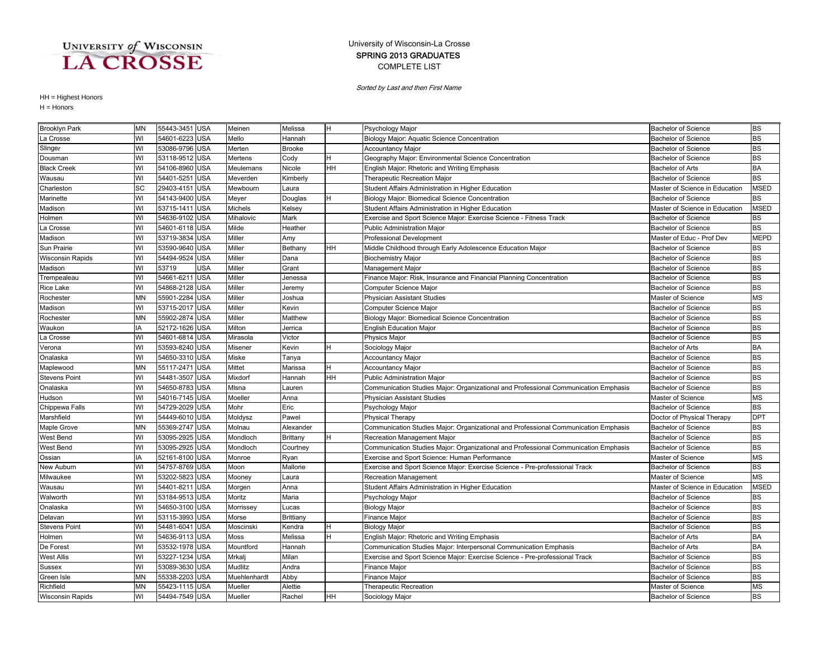### COMPLETE LIST SPRING 2013 GRADUATES University of Wisconsin-La Crosse

Sorted by Last and then First Name

| 55443-3451 USA<br><b>Brooklyn Park</b><br>Meinen<br>н<br><b>Bachelor of Science</b><br>ΜN<br>Melissa<br>Psychology Major                                                                         | <b>BS</b>   |
|--------------------------------------------------------------------------------------------------------------------------------------------------------------------------------------------------|-------------|
| WI<br>54601-6223<br><b>USA</b><br>Mello<br>Biology Major: Aquatic Science Concentration<br>La Crosse<br>Hannah<br><b>Bachelor of Science</b>                                                     | <b>BS</b>   |
| 53086-9796 USA<br>WI<br>Merten<br><b>Brooke</b><br><b>Accountancy Major</b><br><b>Bachelor of Science</b><br>Slinger                                                                             | <b>BS</b>   |
| WI<br>53118-9512<br><b>USA</b><br>Mertens<br>Geography Major: Environmental Science Concentration<br>Cody<br>н<br><b>Bachelor of Science</b><br>Dousman                                          | <b>BS</b>   |
| <b>USA</b><br><b>Black Creek</b><br>WI<br>54106-8960<br>HH<br>Meulemans<br>Nicole<br>English Major: Rhetoric and Writing Emphasis<br><b>Bachelor of Arts</b>                                     | <b>BA</b>   |
| WI<br>54401-5251<br><b>USA</b><br>Kimberly<br>Therapeutic Recreation Major<br>Wausau<br>Meverden<br><b>Bachelor of Science</b>                                                                   | <b>BS</b>   |
| SC<br>29403-4151<br><b>USA</b><br>Student Affairs Administration in Higher Education<br>Charleston<br>Mewbourn<br>Master of Science in Education<br>Laura                                        | <b>MSED</b> |
| WI<br>54143-9400<br><b>USA</b><br>Meyer<br>Douglas<br>н<br>Biology Major: Biomedical Science Concentration<br><b>Bachelor of Science</b><br>Marinette                                            | <b>BS</b>   |
| WI<br>53715-141<br>USA<br>Michels<br>Student Affairs Administration in Higher Education<br>Master of Science in Education<br>Madison<br>Kelsey                                                   | <b>MSED</b> |
| <b>USA</b><br>54636-9102<br>Holmen<br>WI<br>Mihalovic<br>Mark<br>Exercise and Sport Science Major: Exercise Science - Fitness Track<br><b>Bachelor of Science</b>                                | <b>BS</b>   |
| 54601-6118 USA<br>WI<br>Milde<br>Heather<br><b>Public Administration Major</b><br><b>Bachelor of Science</b><br>La Crosse                                                                        | <b>BS</b>   |
| <b>USA</b><br>WI<br>53719-3834<br>Miller<br>Master of Educ - Prof Dev<br>Madison<br>Amy<br><b>Professional Development</b>                                                                       | <b>MEPD</b> |
| 53590-9640 USA<br><b>Miller</b><br>Sun Prairie<br>WI<br>Bethany<br><b>HH</b><br>Middle Childhood through Early Adolescence Education Major<br><b>Bachelor of Science</b>                         | <b>BS</b>   |
| <b>USA</b><br>Miller<br><b>Wisconsin Rapids</b><br>WI<br>54494-9524<br>Dana<br><b>Biochemistry Major</b><br><b>Bachelor of Science</b>                                                           | <b>BS</b>   |
| WI<br>53719<br>USA<br>Miller<br>Grant<br>Madison<br>Management Major<br><b>Bachelor of Science</b>                                                                                               | <b>BS</b>   |
| <b>USA</b><br>WI<br>54661-621<br>Miller<br>Finance Major: Risk, Insurance and Financial Planning Concentration<br>Trempealeau<br>Jenessa<br><b>Bachelor of Science</b>                           | <b>BS</b>   |
| <b>USA</b><br>Miller<br>WI<br>54868-2128<br><b>Rice Lake</b><br>Computer Science Major<br><b>Bachelor of Science</b><br>Jeremy                                                                   | <b>BS</b>   |
| <b>MN</b><br>55901-2284<br>USA<br>Miller<br>Rochester<br>Joshua<br>Physician Assistant Studies<br>Master of Science                                                                              | <b>MS</b>   |
| <b>USA</b><br>Miller<br>53715-2017<br>Madison<br>WI<br>Kevin<br>Computer Science Major<br><b>Bachelor of Science</b>                                                                             | <b>BS</b>   |
| <b>MN</b><br>55902-2874<br><b>USA</b><br>Miller<br>Matthew<br>Biology Major: Biomedical Science Concentration<br><b>Bachelor of Science</b><br>Rochester                                         | <b>BS</b>   |
| 52172-1626<br><b>USA</b><br>IA<br>Milton<br><b>English Education Major</b><br>Waukon<br>Jerrica<br><b>Bachelor of Science</b>                                                                    | <b>BS</b>   |
| WI<br>54601-6814<br><b>USA</b><br>Mirasola<br>Victor<br>Physics Major<br>La Crosse<br>Bachelor of Science                                                                                        | <b>BS</b>   |
| WI<br>53593-8240<br><b>USA</b><br>Misener<br>Kevin<br>н<br>Sociology Major<br><b>Bachelor of Arts</b><br>Verona                                                                                  | <b>BA</b>   |
| 54650-3310<br><b>USA</b><br>Onalaska<br>WI<br>Miske<br><b>Accountancy Major</b><br><b>Bachelor of Science</b><br>Tanya                                                                           | <b>BS</b>   |
| 55117-2471<br><b>USA</b><br><b>MN</b><br>Mittet<br>Marissa<br><b>Accountancy Major</b><br><b>Bachelor of Science</b><br>Maplewood                                                                | <b>BS</b>   |
| <b>USA</b><br><b>Stevens Point</b><br>54481-3507<br>Mixdorf<br>HН<br><b>Bachelor of Science</b><br>WI<br>Hannah<br><b>Public Administration Major</b>                                            | <b>BS</b>   |
| WI<br>54650-8783 USA<br>Misna<br>Onalaska<br>Communication Studies Major: Organizational and Professional Communication Emphasis<br><b>Bachelor of Science</b><br>Lauren                         | <b>BS</b>   |
| 54016-7145 USA<br>WI<br>Moeller<br>Master of Science<br>Hudson<br>Anna<br>Physician Assistant Studies                                                                                            | <b>MS</b>   |
| 54729-2029 USA<br>WI<br>Mohr<br>Eric<br>Chippewa Falls<br>Psychology Major<br><b>Bachelor of Science</b>                                                                                         | <b>BS</b>   |
| 54449-6010<br><b>USA</b><br>Marshfield<br>WI<br>Moldysz<br>Pawel<br>Physical Therapy<br>Doctor of Physical Therapy                                                                               | <b>DPT</b>  |
| <b>MN</b><br>55369-2747<br><b>USA</b><br>Maple Grove<br>Molnau<br>Alexander<br>Communication Studies Major: Organizational and Professional Communication Emphasis<br><b>Bachelor of Science</b> | <b>BS</b>   |
| <b>USA</b><br>WI<br>53095-2925<br>Mondloch<br>H<br>Recreation Management Major<br><b>Bachelor of Science</b><br><b>West Bend</b><br>Brittany                                                     | <b>BS</b>   |
| 53095-2925<br><b>USA</b><br>WI<br>Mondloch<br>Communication Studies Major: Organizational and Professional Communication Emphasis<br><b>Bachelor of Science</b><br>West Bend<br>Courtney         | <b>BS</b>   |
| IA<br><b>USA</b><br>52161-8100<br>Exercise and Sport Science: Human Performance<br>Master of Science<br>Ossian<br>Monroe<br>Ryan                                                                 | <b>MS</b>   |
| 54757-8769 USA<br>WI<br>Moon<br>Mallorie<br>Exercise and Sport Science Major: Exercise Science - Pre-professional Track<br><b>Bachelor of Science</b><br>New Auburn                              | <b>BS</b>   |
| WI<br>53202-5823<br><b>USA</b><br>Milwaukee<br>Mooney<br><b>Recreation Management</b><br>Master of Science<br>Laura                                                                              | <b>MS</b>   |
| 54401-8211<br><b>USA</b><br>WI<br>Anna<br>Student Affairs Administration in Higher Education<br>Master of Science in Education<br>Morgen<br>Wausau                                               | <b>MSED</b> |
| 53184-9513<br><b>USA</b><br>WI<br>Moritz<br>Maria<br><b>Bachelor of Science</b><br>Walworth<br>Psychology Major                                                                                  | <b>BS</b>   |
| WI<br>54650-3100<br><b>USA</b><br>Onalaska<br>Morrissey<br>Lucas<br><b>Biology Major</b><br><b>Bachelor of Science</b>                                                                           | <b>BS</b>   |
| WI<br>53115-3993<br><b>USA</b><br>Morse<br>Brittiany<br>Finance Major<br><b>Bachelor of Science</b><br>Delavan                                                                                   | <b>BS</b>   |
| WI<br><b>USA</b><br><b>Stevens Point</b><br>54481-604<br>Moscinski<br>Kendra<br><b>Biology Major</b><br><b>Bachelor of Science</b>                                                               | <b>BS</b>   |
| <b>USA</b><br>54636-9113<br>Melissa<br>WI<br>Moss<br>English Major: Rhetoric and Writing Emphasis<br><b>Bachelor of Arts</b><br>Holmen                                                           | BA          |
| WI<br>53532-1978<br><b>USA</b><br>Mountford<br>Communication Studies Major: Interpersonal Communication Emphasis<br>De Forest<br>Hannah<br><b>Bachelor of Arts</b>                               | <b>BA</b>   |
| <b>West Allis</b><br>53227-1234<br><b>USA</b><br>Mrkalj<br>Exercise and Sport Science Major: Exercise Science - Pre-professional Track<br>WI<br>Milan<br><b>Bachelor of Science</b>              | <b>BS</b>   |
| WI<br>53089-3630<br><b>USA</b><br>Mudlitz<br>Finance Major<br>Andra<br><b>Bachelor of Science</b><br>Sussex                                                                                      | <b>BS</b>   |
| <b>USA</b><br><b>MN</b><br>55338-2203<br>Green Isle<br>Muehlenhardt<br>Abby<br><b>Finance Major</b><br><b>Bachelor of Science</b>                                                                | <b>BS</b>   |
| Richfield<br><b>MN</b><br>55423-1115 USA<br>Mueller<br>Alettie<br>Therapeutic Recreation<br>Master of Science                                                                                    | <b>MS</b>   |
| 54494-7549 USA<br><b>Wisconsin Rapids</b><br>WI<br>Mueller<br><b>HH</b><br>Sociology Major<br><b>Bachelor of Science</b><br>Rachel                                                               | <b>BS</b>   |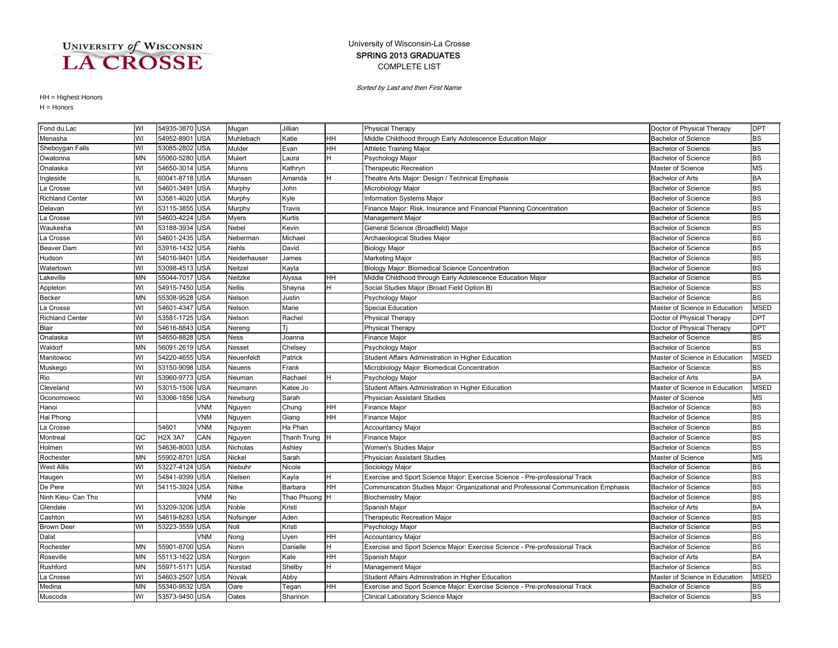### COMPLETE LIST SPRING 2013 GRADUATES University of Wisconsin-La Crosse

Sorted by Last and then First Name

| Fond du Lac            | WI        | 54935-3870 USA |            | Mugan        | Jillian         |           | <b>Physical Therapy</b>                                                             | Doctor of Physical Therapy     | <b>DPT</b>  |
|------------------------|-----------|----------------|------------|--------------|-----------------|-----------|-------------------------------------------------------------------------------------|--------------------------------|-------------|
| Menasha                | WI        | 54952-8901     | <b>USA</b> | Muhlebach    | Katie           | HН        | Middle Childhood through Early Adolescence Education Major                          | <b>Bachelor of Science</b>     | <b>BS</b>   |
| Sheboygan Falls        | WI        | 53085-2802 USA |            | Mulder       | Evan            | HН        | Athletic Training Major                                                             | <b>Bachelor of Science</b>     | <b>BS</b>   |
| Owatonna               | <b>MN</b> | 55060-5280 USA |            | Mulert       | Laura           | H         | Psychology Major                                                                    | <b>Bachelor of Science</b>     | <b>BS</b>   |
| Onalaska               | WI        | 54650-3014     | <b>USA</b> | Munns        | Kathryn         |           | <b>Therapeutic Recreation</b>                                                       | Master of Science              | <b>MS</b>   |
| Ingleside              |           | 60041-8718 USA |            | Munsen       | Amanda          | H         | Theatre Arts Major: Design / Technical Emphasis                                     | <b>Bachelor of Arts</b>        | <b>BA</b>   |
| La Crosse              | WI        | 54601-3491     | <b>USA</b> | Murphy       | John            |           | Microbiology Major                                                                  | <b>Bachelor of Science</b>     | <b>BS</b>   |
| <b>Richland Center</b> | WI        | 53581-4020     | <b>USA</b> | Murphy       | Kyle            |           | <b>Information Systems Major</b>                                                    | <b>Bachelor of Science</b>     | <b>BS</b>   |
| Delavan                | WI        | 53115-3855     | <b>USA</b> | Murphy       | Travis          |           | Finance Major: Risk, Insurance and Financial Planning Concentration                 | <b>Bachelor of Science</b>     | <b>BS</b>   |
| La Crosse              | WI        | 54603-4224     | <b>USA</b> | Myers        | Kurtis          |           | Management Major                                                                    | <b>Bachelor of Science</b>     | <b>BS</b>   |
| Waukesha               | WI        | 53188-3934 USA |            | Nebel        | Kevin           |           | General Science (Broadfield) Major                                                  | <b>Bachelor of Science</b>     | <b>BS</b>   |
| La Crosse              | WI        | 54601-2435 USA |            | Neberman     | Michael         |           | Archaeological Studies Major                                                        | <b>Bachelor of Science</b>     | <b>BS</b>   |
| <b>Beaver Dam</b>      | WI        | 53916-1432 USA |            | <b>Nehls</b> | David           |           | <b>Biology Major</b>                                                                | <b>Bachelor of Science</b>     | <b>BS</b>   |
| Hudson                 | WI        | 54016-9401     | <b>USA</b> | Neiderhauser | James           |           | Marketing Major                                                                     | <b>Bachelor of Science</b>     | <b>BS</b>   |
| Watertown              | WI        | 53098-4513 USA |            | Neitzel      | Kayla           |           | Biology Major: Biomedical Science Concentration                                     | <b>Bachelor of Science</b>     | <b>BS</b>   |
| Lakeville              | <b>MN</b> | 55044-7017     | <b>USA</b> | Neitzke      | Alyssa          | HH        | Middle Childhood through Early Adolescence Education Major                          | <b>Bachelor of Science</b>     | <b>BS</b>   |
| Appleton               | WI        | 54915-7450     | <b>USA</b> | Nellis       | Shayna          |           | Social Studies Major (Broad Field Option B)                                         | <b>Bachelor of Science</b>     | <b>BS</b>   |
| Becker                 | <b>MN</b> | 55308-9528 USA |            | Nelson       | Justin          |           | Psychology Major                                                                    | <b>Bachelor of Science</b>     | <b>BS</b>   |
| La Crosse              | WI        | 54601-4347 USA |            | Nelson       | Marie           |           | Special Education                                                                   | Master of Science in Education | <b>MSED</b> |
| <b>Richland Center</b> | WI        | 53581-1725 USA |            | Nelson       | Rachel          |           | <b>Physical Therapy</b>                                                             | Doctor of Physical Therapy     | <b>DPT</b>  |
| Blair                  | WI        | 54616-8843 USA |            | Nereng       | Ti              |           | <b>Physical Therapy</b>                                                             | Doctor of Physical Therapy     | <b>DPT</b>  |
| Onalaska               | WI        | 54650-8828     | <b>USA</b> | Ness         | Joanna          |           | Finance Major                                                                       | <b>Bachelor of Science</b>     | <b>BS</b>   |
| Waldorf                | <b>MN</b> | 56091-2619     | <b>USA</b> | Nesset       | Chelsey         |           | Psychology Major                                                                    | <b>Bachelor of Science</b>     | <b>BS</b>   |
| Manitowoc              | WI        | 54220-4655     | <b>USA</b> | Neuenfeldt   | Patrick         |           | Student Affairs Administration in Higher Education                                  | Master of Science in Education | <b>MSED</b> |
| Muskego                | WI        | 53150-9098     | USA        | Neuens       | Frank           |           | Microbiology Major: Biomedical Concentration                                        | <b>Bachelor of Science</b>     | <b>BS</b>   |
| Rio                    | WI        | 53960-9773     | <b>USA</b> | Neuman       | Rachael         |           | Psychology Major                                                                    | <b>Bachelor of Arts</b>        | BA          |
| Cleveland              | WI        | 53015-1506     | <b>USA</b> | Neumann      | Katee Jo        |           | Student Affairs Administration in Higher Education                                  | Master of Science in Education | <b>MSED</b> |
| Oconomowoc             | WI        | 53066-1856 USA |            | Newburg      | Sarah           |           | Physician Assistant Studies                                                         | Master of Science              | <b>MS</b>   |
| Hanoi                  |           |                | <b>VNM</b> | Nguyen       | Chung           | HН        | <b>Finance Major</b>                                                                | <b>Bachelor of Science</b>     | <b>BS</b>   |
| Hai Phong              |           |                | VNM        | Nguyen       | Giang           | HH        | Finance Major                                                                       | <b>Bachelor of Science</b>     | <b>BS</b>   |
| La Crosse              |           | 54601          | <b>VNM</b> | Nguyen       | Ha Phan         |           | <b>Accountancy Major</b>                                                            | <b>Bachelor of Science</b>     | <b>BS</b>   |
| Montreal               | QC        | <b>H2X 3A7</b> | CAN        | Nguyen       | Thanh Trung H   |           | <b>Finance Maior</b>                                                                | <b>Bachelor of Science</b>     | <b>BS</b>   |
| Holmen                 | WI        | 54636-8003     | <b>USA</b> | Nicholas     | Ashley          |           | Women's Studies Major                                                               | <b>Bachelor of Science</b>     | <b>BS</b>   |
| Rochester              | <b>MN</b> | 55902-8701     | <b>USA</b> | Nickel       | Sarah           |           | Physician Assistant Studies                                                         | Master of Science              | <b>MS</b>   |
| <b>West Allis</b>      | WI        | 53227-4124 USA |            | Niebuhr      | Nicole          |           | Sociology Major                                                                     | <b>Bachelor of Science</b>     | <b>BS</b>   |
| Haugen                 | WI        | 54841-9399 USA |            | Nielsen      | Kayla           | н         | Exercise and Sport Science Major: Exercise Science - Pre-professional Track         | <b>Bachelor of Science</b>     | <b>BS</b>   |
| De Pere                | WI        | 54115-3924     | <b>USA</b> | Nitke        | Barbara         | HH        | Communication Studies Major: Organizational and Professional Communication Emphasis | <b>Bachelor of Science</b>     | <b>BS</b>   |
| Ninh Kieu- Can Tho     |           |                | <b>VNM</b> | No           | Thao Phuong   H |           | <b>Biochemistry Major</b>                                                           | <b>Bachelor of Science</b>     | <b>BS</b>   |
| Glendale               | WI        | 53209-3206 USA |            | Noble        | Kristi          |           | Spanish Major                                                                       | <b>Bachelor of Arts</b>        | <b>BA</b>   |
| Cashton                | WI        | 54619-8283     | <b>USA</b> | Nofsinger    | Aden            |           | <b>Therapeutic Recreation Major</b>                                                 | <b>Bachelor of Science</b>     | <b>BS</b>   |
| <b>Brown Deer</b>      | WI        | 53223-3559 USA |            | Noll         | Kristi          |           | Psychology Major                                                                    | <b>Bachelor of Science</b>     | <b>BS</b>   |
| Dalat                  |           |                | VNM        | Nong         | Uyen            | HH        | <b>Accountancy Major</b>                                                            | <b>Bachelor of Science</b>     | <b>BS</b>   |
| Rochester              | <b>MN</b> | 55901-8700 USA |            | Nonn         | Danielle        | H         | Exercise and Sport Science Major: Exercise Science - Pre-professional Track         | <b>Bachelor of Science</b>     | <b>BS</b>   |
| Roseville              | MN        | 55113-1622 USA |            | Norgon       | Kate            | HH        | Spanish Major                                                                       | <b>Bachelor of Arts</b>        | <b>BA</b>   |
| Rushford               | <b>MN</b> | 55971-5171 USA |            | Norstad      | Shelby          | н         | Management Major                                                                    | <b>Bachelor of Science</b>     | <b>BS</b>   |
| La Crosse              | WI        | 54603-2507     | <b>USA</b> | Novak        | Abby            |           | Student Affairs Administration in Higher Education                                  | Master of Science in Education | <b>MSED</b> |
| Medina                 | <b>MN</b> | 55340-9532 USA |            | Oare         | Tegan           | <b>HH</b> | Exercise and Sport Science Major: Exercise Science - Pre-professional Track         | <b>Bachelor of Science</b>     | <b>BS</b>   |
| Muscoda                | WI        | 53573-9450 USA |            | Oates        | Shannon         |           | Clinical Laboratory Science Major                                                   | <b>Bachelor of Science</b>     | <b>BS</b>   |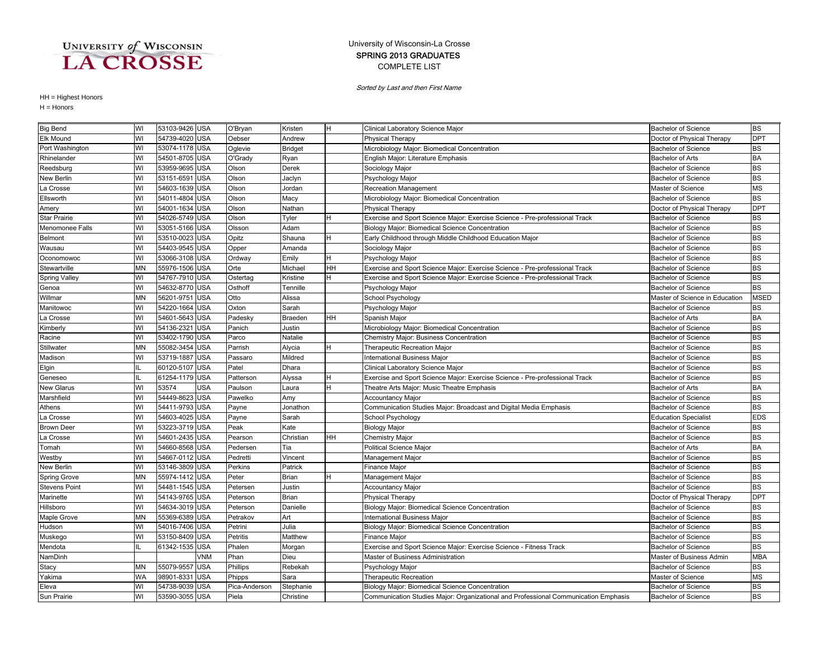### COMPLETE LIST SPRING 2013 GRADUATES University of Wisconsin-La Crosse

Sorted by Last and then First Name

| <b>Big Bend</b>      | WI        | 53103-9426 USA |            | O'Bryan       | Kristen        | H         | Clinical Laboratory Science Major                                                   | <b>Bachelor of Science</b>     | <b>BS</b>   |
|----------------------|-----------|----------------|------------|---------------|----------------|-----------|-------------------------------------------------------------------------------------|--------------------------------|-------------|
| Elk Mound            | WI        | 54739-4020 USA |            | Oebser        | Andrew         |           | Physical Therapy                                                                    | Doctor of Physical Therapy     | <b>DPT</b>  |
| Port Washington      | WI        | 53074-1178 USA |            | Oglevie       | <b>Bridget</b> |           | Microbiology Major: Biomedical Concentration                                        | <b>Bachelor of Science</b>     | <b>BS</b>   |
| Rhinelander          | WI        | 54501-8705 USA |            | O'Grady       | Ryan           |           | English Major: Literature Emphasis                                                  | <b>Bachelor of Arts</b>        | <b>BA</b>   |
| Reedsburg            | WI        | 53959-9695 USA |            | Olson         | Derek          |           | Sociology Major                                                                     | <b>Bachelor of Science</b>     | <b>BS</b>   |
| New Berlin           | WI        | 53151-6591     | <b>USA</b> | Olson         | Jaclyn         |           | Psychology Major                                                                    | <b>Bachelor of Science</b>     | <b>BS</b>   |
| La Crosse            | WI        | 54603-1639     | <b>USA</b> | Olson         | Jordan         |           | <b>Recreation Management</b>                                                        | Master of Science              | <b>MS</b>   |
| Ellsworth            | WI        | 54011-4804     | <b>USA</b> | Olson         | Macy           |           | Microbiology Major: Biomedical Concentration                                        | <b>Bachelor of Science</b>     | <b>BS</b>   |
| Amery                | WI        | 54001-1634 USA |            | Olson         | Nathan         |           | <b>Physical Therapy</b>                                                             | Doctor of Physical Therapy     | <b>DPT</b>  |
| <b>Star Prairie</b>  | WI        | 54026-5749 USA |            | Olson         | Tyler          |           | Exercise and Sport Science Major: Exercise Science - Pre-professional Track         | <b>Bachelor of Science</b>     | <b>BS</b>   |
| Menomonee Falls      | WI        | 53051-5166 USA |            | Olsson        | Adam           |           | Biology Major: Biomedical Science Concentration                                     | <b>Bachelor of Science</b>     | <b>BS</b>   |
| Belmont              | WI        | 53510-0023 USA |            | Opitz         | Shauna         |           | Early Childhood through Middle Childhood Education Major                            | <b>Bachelor of Science</b>     | <b>BS</b>   |
| Wausau               | WI        | 54403-9545 USA |            | Opper         | Amanda         |           | Sociology Major                                                                     | <b>Bachelor of Science</b>     | <b>BS</b>   |
| Oconomowoc           | WI        | 53066-3108 USA |            | Ordway        | Emily          | H         | Psychology Major                                                                    | <b>Bachelor of Science</b>     | <b>BS</b>   |
| Stewartville         | MN        | 55976-1506     | <b>USA</b> | Orte          | Michael        | HН        | Exercise and Sport Science Major: Exercise Science - Pre-professional Track         | <b>Bachelor of Science</b>     | <b>BS</b>   |
| <b>Spring Valley</b> | WI        | 54767-7910 USA |            | Ostertag      | Kristine       |           | Exercise and Sport Science Major: Exercise Science - Pre-professional Track         | <b>Bachelor of Science</b>     | <b>BS</b>   |
| Genoa                | WI        | 54632-8770 USA |            | Osthoff       | Tennille       |           | Psychology Major                                                                    | <b>Bachelor of Science</b>     | <b>BS</b>   |
| Willmar              | MN        | 56201-9751 USA |            | Otto          | Alissa         |           | School Psychology                                                                   | Master of Science in Education | <b>MSED</b> |
| Manitowoc            | WI        | 54220-1664 USA |            | Oxton         | Sarah          |           | Psychology Major                                                                    | <b>Bachelor of Science</b>     | <b>BS</b>   |
| La Crosse            | WI        | 54601-5643 USA |            | Padesky       | Braeden        | <b>HH</b> | Spanish Major                                                                       | <b>Bachelor of Arts</b>        | <b>BA</b>   |
| Kimberly             | WI        | 54136-2321     | <b>USA</b> | Panich        | Justin         |           | Microbiology Major: Biomedical Concentration                                        | <b>Bachelor of Science</b>     | <b>BS</b>   |
| Racine               | WI        | 53402-1790 USA |            | Parco         | Natalie        |           | Chemistry Major: Business Concentration                                             | <b>Bachelor of Science</b>     | <b>BS</b>   |
| Stillwater           | MN        | 55082-3454     | <b>USA</b> | Parrish       | Alycia         |           | Therapeutic Recreation Major                                                        | <b>Bachelor of Science</b>     | <b>BS</b>   |
| Madison              | WI        | 53719-1887     | <b>USA</b> | Passaro       | Mildred        |           | <b>International Business Major</b>                                                 | <b>Bachelor of Science</b>     | <b>BS</b>   |
| Elgin                |           | 60120-5107 USA |            | Patel         | Dhara          |           | Clinical Laboratory Science Major                                                   | <b>Bachelor of Science</b>     | <b>BS</b>   |
| Geneseo              |           | 61254-1179 USA |            | Patterson     | Alyssa         |           | Exercise and Sport Science Major: Exercise Science - Pre-professional Track         | <b>Bachelor of Science</b>     | <b>BS</b>   |
| New Glarus           | WI        | 53574          | USA        | Paulson       | Laura          | н         | Theatre Arts Major: Music Theatre Emphasis                                          | <b>Bachelor of Arts</b>        | <b>BA</b>   |
| Marshfield           | WI        | 54449-8623 USA |            | Pawelko       | Amy            |           | <b>Accountancy Major</b>                                                            | <b>Bachelor of Science</b>     | <b>BS</b>   |
| Athens               | WI        | 54411-9793 USA |            | Payne         | Jonathon       |           | Communication Studies Major: Broadcast and Digital Media Emphasis                   | <b>Bachelor of Science</b>     | <b>BS</b>   |
| La Crosse            | WI        | 54603-4025 USA |            | Payne         | Sarah          |           | School Psychology                                                                   | <b>Education Specialist</b>    | <b>EDS</b>  |
| <b>Brown Deer</b>    | WI        | 53223-3719     | <b>USA</b> | Peak          | Kate           |           | <b>Biology Major</b>                                                                | <b>Bachelor of Science</b>     | <b>BS</b>   |
| La Crosse            | WI        | 54601-2435     | <b>USA</b> | Pearson       | Christian      | HН        | <b>Chemistry Major</b>                                                              | <b>Bachelor of Science</b>     | <b>BS</b>   |
| Tomah                | WI        | 54660-8568 USA |            | Pedersen      | Tia            |           | Political Science Major                                                             | <b>Bachelor of Arts</b>        | <b>BA</b>   |
| Westby               | WI        | 54667-0112 USA |            | Pedretti      | Vincent        |           | Management Major                                                                    | <b>Bachelor of Science</b>     | <b>BS</b>   |
| New Berlin           | WI        | 53146-3809 USA |            | Perkins       | Patrick        |           | Finance Major                                                                       | <b>Bachelor of Science</b>     | <b>BS</b>   |
| <b>Spring Grove</b>  | MN        | 55974-1412 USA |            | Peter         | Brian          | н         | Management Major                                                                    | <b>Bachelor of Science</b>     | <b>BS</b>   |
| <b>Stevens Point</b> | WI        | 54481-1545 USA |            | Petersen      | Justin         |           | <b>Accountancy Major</b>                                                            | <b>Bachelor of Science</b>     | <b>BS</b>   |
| Marinette            | WI        | 54143-9765 USA |            | Peterson      | Brian          |           | <b>Physical Therapy</b>                                                             | Doctor of Physical Therapy     | <b>DPT</b>  |
| Hillsboro            | WI        | 54634-3019 USA |            | Peterson      | Danielle       |           | Biology Major: Biomedical Science Concentration                                     | <b>Bachelor of Science</b>     | <b>BS</b>   |
| Maple Grove          | MN        | 55369-6389     | <b>USA</b> | Petrakov      | Art            |           | <b>International Business Major</b>                                                 | <b>Bachelor of Science</b>     | <b>BS</b>   |
| Hudson               | WI        | 54016-7406 USA |            | Petrini       | Julia          |           | Biology Major: Biomedical Science Concentration                                     | <b>Bachelor of Science</b>     | <b>BS</b>   |
| Muskego              | WI        | 53150-8409 USA |            | Petritis      | Matthew        |           | <b>Finance Major</b>                                                                | <b>Bachelor of Science</b>     | <b>BS</b>   |
| Mendota              |           | 61342-1535 USA |            | Phalen        | Morgan         |           | Exercise and Sport Science Major: Exercise Science - Fitness Track                  | <b>Bachelor of Science</b>     | <b>BS</b>   |
| NamDinh              |           |                | VNM        | Phan          | Dieu           |           | Master of Business Administration                                                   | Master of Business Admin       | <b>MBA</b>  |
| Stacy                | MN        | 55079-9557     | <b>USA</b> | Phillips      | Rebekah        |           | Psychology Major                                                                    | <b>Bachelor of Science</b>     | <b>BS</b>   |
| Yakima               | <b>WA</b> | 98901-833      | <b>USA</b> | Phipps        | Sara           |           | Therapeutic Recreation                                                              | Master of Science              | <b>MS</b>   |
| Eleva                | WI        | 54738-9039 USA |            | Pica-Anderson | Stephanie      |           | Biology Major: Biomedical Science Concentration                                     | <b>Bachelor of Science</b>     | <b>BS</b>   |
| Sun Prairie          | WI        | 53590-3055 USA |            | Piela         | Christine      |           | Communication Studies Major: Organizational and Professional Communication Emphasis | <b>Bachelor of Science</b>     | <b>BS</b>   |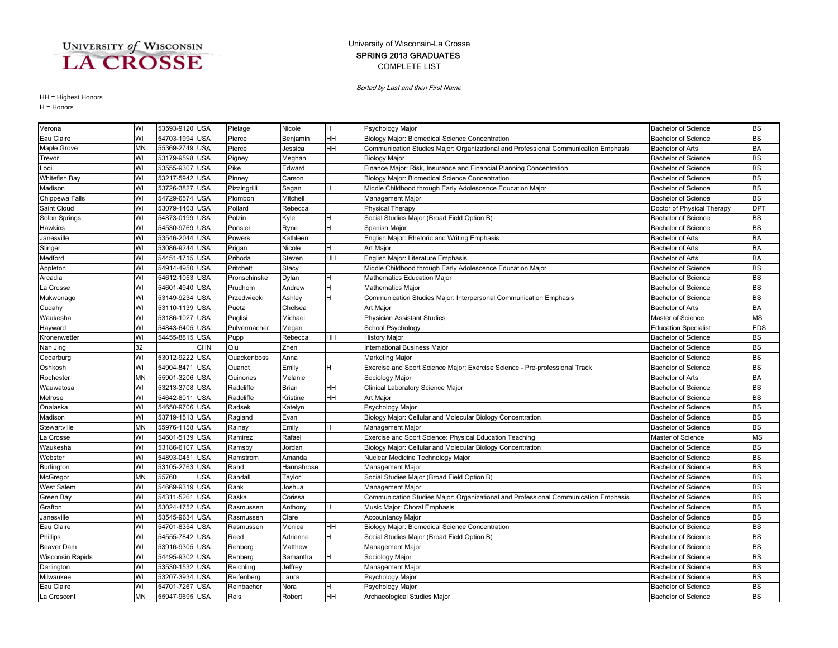### COMPLETE LIST SPRING 2013 GRADUATES University of Wisconsin-La Crosse

Sorted by Last and then First Name

| Verona                  | WI        | 53593-9120 USA |            | Pielage      | Nicole       | H         | Psychology Major                                                                    | <b>Bachelor of Science</b>  | <b>BS</b>  |
|-------------------------|-----------|----------------|------------|--------------|--------------|-----------|-------------------------------------------------------------------------------------|-----------------------------|------------|
| Eau Claire              | WI        | 54703-1994 USA |            | Pierce       | Benjamin     | HН        | Biology Major: Biomedical Science Concentration                                     | <b>Bachelor of Science</b>  | <b>BS</b>  |
| Maple Grove             | MN        | 55369-2749 USA |            | Pierce       | Jessica      | HН        | Communication Studies Major: Organizational and Professional Communication Emphasis | <b>Bachelor of Arts</b>     | <b>BA</b>  |
| Trevor                  | WI        | 53179-9598 USA |            | Pigney       | Meghan       |           | <b>Biology Major</b>                                                                | <b>Bachelor of Science</b>  | <b>BS</b>  |
| Lodi                    | WI        | 53555-9307     | <b>USA</b> | Pike         | Edward       |           | Finance Major: Risk, Insurance and Financial Planning Concentration                 | <b>Bachelor of Science</b>  | <b>BS</b>  |
| Whitefish Bay           | WI        | 53217-5942 USA |            | Pinney       | Carson       |           | Biology Major: Biomedical Science Concentration                                     | <b>Bachelor of Science</b>  | <b>BS</b>  |
| Madison                 | WI        | 53726-3827     | <b>USA</b> | Pizzingrilli | Sagan        |           | Middle Childhood through Early Adolescence Education Major                          | <b>Bachelor of Science</b>  | <b>BS</b>  |
| Chippewa Falls          | WI        | 54729-6574     | <b>USA</b> | Plombon      | Mitchell     |           | Management Major                                                                    | <b>Bachelor of Science</b>  | <b>BS</b>  |
| Saint Cloud             | WI        | 53079-1463 USA |            | Pollard      | Rebecca      |           | <b>Physical Therapy</b>                                                             | Doctor of Physical Therapy  | <b>DPT</b> |
| Solon Springs           | WI        | 54873-0199 USA |            | Polzin       | Kyle         | н         | Social Studies Major (Broad Field Option B)                                         | <b>Bachelor of Science</b>  | <b>BS</b>  |
| Hawkins                 | WI        | 54530-9769 USA |            | Ponsler      | Ryne         | н         | Spanish Major                                                                       | <b>Bachelor of Science</b>  | <b>BS</b>  |
| Janesville              | WI        | 53546-2044 USA |            | Powers       | Kathleen     |           | English Major: Rhetoric and Writing Emphasis                                        | <b>Bachelor of Arts</b>     | <b>BA</b>  |
| Slinger                 | WI        | 53086-9244 USA |            | Prigan       | Nicole       |           | Art Major                                                                           | <b>Bachelor of Arts</b>     | <b>BA</b>  |
| Medford                 | WI        | 54451-1715 USA |            | Prihoda      | Steven       | HH        | English Major: Literature Emphasis                                                  | <b>Bachelor of Arts</b>     | <b>BA</b>  |
| Appleton                | WI        | 54914-4950 USA |            | Pritchett    | Stacy        |           | Middle Childhood through Early Adolescence Education Major                          | <b>Bachelor of Science</b>  | <b>BS</b>  |
| Arcadia                 | WI        | 54612-1053     | <b>USA</b> | Pronschinske | Dylan        |           | Mathematics Education Major                                                         | <b>Bachelor of Science</b>  | <b>BS</b>  |
| La Crosse               | WI        | 54601-4940 USA |            | Prudhom      | Andrew       |           | Mathematics Major                                                                   | <b>Bachelor of Science</b>  | <b>BS</b>  |
| Mukwonago               | WI        | 53149-9234     | <b>USA</b> | Przedwiecki  | Ashley       |           | Communication Studies Major: Interpersonal Communication Emphasis                   | <b>Bachelor of Science</b>  | <b>BS</b>  |
| Cudahy                  | WI        | 53110-1139 USA |            | Puetz        | Chelsea      |           | Art Major                                                                           | <b>Bachelor of Arts</b>     | <b>BA</b>  |
| Waukesha                | WI        | 53186-1027 USA |            | Puglisi      | Michael      |           | Physician Assistant Studies                                                         | Master of Science           | <b>MS</b>  |
| Hayward                 | WI        | 54843-6405 USA |            | Pulvermacher | Megan        |           | School Psychology                                                                   | <b>Education Specialist</b> | <b>EDS</b> |
| Kronenwetter            | WI        | 54455-8815     | <b>USA</b> | Pupp         | Rebecca      | HН        | <b>History Major</b>                                                                | <b>Bachelor of Science</b>  | <b>BS</b>  |
| Nan Jing                | 32        |                | <b>CHN</b> | Qiu          | Zhen         |           | <b>International Business Major</b>                                                 | <b>Bachelor of Science</b>  | <b>BS</b>  |
| Cedarburg               | WI        | 53012-9222     | <b>USA</b> | Quackenboss  | Anna         |           | Marketing Maior                                                                     | <b>Bachelor of Science</b>  | <b>BS</b>  |
| Oshkosh                 | WI        | 54904-847      | <b>USA</b> | Quandt       | Emily        |           | Exercise and Sport Science Major: Exercise Science - Pre-professional Track         | <b>Bachelor of Science</b>  | <b>BS</b>  |
| Rochester               | MN        | 55901-3206 USA |            | Quinones     | Melanie      |           | Sociology Major                                                                     | <b>Bachelor of Arts</b>     | <b>BA</b>  |
| Wauwatosa               | WI        | 53213-3708 USA |            | Radcliffe    | <b>Brian</b> | HH        | Clinical Laboratory Science Major                                                   | <b>Bachelor of Science</b>  | <b>BS</b>  |
| Melrose                 | WI        | 54642-8011     | <b>USA</b> | Radcliffe    | Kristine     | HH        | Art Major                                                                           | <b>Bachelor of Science</b>  | <b>BS</b>  |
| Onalaska                | WI        | 54650-9706 USA |            | Radsek       | Katelyn      |           | Psychology Major                                                                    | <b>Bachelor of Science</b>  | <b>BS</b>  |
| Madison                 | WI        | 53719-1513 USA |            | Ragland      | Evan         |           | Biology Major: Cellular and Molecular Biology Concentration                         | <b>Bachelor of Science</b>  | <b>BS</b>  |
| Stewartville            | MN        | 55976-1158 USA |            | Rainey       | Emily        | H         | Management Major                                                                    | <b>Bachelor of Science</b>  | <b>BS</b>  |
| La Crosse               | WI        | 54601-5139     | <b>USA</b> | Ramirez      | Rafael       |           | Exercise and Sport Science: Physical Education Teaching                             | Master of Science           | <b>MS</b>  |
| Waukesha                | WI        | 53186-6107     | <b>USA</b> | Ramsby       | Jordan       |           | Biology Major: Cellular and Molecular Biology Concentration                         | <b>Bachelor of Science</b>  | <b>BS</b>  |
| Webster                 | WI        | 54893-0451     | <b>USA</b> | Ramstrom     | Amanda       |           | Nuclear Medicine Technology Major                                                   | <b>Bachelor of Science</b>  | <b>BS</b>  |
| Burlington              | WI        | 53105-2763 USA |            | Rand         | Hannahrose   |           | Management Major                                                                    | <b>Bachelor of Science</b>  | <b>BS</b>  |
| McGregor                | MN        | 55760          | USA        | Randall      | Taylor       |           | Social Studies Major (Broad Field Option B)                                         | <b>Bachelor of Science</b>  | <b>BS</b>  |
| West Salem              | WI        | 54669-9319 USA |            | Rank         | Joshua       |           | <b>Management Major</b>                                                             | <b>Bachelor of Science</b>  | <b>BS</b>  |
| Green Bay               | WI        | 54311-5261     | USA        | Raska        | Corissa      |           | Communication Studies Major: Organizational and Professional Communication Emphasis | <b>Bachelor of Science</b>  | <b>BS</b>  |
| Grafton                 | WI        | 53024-1752 USA |            | Rasmussen    | Anthony      | н         | Music Major: Choral Emphasis                                                        | <b>Bachelor of Science</b>  | <b>BS</b>  |
| Janesville              | WI        | 53545-9634     | <b>USA</b> | Rasmussen    | Clare        |           | <b>Accountancy Major</b>                                                            | <b>Bachelor of Science</b>  | <b>BS</b>  |
| Eau Claire              | WI        | 54701-8354     | <b>USA</b> | Rasmussen    | Monica       | HН        | Biology Major: Biomedical Science Concentration                                     | <b>Bachelor of Science</b>  | <b>BS</b>  |
| Phillips                | WI        | 54555-7842 USA |            | Reed         | Adrienne     | н         | Social Studies Major (Broad Field Option B)                                         | <b>Bachelor of Science</b>  | <b>BS</b>  |
| Beaver Dam              | WI        | 53916-9305 USA |            | Rehberg      | Matthew      |           | Management Major                                                                    | <b>Bachelor of Science</b>  | <b>BS</b>  |
| <b>Wisconsin Rapids</b> | WI        | 54495-9302 USA |            | Rehberg      | Samantha     | H         | Sociology Major                                                                     | <b>Bachelor of Science</b>  | <b>BS</b>  |
| Darlington              | WI        | 53530-1532 USA |            | Reichling    | Jeffrey      |           | Management Major                                                                    | <b>Bachelor of Science</b>  | <b>BS</b>  |
| Milwaukee               | WI        | 53207-3934     | <b>USA</b> | Reifenberg   | Laura        |           | Psychology Major                                                                    | <b>Bachelor of Science</b>  | <b>BS</b>  |
| Eau Claire              | WI        | 54701-7267 USA |            | Reinbacher   | Nora         | H.        | Psychology Major                                                                    | <b>Bachelor of Science</b>  | <b>BS</b>  |
| La Crescent             | <b>MN</b> | 55947-9695 USA |            | Reis         | Robert       | <b>HH</b> | Archaeological Studies Major                                                        | <b>Bachelor of Science</b>  | <b>BS</b>  |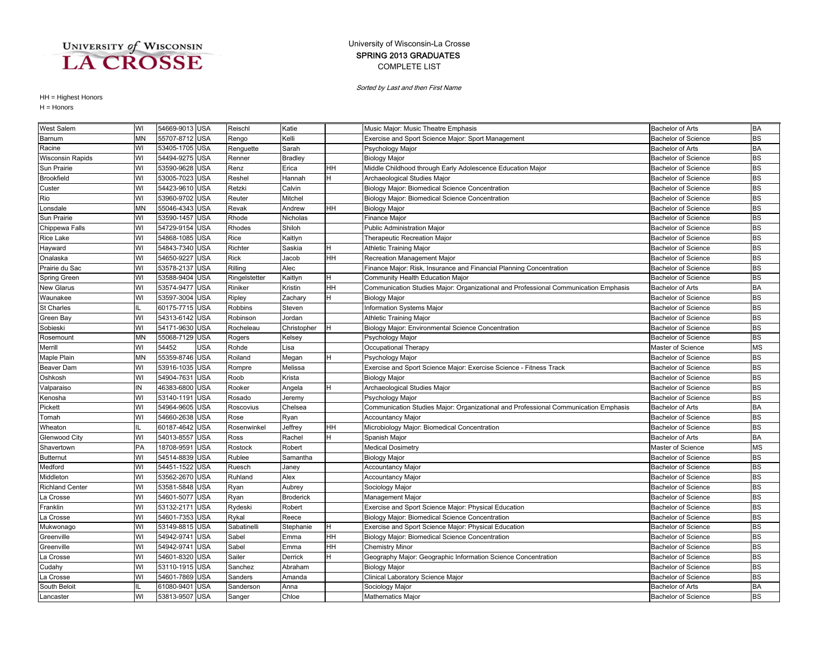### COMPLETE LIST SPRING 2013 GRADUATES University of Wisconsin-La Crosse

Sorted by Last and then First Name

| <b>West Salem</b>       | WI        | 54669-9013 USA |            | Reischl       | Katie            |    | Music Major: Music Theatre Emphasis                                                 | <b>Bachelor of Arts</b>    | <b>BA</b> |
|-------------------------|-----------|----------------|------------|---------------|------------------|----|-------------------------------------------------------------------------------------|----------------------------|-----------|
| Barnum                  | MΝ        | 55707-8712 USA |            | Rengo         | Kelli            |    | Exercise and Sport Science Major: Sport Management                                  | Bachelor of Science        | <b>BS</b> |
| Racine                  | WI        | 53405-1705 USA |            | Renguette     | Sarah            |    | Psychology Major                                                                    | <b>Bachelor of Arts</b>    | <b>BA</b> |
| <b>Wisconsin Rapids</b> | WI        | 54494-9275 USA |            | Renner        | <b>Bradley</b>   |    | <b>Biology Major</b>                                                                | <b>Bachelor of Science</b> | <b>BS</b> |
| Sun Prairie             | WI        | 53590-9628     | <b>USA</b> | Renz          | Erica            | HН | Middle Childhood through Early Adolescence Education Major                          | <b>Bachelor of Science</b> | <b>BS</b> |
| <b>Brookfield</b>       | WI        | 53005-7023     | <b>USA</b> | Reshel        | Hannah           | н  | Archaeological Studies Major                                                        | <b>Bachelor of Science</b> | <b>BS</b> |
| Custer                  | WI        | 54423-9610     | <b>USA</b> | Retzki        | Calvin           |    | <b>Biology Major: Biomedical Science Concentration</b>                              | <b>Bachelor of Science</b> | <b>BS</b> |
| Rio                     | WI        | 53960-9702     | <b>USA</b> | Reuter        | Mitchel          |    | Biology Major: Biomedical Science Concentration                                     | <b>Bachelor of Science</b> | <b>BS</b> |
| Lonsdale                | MN        | 55046-4343     | <b>USA</b> | Revak         | Andrew           | HН | <b>Biology Major</b>                                                                | <b>Bachelor of Science</b> | <b>BS</b> |
| Sun Prairie             | WI        | 53590-1457 USA |            | Rhode         | Nicholas         |    | Finance Major                                                                       | <b>Bachelor of Science</b> | <b>BS</b> |
| Chippewa Falls          | WI        | 54729-9154 USA |            | Rhodes        | Shiloh           |    | <b>Public Administration Major</b>                                                  | <b>Bachelor of Science</b> | <b>BS</b> |
| Rice Lake               | WI        | 54868-1085 USA |            | Rice          | Kaitlyn          |    | Therapeutic Recreation Major                                                        | <b>Bachelor of Science</b> | <b>BS</b> |
| Hayward                 | WI        | 54843-7340 USA |            | Richter       | Saskia           | H  | <b>Athletic Training Major</b>                                                      | <b>Bachelor of Science</b> | <b>BS</b> |
| Onalaska                | WI        | 54650-9227     | <b>USA</b> | Rick          | Jacob            | HH | Recreation Management Major                                                         | <b>Bachelor of Science</b> | <b>BS</b> |
| Prairie du Sac          | WI        | 53578-2137     | <b>USA</b> | Rilling       | Alec             |    | Finance Major: Risk, Insurance and Financial Planning Concentration                 | <b>Bachelor of Science</b> | <b>BS</b> |
| <b>Spring Green</b>     | WI        | 53588-9404     | <b>USA</b> | Ringelstetter | Kaitlyn          |    | Community Health Education Major                                                    | <b>Bachelor of Science</b> | <b>BS</b> |
| New Glarus              | WI        | 53574-9477     | <b>USA</b> | Riniker       | Kristin          | HН | Communication Studies Major: Organizational and Professional Communication Emphasis | <b>Bachelor of Arts</b>    | <b>BA</b> |
| Waunakee                | WI        | 53597-3004 USA |            | Ripley        | Zachary          | н  | <b>Biology Major</b>                                                                | <b>Bachelor of Science</b> | <b>BS</b> |
| <b>St Charles</b>       |           | 60175-7715 USA |            | Robbins       | Steven           |    | Information Systems Major                                                           | <b>Bachelor of Science</b> | <b>BS</b> |
| Green Bay               | WI        | 54313-6142 USA |            | Robinson      | Jordan           |    | <b>Athletic Training Major</b>                                                      | <b>Bachelor of Science</b> | <b>BS</b> |
| Sobieski                | WI        | 54171-9630 USA |            | Rocheleau     | Christopher      |    | Biology Major: Environmental Science Concentration                                  | <b>Bachelor of Science</b> | <b>BS</b> |
| Rosemount               | <b>MN</b> | 55068-7129     | <b>USA</b> | Rogers        | Kelsey           |    | Psychology Major                                                                    | <b>Bachelor of Science</b> | <b>BS</b> |
| Merrill                 | WI        | 54452          | <b>USA</b> | Rohde         | Lisa             |    | Occupational Therapy                                                                | Master of Science          | <b>MS</b> |
| Maple Plain             | MΝ        | 55359-8746     | <b>USA</b> | Roiland       | Megan            |    | Psychology Major                                                                    | <b>Bachelor of Science</b> | <b>BS</b> |
| <b>Beaver Dam</b>       | WI        | 53916-1035     | <b>USA</b> | Rompre        | Melissa          |    | Exercise and Sport Science Major: Exercise Science - Fitness Track                  | <b>Bachelor of Science</b> | <b>BS</b> |
| Oshkosh                 | WI        | 54904-7631 USA |            | Roob          | Krista           |    | <b>Biology Major</b>                                                                | Bachelor of Science        | <b>BS</b> |
| Valparaiso              | IN        | 46383-6800 USA |            | Rooker        | Angela           | н  | Archaeological Studies Major                                                        | <b>Bachelor of Science</b> | <b>BS</b> |
| Kenosha                 | WI        | 53140-1191 USA |            | Rosado        | Jeremy           |    | Psychology Major                                                                    | Bachelor of Science        | <b>BS</b> |
| Pickett                 | WI        | 54964-9605 USA |            | Roscovius     | Chelsea          |    | Communication Studies Major: Organizational and Professional Communication Emphasis | <b>Bachelor of Arts</b>    | <b>BA</b> |
| Tomah                   | WI        | 54660-2638 USA |            | Rose          | Ryan             |    | <b>Accountancy Major</b>                                                            | <b>Bachelor of Science</b> | <b>BS</b> |
| Wheaton                 |           | 60187-4642     | <b>USA</b> | Rosenwinkel   | Jeffrey          | HH | Microbiology Major: Biomedical Concentration                                        | <b>Bachelor of Science</b> | <b>BS</b> |
| Glenwood City           | WI        | 54013-8557     | <b>USA</b> | Ross          | Rachel           | н  | Spanish Maior                                                                       | <b>Bachelor of Arts</b>    | <b>BA</b> |
| Shavertown              | PA        | 18708-9591     | USA        | Rostock       | Robert           |    | <b>Medical Dosimetry</b>                                                            | Master of Science          | <b>MS</b> |
| Butternut               | WI        | 54514-8839 USA |            | Rublee        | Samantha         |    | <b>Biology Major</b>                                                                | <b>Bachelor of Science</b> | <b>BS</b> |
| Medford                 | WI        | 54451-1522 USA |            | Ruesch        | Janey            |    | <b>Accountancy Major</b>                                                            | <b>Bachelor of Science</b> | <b>BS</b> |
| Middleton               | WI        | 53562-2670 USA |            | Ruhland       | Alex             |    | <b>Accountancy Major</b>                                                            | <b>Bachelor of Science</b> | <b>BS</b> |
| <b>Richland Center</b>  | WI        | 53581-5848 USA |            | Ryan          | Aubrey           |    | Sociology Major                                                                     | <b>Bachelor of Science</b> | <b>BS</b> |
| La Crosse               | WI        | 54601-5077     | <b>USA</b> | Ryan          | <b>Broderick</b> |    | Management Major                                                                    | <b>Bachelor of Science</b> | <b>BS</b> |
| Franklin                | WI        | 53132-2171     | <b>USA</b> | Rydeski       | Robert           |    | Exercise and Sport Science Major: Physical Education                                | <b>Bachelor of Science</b> | <b>BS</b> |
| La Crosse               | WI        | 54601-7353     | <b>USA</b> | Rykal         | Reece            |    | <b>Biology Major: Biomedical Science Concentration</b>                              | <b>Bachelor of Science</b> | <b>BS</b> |
| Mukwonago               | WI        | 53149-8815     | <b>USA</b> | Sabatinelli   | Stephanie        | н  | Exercise and Sport Science Major: Physical Education                                | <b>Bachelor of Science</b> | <b>BS</b> |
| Greenville              | WI        | 54942-9741     | <b>USA</b> | Sabel         | Emma             | HH | Biology Major: Biomedical Science Concentration                                     | <b>Bachelor of Science</b> | <b>BS</b> |
| Greenville              | WI        | 54942-9741 USA |            | Sabel         | Emma             | HН | <b>Chemistry Minor</b>                                                              | <b>Bachelor of Science</b> | <b>BS</b> |
| La Crosse               | WI        | 54601-8320 USA |            | Sailer        | Derrick          | н  | Geography Major: Geographic Information Science Concentration                       | <b>Bachelor of Science</b> | <b>BS</b> |
| Cudahy                  | WI        | 53110-1915 USA |            | Sanchez       | Abraham          |    | <b>Biology Major</b>                                                                | <b>Bachelor of Science</b> | <b>BS</b> |
| La Crosse               | WI        | 54601-7869 USA |            | Sanders       | Amanda           |    | Clinical Laboratory Science Major                                                   | <b>Bachelor of Science</b> | <b>BS</b> |
| South Beloit            |           | 61080-9401     | <b>USA</b> | Sanderson     | Anna             |    | Sociology Major                                                                     | <b>Bachelor of Arts</b>    | <b>BA</b> |
| Lancaster               | WI        | 53813-9507 USA |            | Sanger        | Chloe            |    | Mathematics Major                                                                   | <b>Bachelor of Science</b> | <b>BS</b> |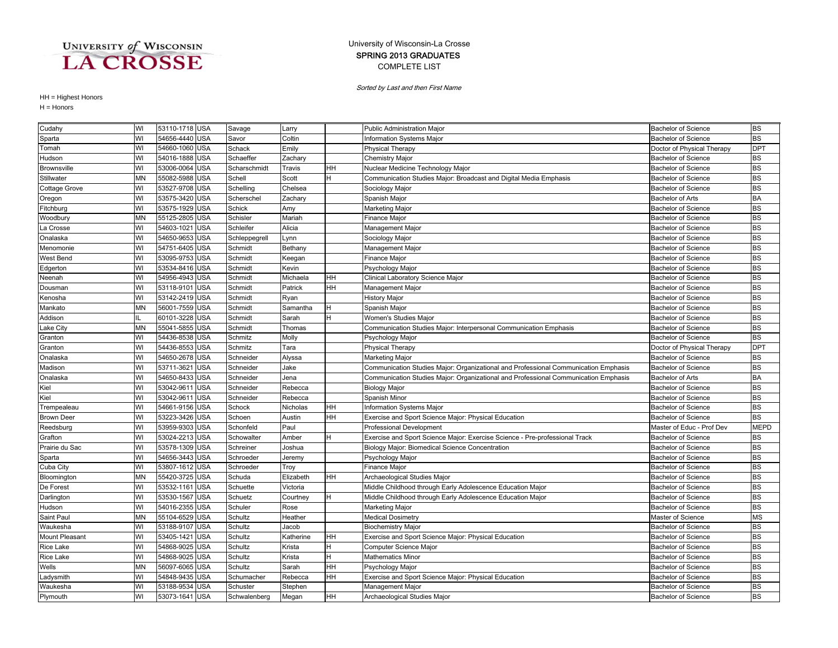### COMPLETE LIST SPRING 2013 GRADUATES University of Wisconsin-La Crosse

Sorted by Last and then First Name

| Cudahy               | WI        | 53110-1718 USA |            | Savage        | Larry     |           | Public Administration Major                                                         | <b>Bachelor of Science</b> | <b>BS</b>   |
|----------------------|-----------|----------------|------------|---------------|-----------|-----------|-------------------------------------------------------------------------------------|----------------------------|-------------|
| Sparta               | WI        | 54656-4440     | <b>USA</b> | Savor         | Coltin    |           | Information Systems Major                                                           | <b>Bachelor of Science</b> | <b>BS</b>   |
| Tomah                | WI        | 54660-1060 USA |            | Schack        | Emily     |           | Physical Therapy                                                                    | Doctor of Physical Therapy | <b>DPT</b>  |
| Hudson               | WI        | 54016-1888 USA |            | Schaeffer     | Zachary   |           | Chemistry Major                                                                     | <b>Bachelor of Science</b> | <b>BS</b>   |
| <b>Brownsville</b>   | WI        | 53006-0064     | <b>USA</b> | Scharschmidt  | Travis    | HH        | Nuclear Medicine Technology Major                                                   | <b>Bachelor of Science</b> | <b>BS</b>   |
| Stillwater           | <b>MN</b> | 55082-5988     | <b>USA</b> | Schell        | Scott     |           | Communication Studies Major: Broadcast and Digital Media Emphasis                   | <b>Bachelor of Science</b> | <b>BS</b>   |
| <b>Cottage Grove</b> | WI        | 53527-9708 USA |            | Schelling     | Chelsea   |           | Sociology Major                                                                     | <b>Bachelor of Science</b> | <b>BS</b>   |
| Oregon               | WI        | 53575-3420     | <b>USA</b> | Scherschel    | Zachary   |           | Spanish Major                                                                       | <b>Bachelor of Arts</b>    | <b>BA</b>   |
| Fitchburg            | WI        | 53575-1929     | <b>USA</b> | <b>Schick</b> | Amy       |           | Marketing Major                                                                     | <b>Bachelor of Science</b> | <b>BS</b>   |
| Woodbury             | <b>MN</b> | 55125-2805     | <b>USA</b> | Schisler      | Mariah    |           | Finance Major                                                                       | <b>Bachelor of Science</b> | <b>BS</b>   |
| La Crosse            | WI        | 54603-1021     | <b>USA</b> | Schleifer     | Alicia    |           | Management Major                                                                    | <b>Bachelor of Science</b> | <b>BS</b>   |
| Onalaska             | WI        | 54650-9653     | <b>USA</b> | Schleppegrell | Lynn      |           | Sociology Major                                                                     | <b>Bachelor of Science</b> | <b>BS</b>   |
| Menomonie            | WI        | 54751-6405 USA |            | Schmidt       | Bethany   |           | Management Major                                                                    | <b>Bachelor of Science</b> | <b>BS</b>   |
| West Bend            | WI        | 53095-9753     | <b>USA</b> | Schmidt       | Keegan    |           | <b>Finance Major</b>                                                                | <b>Bachelor of Science</b> | <b>BS</b>   |
| Edgerton             | WI        | 53534-8416     | <b>USA</b> | Schmidt       | Kevin     |           | Psychology Major                                                                    | <b>Bachelor of Science</b> | <b>BS</b>   |
| Neenah               | WI        | 54956-4943     | <b>USA</b> | Schmidt       | Michaela  | HH        | Clinical Laboratory Science Major                                                   | <b>Bachelor of Science</b> | <b>BS</b>   |
| Dousman              | WI        | 53118-9101     | <b>USA</b> | Schmidt       | Patrick   | HH        | Management Major                                                                    | <b>Bachelor of Science</b> | <b>BS</b>   |
| Kenosha              | WI        | 53142-2419     | <b>USA</b> | Schmidt       | Ryan      |           | <b>History Major</b>                                                                | <b>Bachelor of Science</b> | <b>BS</b>   |
| Mankato              | <b>MN</b> | 56001-7559 USA |            | Schmidt       | Samantha  | lH.       | Spanish Major                                                                       | <b>Bachelor of Science</b> | <b>BS</b>   |
| Addison              |           | 60101-3228 USA |            | Schmidt       | Sarah     | н         | Women's Studies Major                                                               | <b>Bachelor of Science</b> | <b>BS</b>   |
| Lake City            | <b>MN</b> | 55041-5855 USA |            | Schmidt       | Thomas    |           | Communication Studies Major: Interpersonal Communication Emphasis                   | <b>Bachelor of Science</b> | <b>BS</b>   |
| Granton              | WI        | 54436-8538     | <b>USA</b> | Schmitz       | Molly     |           | Psychology Major                                                                    | <b>Bachelor of Science</b> | <b>BS</b>   |
| Granton              | WI        | 54436-8553     | <b>USA</b> | Schmitz       | Tara      |           | <b>Physical Therapy</b>                                                             | Doctor of Physical Therapy | <b>DPT</b>  |
| Onalaska             | WI        | 54650-2678     | <b>USA</b> | Schneider     | Alyssa    |           | <b>Marketing Major</b>                                                              | <b>Bachelor of Science</b> | <b>BS</b>   |
| Madison              | WI        | 53711-3621     | <b>USA</b> | Schneider     | Jake      |           | Communication Studies Major: Organizational and Professional Communication Emphasis | <b>Bachelor of Science</b> | <b>BS</b>   |
| Onalaska             | WI        | 54650-8433     | <b>USA</b> | Schneider     | Jena      |           | Communication Studies Major: Organizational and Professional Communication Emphasis | <b>Bachelor of Arts</b>    | <b>BA</b>   |
| Kiel                 | WI        | 53042-961      | <b>USA</b> | Schneider     | Rebecca   |           | <b>Biology Major</b>                                                                | <b>Bachelor of Science</b> | <b>BS</b>   |
| Kiel                 | WI        | 53042-961      | <b>USA</b> | Schneider     | Rebecca   |           | Spanish Minor                                                                       | <b>Bachelor of Science</b> | <b>BS</b>   |
| Trempealeau          | WI        | 54661-9156 USA |            | Schock        | Nicholas  | HН        | Information Systems Major                                                           | <b>Bachelor of Science</b> | <b>BS</b>   |
| <b>Brown Deer</b>    | WI        | 53223-3426     | <b>USA</b> | Schoen        | Austin    | HН        | Exercise and Sport Science Major: Physical Education                                | <b>Bachelor of Science</b> | <b>BS</b>   |
| Reedsburg            | WI        | 53959-9303     | <b>USA</b> | Schonfeld     | Paul      |           | Professional Development                                                            | Master of Educ - Prof Dev  | <b>MEPD</b> |
| Grafton              | WI        | 53024-2213     | <b>USA</b> | Schowalter    | Amber     |           | Exercise and Sport Science Major: Exercise Science - Pre-professional Track         | <b>Bachelor of Science</b> | <b>BS</b>   |
| Prairie du Sac       | WI        | 53578-1309     | <b>USA</b> | Schreiner     | Joshua    |           | Biology Major: Biomedical Science Concentration                                     | <b>Bachelor of Science</b> | <b>BS</b>   |
| Sparta               | WI        | 54656-3443     | <b>USA</b> | Schroeder     | Jeremy    |           | Psychology Major                                                                    | <b>Bachelor of Science</b> | <b>BS</b>   |
| Cuba City            | WI        | 53807-1612 USA |            | Schroeder     | Troy      |           | Finance Major                                                                       | <b>Bachelor of Science</b> | <b>BS</b>   |
| Bloomington          | <b>MN</b> | 55420-3725     | <b>USA</b> | Schuda        | Elizabeth | HH.       | Archaeological Studies Major                                                        | <b>Bachelor of Science</b> | <b>BS</b>   |
| De Forest            | WI        | 53532-1161     | <b>USA</b> | Schuette      | Victoria  |           | Middle Childhood through Early Adolescence Education Major                          | <b>Bachelor of Science</b> | <b>BS</b>   |
| Darlington           | WI        | 53530-1567     | <b>USA</b> | Schuetz       | Courtney  |           | Middle Childhood through Early Adolescence Education Major                          | <b>Bachelor of Science</b> | <b>BS</b>   |
| Hudson               | WI        | 54016-2355 USA |            | Schuler       | Rose      |           | Marketing Major                                                                     | Bachelor of Science        | <b>BS</b>   |
| Saint Paul           | MN        | 55104-6529     | <b>USA</b> | Schultz       | Heather   |           | <b>Medical Dosimetry</b>                                                            | Master of Science          | <b>MS</b>   |
| Waukesha             | WI        | 53188-9107     | <b>USA</b> | Schultz       | Jacob     |           | <b>Biochemistry Major</b>                                                           | <b>Bachelor of Science</b> | <b>BS</b>   |
| Mount Pleasant       | WI        | 53405-1421     | <b>USA</b> | Schultz       | Katherine | HH        | Exercise and Sport Science Major: Physical Education                                | <b>Bachelor of Science</b> | <b>BS</b>   |
| Rice Lake            | WI        | 54868-9025 USA |            | Schultz       | Krista    | н         | Computer Science Major                                                              | <b>Bachelor of Science</b> | <b>BS</b>   |
| Rice Lake            | WI        | 54868-9025 USA |            | Schultz       | Krista    | H         | <b>Mathematics Minor</b>                                                            | <b>Bachelor of Science</b> | <b>BS</b>   |
| Wells                | <b>MN</b> | 56097-6065 USA |            | Schultz       | Sarah     | HН        | Psychology Major                                                                    | <b>Bachelor of Science</b> | <b>BS</b>   |
| Ladysmith            | WI        | 54848-9435     | <b>USA</b> | Schumacher    | Rebecca   | HH        | Exercise and Sport Science Major: Physical Education                                | <b>Bachelor of Science</b> | <b>BS</b>   |
| Waukesha             | WI        | 53188-9534 USA |            | Schuster      | Stephen   |           | Management Major                                                                    | <b>Bachelor of Science</b> | <b>BS</b>   |
| Plymouth             | WI        | 53073-1641 USA |            | Schwalenberg  | Megan     | <b>HH</b> | Archaeological Studies Major                                                        | <b>Bachelor of Science</b> | <b>BS</b>   |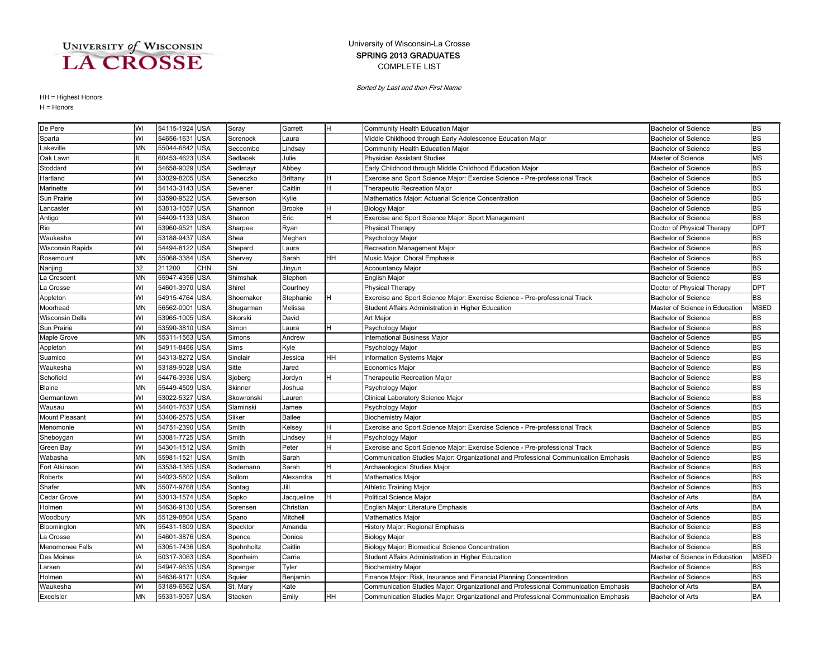### COMPLETE LIST SPRING 2013 GRADUATES University of Wisconsin-La Crosse

Sorted by Last and then First Name

| De Pere                 | WI        | 54115-1924 USA |            | Scray      | Garrett       | н         | Community Health Education Major                                                    | <b>Bachelor of Science</b>     | <b>BS</b>   |
|-------------------------|-----------|----------------|------------|------------|---------------|-----------|-------------------------------------------------------------------------------------|--------------------------------|-------------|
| Sparta                  | WI        | 54656-1631 USA |            | Screnock   | Laura         |           | Middle Childhood through Early Adolescence Education Major                          | <b>Bachelor of Science</b>     | <b>BS</b>   |
| Lakeville               | MN        | 55044-6842 USA |            | Seccombe   | Lindsav       |           | Community Health Education Major                                                    | <b>Bachelor of Science</b>     | <b>BS</b>   |
| Oak Lawn                |           | 60453-4623 USA |            | Sedlacek   | Julie         |           | Physician Assistant Studies                                                         | Master of Science              | <b>MS</b>   |
| Stoddard                | WI        | 54658-9029 USA |            | Sedlmayr   | Abbey         |           | Early Childhood through Middle Childhood Education Major                            | <b>Bachelor of Science</b>     | <b>BS</b>   |
| Hartland                | WI        | 53029-8205 USA |            | Seneczko   | Brittany      | н         | Exercise and Sport Science Major: Exercise Science - Pre-professional Track         | <b>Bachelor of Science</b>     | <b>BS</b>   |
| Marinette               | WI        | 54143-3143     | <b>USA</b> | Sevener    | Caitlin       | H         | <b>Therapeutic Recreation Major</b>                                                 | <b>Bachelor of Science</b>     | <b>BS</b>   |
| Sun Prairie             | WI        | 53590-9522     | <b>USA</b> | Severson   | Kylie         |           | Mathematics Major: Actuarial Science Concentration                                  | <b>Bachelor of Science</b>     | <b>BS</b>   |
| Lancaster               | WI        | 53813-1057     | <b>USA</b> | Shannon    | <b>Brooke</b> |           | <b>Biology Major</b>                                                                | <b>Bachelor of Science</b>     | <b>BS</b>   |
| Antigo                  | WI        | 54409-1133 USA |            | Sharon     | Eric          | н         | Exercise and Sport Science Major: Sport Management                                  | <b>Bachelor of Science</b>     | <b>BS</b>   |
| Rio                     | WI        | 53960-9521 USA |            | Sharpee    | Ryan          |           | <b>Physical Therapy</b>                                                             | Doctor of Physical Therapy     | <b>DPT</b>  |
| Waukesha                | WI        | 53188-9437 USA |            | Shea       | Meghan        |           | Psychology Major                                                                    | <b>Bachelor of Science</b>     | <b>BS</b>   |
| <b>Wisconsin Rapids</b> | WI        | 54494-8122 USA |            | Shepard    | Laura         |           | Recreation Management Major                                                         | <b>Bachelor of Science</b>     | <b>BS</b>   |
| Rosemount               | <b>MN</b> | 55068-3384     | <b>USA</b> | Shervey    | Sarah         | HН        | Music Major: Choral Emphasis                                                        | <b>Bachelor of Science</b>     | <b>BS</b>   |
| Nanjing                 | 32        | 211200         | <b>CHN</b> | Shi        | Jinyun        |           | <b>Accountancy Major</b>                                                            | <b>Bachelor of Science</b>     | <b>BS</b>   |
| La Crescent             | <b>MN</b> | 55947-4356     | <b>USA</b> | Shimshak   | Stephen       |           | <b>English Major</b>                                                                | <b>Bachelor of Science</b>     | <b>BS</b>   |
| La Crosse               | WI        | 54601-3970     | <b>USA</b> | Shirel     | Courtnev      |           | Physical Therapy                                                                    | Doctor of Physical Therapy     | <b>DPT</b>  |
| Appleton                | WI        | 54915-4764 USA |            | Shoemaker  | Stephanie     | н         | Exercise and Sport Science Major: Exercise Science - Pre-professional Track         | <b>Bachelor of Science</b>     | <b>BS</b>   |
| Moorhead                | MN        | 56562-0001     | <b>USA</b> | Shugarman  | Melissa       |           | Student Affairs Administration in Higher Education                                  | Master of Science in Education | <b>MSED</b> |
| <b>Wisconsin Dells</b>  | WI        | 53965-1005 USA |            | Sikorski   | David         |           | Art Major                                                                           | <b>Bachelor of Science</b>     | <b>BS</b>   |
| Sun Prairie             | WI        | 53590-3810 USA |            | Simon      | Laura         |           | Psychology Major                                                                    | <b>Bachelor of Science</b>     | <b>BS</b>   |
| Maple Grove             | <b>MN</b> | 55311-1563     | <b>USA</b> | Simons     | Andrew        |           | <b>International Business Major</b>                                                 | <b>Bachelor of Science</b>     | <b>BS</b>   |
| Appleton                | WI        | 54911-8466 USA |            | Sims       | Kyle          |           | Psychology Major                                                                    | <b>Bachelor of Science</b>     | <b>BS</b>   |
| Suamico                 | WI        | 54313-8272     | <b>USA</b> | Sinclair   | Jessica       | HH        | <b>Information Systems Major</b>                                                    | <b>Bachelor of Science</b>     | <b>BS</b>   |
| Waukesha                | WI        | 53189-9028     | <b>USA</b> | Sitte      | Jared         |           | <b>Economics Major</b>                                                              | <b>Bachelor of Science</b>     | <b>BS</b>   |
| Schofield               | WI        | 54476-3936 USA |            | Sjoberg    | Jordyn        | н         | Therapeutic Recreation Major                                                        | Bachelor of Science            | <b>BS</b>   |
| Blaine                  | MN        | 55449-4509 USA |            | Skinner    | Joshua        |           | Psychology Major                                                                    | <b>Bachelor of Science</b>     | <b>BS</b>   |
| Germantown              | WI        | 53022-5327 USA |            | Skowronski | Lauren        |           | Clinical Laboratory Science Major                                                   | <b>Bachelor of Science</b>     | <b>BS</b>   |
| Wausau                  | WI        | 54401-7637 USA |            | Slaminski  | Jamee         |           | Psychology Major                                                                    | <b>Bachelor of Science</b>     | <b>BS</b>   |
| Mount Pleasant          | WI        | 53406-2575 USA |            | Sliker     | <b>Bailee</b> |           | <b>Biochemistry Major</b>                                                           | <b>Bachelor of Science</b>     | <b>BS</b>   |
| Menomonie               | WI        | 54751-2390     | <b>USA</b> | Smith      | Kelsey        | H         | Exercise and Sport Science Major: Exercise Science - Pre-professional Track         | <b>Bachelor of Science</b>     | <b>BS</b>   |
| Sheboygan               | WI        | 53081-7725     | <b>USA</b> | Smith      | Lindsey       | H         | Psychology Major                                                                    | <b>Bachelor of Science</b>     | <b>BS</b>   |
| Green Bay               | WI        | 54301-1512     | <b>USA</b> | Smith      | Peter         |           | Exercise and Sport Science Major: Exercise Science - Pre-professional Track         | <b>Bachelor of Science</b>     | <b>BS</b>   |
| Wabasha                 | MN        | 55981-1521     | <b>USA</b> | Smith      | Sarah         |           | Communication Studies Major: Organizational and Professional Communication Emphasis | <b>Bachelor of Science</b>     | <b>BS</b>   |
| Fort Atkinson           | WI        | 53538-1385 USA |            | Sodemann   | Sarah         |           | Archaeological Studies Major                                                        | <b>Bachelor of Science</b>     | <b>BS</b>   |
| Roberts                 | WI        | 54023-5802 USA |            | Sollom     | Alexandra     | н         | <b>Mathematics Major</b>                                                            | <b>Bachelor of Science</b>     | <b>BS</b>   |
| Shafer                  | <b>MN</b> | 55074-9768 USA |            | Sontag     | Jill          |           | Athletic Training Major                                                             | <b>Bachelor of Science</b>     | <b>BS</b>   |
| Cedar Grove             | WI        | 53013-1574     | <b>USA</b> | Sopko      | Jacqueline    |           | <b>Political Science Major</b>                                                      | <b>Bachelor of Arts</b>        | <b>BA</b>   |
| Holmen                  | WI        | 54636-9130 USA |            | Sorensen   | Christian     |           | English Major: Literature Emphasis                                                  | <b>Bachelor of Arts</b>        | <b>BA</b>   |
| Woodbury                | <b>MN</b> | 55129-8804     | <b>USA</b> | Spano      | Mitchell      |           | <b>Mathematics Major</b>                                                            | <b>Bachelor of Science</b>     | <b>BS</b>   |
| Bloomington             | <b>MN</b> | 55431-1809     | <b>USA</b> | Specktor   | Amanda        |           | History Major: Regional Emphasis                                                    | <b>Bachelor of Science</b>     | <b>BS</b>   |
| La Crosse               | WI        | 54601-3876 USA |            | Spence     | Donica        |           | <b>Biology Major</b>                                                                | <b>Bachelor of Science</b>     | <b>BS</b>   |
| Menomonee Falls         | WI        | 53051-7436 USA |            | Spohnholtz | Caitlin       |           | Biology Major: Biomedical Science Concentration                                     | <b>Bachelor of Science</b>     | <b>BS</b>   |
| Des Moines              | IA        | 50317-3063 USA |            | Sponheim   | Carrie        |           | Student Affairs Administration in Higher Education                                  | Master of Science in Education | <b>MSED</b> |
| Larsen                  | WI        | 54947-9635 USA |            | Sprenger   | Tyler         |           | <b>Biochemistry Major</b>                                                           | <b>Bachelor of Science</b>     | <b>BS</b>   |
| Holmen                  | WI        | 54636-9171     | <b>USA</b> | Squier     | Benjamin      |           | Finance Major: Risk, Insurance and Financial Planning Concentration                 | <b>Bachelor of Science</b>     | <b>BS</b>   |
| Waukesha                | WI        | 53189-6562 USA |            | St. Mary   | Kate          |           | Communication Studies Major: Organizational and Professional Communication Emphasis | <b>Bachelor of Arts</b>        | <b>BA</b>   |
| Excelsion               | <b>MN</b> | 55331-9057 USA |            | Stacken    | Emily         | <b>HH</b> | Communication Studies Major: Organizational and Professional Communication Emphasis | <b>Bachelor of Arts</b>        | <b>BA</b>   |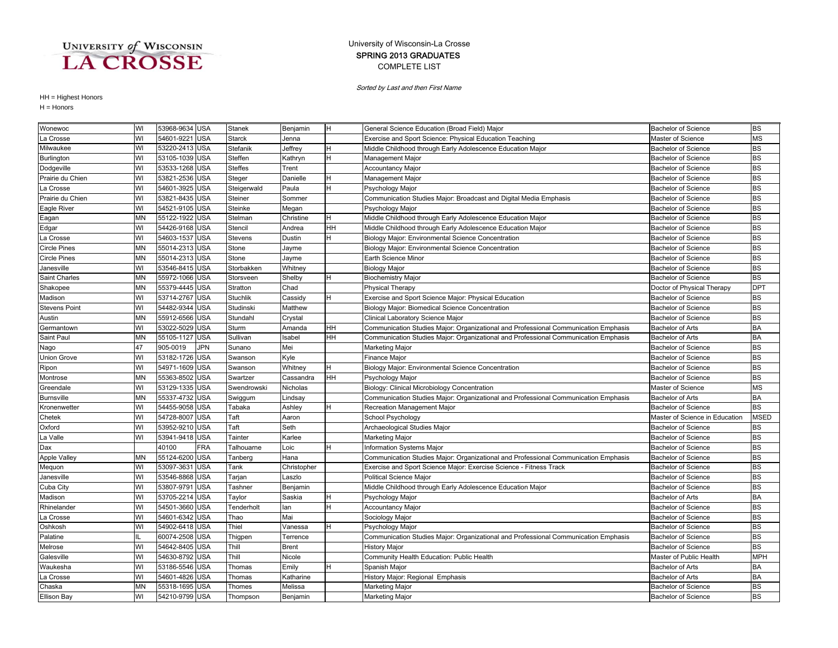### COMPLETE LIST SPRING 2013 GRADUATES University of Wisconsin-La Crosse

Sorted by Last and then First Name

| Wonewoc              | WI        | 53968-9634 USA           | Stanek         | Benjamin                                                                                                       |    | General Science Education (Broad Field) Major                                       | <b>Bachelor of Science</b>     | <b>BS</b>   |
|----------------------|-----------|--------------------------|----------------|----------------------------------------------------------------------------------------------------------------|----|-------------------------------------------------------------------------------------|--------------------------------|-------------|
| La Crosse            | WI        | 54601-9221<br><b>USA</b> | Starck         | Jenna                                                                                                          |    | Exercise and Sport Science: Physical Education Teaching                             | Master of Science              | <b>MS</b>   |
| Milwaukee            | WI        | 53220-2413 USA           | Stefanik       | Jeffrey                                                                                                        |    | Middle Childhood through Early Adolescence Education Major                          | <b>Bachelor of Science</b>     | <b>BS</b>   |
| Burlington           | WI        | 53105-1039 USA           | Steffen        | Kathryn                                                                                                        | н  | Management Major                                                                    | <b>Bachelor of Science</b>     | <b>BS</b>   |
| Dodgeville           | WI        | 53533-1268 USA           | Steffes        | Trent                                                                                                          |    | <b>Accountancy Major</b>                                                            | <b>Bachelor of Science</b>     | <b>BS</b>   |
| Prairie du Chien     | WI        | 53821-2536 USA           | Steger         | Danielle                                                                                                       | н  | Management Major                                                                    | <b>Bachelor of Science</b>     | <b>BS</b>   |
| La Crosse            | WI        | 54601-3925 USA           | Steigerwald    | Paula                                                                                                          | н  | Psychology Major                                                                    | <b>Bachelor of Science</b>     | <b>BS</b>   |
| Prairie du Chien     | WI        | 53821-8435 USA           | Steiner        | Sommer                                                                                                         |    | Communication Studies Major: Broadcast and Digital Media Emphasis                   | <b>Bachelor of Science</b>     | <b>BS</b>   |
| Eagle River          | WI        | 54521-9105 USA           | Steinke        | Megan                                                                                                          |    | Psychology Major                                                                    | <b>Bachelor of Science</b>     | <b>BS</b>   |
| Eagan                | MN        | 55122-1922 USA           | Stelman        | Christine                                                                                                      | н  | Middle Childhood through Early Adolescence Education Major                          | <b>Bachelor of Science</b>     | <b>BS</b>   |
| Edgar                | WI        | 54426-9168 USA           | Stencil        | Andrea                                                                                                         | HН | Middle Childhood through Early Adolescence Education Major                          | <b>Bachelor of Science</b>     | <b>BS</b>   |
| La Crosse            | WI        | 54603-1537 USA           | <b>Stevens</b> | Dustin                                                                                                         | н  | Biology Major: Environmental Science Concentration                                  | <b>Bachelor of Science</b>     | <b>BS</b>   |
| <b>Circle Pines</b>  | MN        | 55014-2313 USA           | Stone          | Jayme                                                                                                          |    | Biology Major: Environmental Science Concentration                                  | <b>Bachelor of Science</b>     | <b>BS</b>   |
| <b>Circle Pines</b>  | MN        | 55014-2313 USA           | Stone          | Jayme                                                                                                          |    | Earth Science Minor                                                                 | <b>Bachelor of Science</b>     | <b>BS</b>   |
| Janesville           | WI        | 53546-8415 USA           | Storbakken     | Whitney                                                                                                        |    | <b>Biology Major</b>                                                                | <b>Bachelor of Science</b>     | <b>BS</b>   |
| <b>Saint Charles</b> | <b>MN</b> | 55972-1066<br><b>USA</b> | Storsveen      | Shelby                                                                                                         |    | <b>Biochemistry Major</b>                                                           | <b>Bachelor of Science</b>     | <b>BS</b>   |
| Shakopee             | MN        | 55379-4445 USA           | Stratton       | Chad                                                                                                           |    | <b>Physical Therapy</b>                                                             | Doctor of Physical Therapy     | <b>DPT</b>  |
| Madison              | WI        | 53714-2767 USA           | Stuchlik       | Cassidy                                                                                                        |    | Exercise and Sport Science Major: Physical Education                                | <b>Bachelor of Science</b>     | <b>BS</b>   |
| <b>Stevens Point</b> | WI        | 54482-9344 USA           | Studinski      | Matthew                                                                                                        |    | Biology Major: Biomedical Science Concentration                                     | <b>Bachelor of Science</b>     | <b>BS</b>   |
| Austin               | <b>MN</b> | 55912-6566 USA           | Stundahl       | Crystal                                                                                                        |    | Clinical Laboratory Science Major                                                   | <b>Bachelor of Science</b>     | <b>BS</b>   |
| Germantown           | WI        | 53022-5029 USA           | Sturm          | Amanda                                                                                                         | HН | Communication Studies Major: Organizational and Professional Communication Emphasis | <b>Bachelor of Arts</b>        | <b>BA</b>   |
| Saint Paul           | MN        | 55105-1127<br><b>USA</b> | Sullivan       | Isabel                                                                                                         | HH | Communication Studies Major: Organizational and Professional Communication Emphasis | <b>Bachelor of Arts</b>        | <b>BA</b>   |
| Nago                 | 47        | 905-0019<br>JPN          | Sunano         | Mei                                                                                                            |    | <b>Marketing Major</b>                                                              | <b>Bachelor of Science</b>     | <b>BS</b>   |
| <b>Union Grove</b>   | WI        | 53182-1726 USA           | Swanson        | <vle< td=""><td></td><td><b>Finance Maior</b></td><td><b>Bachelor of Science</b></td><td><b>BS</b></td></vle<> |    | <b>Finance Maior</b>                                                                | <b>Bachelor of Science</b>     | <b>BS</b>   |
| Ripon                | WI        | 54971-1609 USA           | Swanson        | Whitney                                                                                                        |    | Biology Major: Environmental Science Concentration                                  | <b>Bachelor of Science</b>     | <b>BS</b>   |
| Montrose             | ΜN        | 55363-8502 USA           | Swartzer       | Cassandra                                                                                                      | HН | Psychology Major                                                                    | <b>Bachelor of Science</b>     | <b>BS</b>   |
| Greendale            | WI        | 53129-1335 USA           | Swendrowski    | Nicholas                                                                                                       |    | Biology: Clinical Microbiology Concentration                                        | Master of Science              | <b>MS</b>   |
| <b>Burnsville</b>    | MN        | 55337-4732 USA           | Swiggum        | Lindsay                                                                                                        |    | Communication Studies Major: Organizational and Professional Communication Emphasis | <b>Bachelor of Arts</b>        | <b>BA</b>   |
| Kronenwetter         | WI        | 54455-9058 USA           | Tabaka         | Ashley                                                                                                         | H. | Recreation Management Major                                                         | <b>Bachelor of Science</b>     | <b>BS</b>   |
| Chetek               | WI        | 54728-8007<br><b>USA</b> | Taft           | Aaron                                                                                                          |    | School Psychology                                                                   | Master of Science in Education | <b>MSED</b> |
| Oxford               | WI        | 53952-9210 USA           | Taft           | Seth                                                                                                           |    | Archaeological Studies Major                                                        | <b>Bachelor of Science</b>     | <b>BS</b>   |
| La Valle             | WI        | 53941-9418 USA           | Tainter        | Karlee                                                                                                         |    | <b>Marketing Major</b>                                                              | <b>Bachelor of Science</b>     | <b>BS</b>   |
| Dax                  |           | 40100<br>FRA             | Talhouarne     | Loic                                                                                                           |    | Information Systems Major                                                           | <b>Bachelor of Science</b>     | <b>BS</b>   |
| Apple Valley         | MN        | 55124-6200 USA           | Tanberg        | Hana                                                                                                           |    | Communication Studies Major: Organizational and Professional Communication Emphasis | <b>Bachelor of Science</b>     | <b>BS</b>   |
| Mequon               | WI        | 53097-3631 USA           | Tank           | Christopher                                                                                                    |    | Exercise and Sport Science Major: Exercise Science - Fitness Track                  | <b>Bachelor of Science</b>     | <b>BS</b>   |
| Janesville           | WI        | 53546-8868 USA           | Tarjan         | Laszlo                                                                                                         |    | <b>Political Science Major</b>                                                      | <b>Bachelor of Science</b>     | <b>BS</b>   |
| Cuba City            | WI        | 53807-9791<br><b>USA</b> | Tashner        | Benjamin                                                                                                       |    | Middle Childhood through Early Adolescence Education Major                          | <b>Bachelor of Science</b>     | <b>BS</b>   |
| Madison              | WI        | 53705-2214 USA           | Taylor         | Saskia                                                                                                         | н  | Psychology Major                                                                    | <b>Bachelor of Arts</b>        | <b>BA</b>   |
| Rhinelander          | WI        | 54501-3660 USA           | Tenderholt     | lan                                                                                                            | H. | <b>Accountancy Major</b>                                                            | <b>Bachelor of Science</b>     | <b>BS</b>   |
| La Crosse            | WI        | 54601-6342 USA           | Thao           | Mai                                                                                                            |    | Sociology Major                                                                     | <b>Bachelor of Science</b>     | <b>BS</b>   |
| Oshkosh              | WI        | 54902-6418 USA           | Thiel          | √anessa                                                                                                        |    | Psychology Major                                                                    | <b>Bachelor of Science</b>     | <b>BS</b>   |
| Palatine             |           | 60074-2508 USA           | Thigpen        | Terrence                                                                                                       |    | Communication Studies Major: Organizational and Professional Communication Emphasis | <b>Bachelor of Science</b>     | <b>BS</b>   |
| Melrose              | WI        | 54642-8405 USA           | Thill          | <b>Brent</b>                                                                                                   |    | <b>History Major</b>                                                                | <b>Bachelor of Science</b>     | <b>BS</b>   |
| Galesville           | WI        | 54630-8792 USA           | Thill          | Nicole                                                                                                         |    | Community Health Education: Public Health                                           | Master of Public Health        | <b>MPH</b>  |
| Waukesha             | WI        | 53186-5546 USA           | Thomas         | Emily                                                                                                          | H. | Spanish Major                                                                       | <b>Bachelor of Arts</b>        | <b>BA</b>   |
| La Crosse            | WI        | 54601-4826 USA           | Thomas         | Katharine                                                                                                      |    | History Major: Regional Emphasis                                                    | <b>Bachelor of Arts</b>        | <b>BA</b>   |
| Chaska               | <b>MN</b> | 55318-1695 USA           | Thomes         | Melissa                                                                                                        |    | <b>Marketing Major</b>                                                              | <b>Bachelor of Science</b>     | <b>BS</b>   |
| <b>Ellison Bav</b>   | WI        | 54210-9799 USA           | Thompson       | Beniamin                                                                                                       |    | <b>Marketing Major</b>                                                              | <b>Bachelor of Science</b>     | <b>BS</b>   |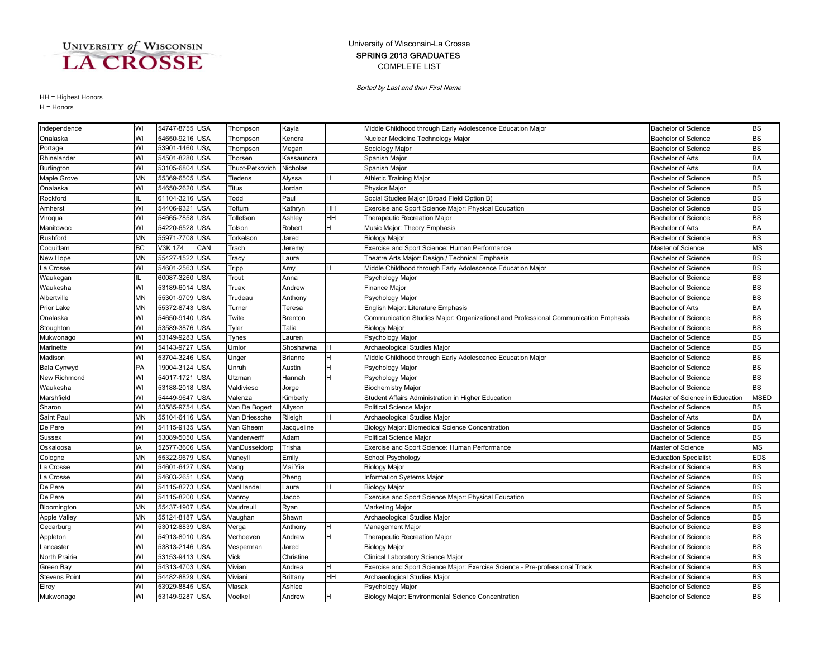#### COMPLETE LIST SPRING 2013 GRADUATES University of Wisconsin-La Crosse

Sorted by Last and then First Name

| Independence         | WI        | 54747-8755 USA |            | Thompson        | Kayla          |    | Middle Childhood through Early Adolescence Education Major                          | <b>Bachelor of Science</b>     | <b>BS</b>   |
|----------------------|-----------|----------------|------------|-----------------|----------------|----|-------------------------------------------------------------------------------------|--------------------------------|-------------|
| Onalaska             | WI        | 54650-9216 USA |            | Thompson        | Kendra         |    | Nuclear Medicine Technology Major                                                   | <b>Bachelor of Science</b>     | <b>BS</b>   |
| Portage              | WI        | 53901-1460 USA |            | Thompson        | Megan          |    | Sociology Major                                                                     | <b>Bachelor of Science</b>     | <b>BS</b>   |
| Rhinelander          | WI        | 54501-8280     | <b>USA</b> | Thorsen         | Kassaundra     |    | Spanish Major                                                                       | <b>Bachelor of Arts</b>        | <b>BA</b>   |
| Burlington           | WI        | 53105-6804     | <b>USA</b> | Thuot-Petkovich | Nicholas       |    | Spanish Major                                                                       | <b>Bachelor of Arts</b>        | <b>BA</b>   |
| Maple Grove          | MN        | 55369-6505 USA |            | Tiedens         | Alyssa         | н  | <b>Athletic Training Major</b>                                                      | Bachelor of Science            | <b>BS</b>   |
| Onalaska             | WI        | 54650-2620     | <b>USA</b> | Titus           | Jordan         |    | Physics Major                                                                       | <b>Bachelor of Science</b>     | <b>BS</b>   |
| Rockford             | IL        | 61104-3216     | <b>USA</b> | Todd            | Paul           |    | Social Studies Major (Broad Field Option B)                                         | <b>Bachelor of Science</b>     | <b>BS</b>   |
| Amherst              | WI        | 54406-9321     | <b>USA</b> | Toftum          | Kathryn        | HH | Exercise and Sport Science Major: Physical Education                                | <b>Bachelor of Science</b>     | <b>BS</b>   |
| Viroqua              | WI        | 54665-7858     | <b>USA</b> | Tollefson       | Ashley         | HH | <b>Therapeutic Recreation Major</b>                                                 | <b>Bachelor of Science</b>     | <b>BS</b>   |
| Manitowoc            | WI        | 54220-6528 USA |            | Tolson          | Robert         | н  | Music Major: Theory Emphasis                                                        | <b>Bachelor of Arts</b>        | <b>BA</b>   |
| Rushford             | <b>MN</b> | 55971-7708 USA |            | Torkelson       | Jared          |    | <b>Biology Major</b>                                                                | <b>Bachelor of Science</b>     | <b>BS</b>   |
| Coquitlam            | <b>BC</b> | V3K 1Z4        | CAN        | Trach           | Jeremy         |    | Exercise and Sport Science: Human Performance                                       | Master of Science              | <b>MS</b>   |
| New Hope             | MN        | 55427-1522     | <b>USA</b> | Tracy           | Laura          |    | Theatre Arts Major: Design / Technical Emphasis                                     | <b>Bachelor of Science</b>     | <b>BS</b>   |
| La Crosse            | WI        | 54601-2563 USA |            | Tripp           | Amy            | H  | Middle Childhood through Early Adolescence Education Major                          | <b>Bachelor of Science</b>     | <b>BS</b>   |
| Waukegan             | IL        | 60087-3260 USA |            | Trout           | Anna           |    | Psychology Major                                                                    | <b>Bachelor of Science</b>     | <b>BS</b>   |
| Waukesha             | WI        | 53189-6014     | <b>USA</b> | Truax           | Andrew         |    | Finance Major                                                                       | Bachelor of Science            | <b>BS</b>   |
| Albertville          | <b>MN</b> | 55301-9709 USA |            | Trudeau         | Anthony        |    | Psychology Major                                                                    | Bachelor of Science            | <b>BS</b>   |
| Prior Lake           | <b>MN</b> | 55372-8743 USA |            | Turner          | Teresa         |    | English Major: Literature Emphasis                                                  | <b>Bachelor of Arts</b>        | <b>BA</b>   |
| Onalaska             | WI        | 54650-9140 USA |            | Twite           | Brenton        |    | Communication Studies Major: Organizational and Professional Communication Emphasis | <b>Bachelor of Science</b>     | <b>BS</b>   |
| Stoughton            | WI        | 53589-3876 USA |            | <b>Tyler</b>    | Talia          |    | <b>Biology Major</b>                                                                | <b>Bachelor of Science</b>     | <b>BS</b>   |
| Mukwonago            | WI        | 53149-9283     | <b>USA</b> | Tynes           | Lauren         |    | Psychology Major                                                                    | <b>Bachelor of Science</b>     | <b>BS</b>   |
| Marinette            | WI        | 54143-9727 USA |            | Umlor           | Shoshawna      | H  | Archaeological Studies Major                                                        | Bachelor of Science            | <b>BS</b>   |
| Madison              | WI        | 53704-3246 USA |            | Unger           | <b>Brianne</b> |    | Middle Childhood through Early Adolescence Education Major                          | <b>Bachelor of Science</b>     | <b>BS</b>   |
| Bala Cynwyd          | PA        | 19004-3124 USA |            | Unruh           | Austin         | н  | Psychology Major                                                                    | <b>Bachelor of Science</b>     | <b>BS</b>   |
| New Richmond         | WI        | 54017-1721     | <b>USA</b> | Utzman          | Hannah         |    | Psychology Major                                                                    | <b>Bachelor of Science</b>     | <b>BS</b>   |
| Waukesha             | WI        | 53188-2018     | <b>USA</b> | Valdivieso      | Jorge          |    | <b>Biochemistry Major</b>                                                           | <b>Bachelor of Science</b>     | <b>BS</b>   |
| Marshfield           | WI        | 54449-9647     | <b>USA</b> | Valenza         | Kimberly       |    | Student Affairs Administration in Higher Education                                  | Master of Science in Education | <b>MSED</b> |
| Sharon               | WI        | 53585-9754     | <b>USA</b> | Van De Bogert   | Allyson        |    | <b>Political Science Major</b>                                                      | <b>Bachelor of Science</b>     | <b>BS</b>   |
| Saint Paul           | <b>MN</b> | 55104-6416 USA |            | Van Driessche   | Rileigh        |    | Archaeological Studies Major                                                        | <b>Bachelor of Arts</b>        | <b>BA</b>   |
| De Pere              | WI        | 54115-9135 USA |            | Van Gheem       | Jacqueline     |    | Biology Major: Biomedical Science Concentration                                     | <b>Bachelor of Science</b>     | <b>BS</b>   |
| Sussex               | WI        | 53089-5050 USA |            | Vanderwerff     | Adam           |    | <b>Political Science Major</b>                                                      | <b>Bachelor of Science</b>     | <b>BS</b>   |
| Oskaloosa            | IA        | 52577-3606 USA |            | VanDusseldorp   | Trisha         |    | Exercise and Sport Science: Human Performance                                       | Master of Science              | <b>MS</b>   |
| Cologne              | <b>MN</b> | 55322-9679 USA |            | Vaneyll         | Emily          |    | School Psychology                                                                   | <b>Education Specialist</b>    | <b>EDS</b>  |
| La Crosse            | WI        | 54601-6427     | <b>USA</b> | Vang            | Mai Yia        |    | <b>Biology Major</b>                                                                | <b>Bachelor of Science</b>     | <b>BS</b>   |
| La Crosse            | WI        | 54603-2651     | <b>USA</b> | Vang            | Pheng          |    | Information Systems Major                                                           | <b>Bachelor of Science</b>     | <b>BS</b>   |
| De Pere              | WI        | 54115-8273     | <b>USA</b> | VanHandel       | Laura          | н  | <b>Biology Major</b>                                                                | <b>Bachelor of Science</b>     | <b>BS</b>   |
| De Pere              | WI        | 54115-8200     | <b>USA</b> | Vanroy          | Jacob          |    | Exercise and Sport Science Major: Physical Education                                | <b>Bachelor of Science</b>     | <b>BS</b>   |
| Bloomington          | <b>MN</b> | 55437-1907     | <b>USA</b> | Vaudreuil       | Ryan           |    | Marketing Major                                                                     | <b>Bachelor of Science</b>     | <b>BS</b>   |
| <b>Apple Valley</b>  | <b>MN</b> | 55124-8187 USA |            | Vaughan         | Shawn          |    | Archaeological Studies Major                                                        | Bachelor of Science            | <b>BS</b>   |
| Cedarburg            | WI        | 53012-8839 USA |            | Verga           | Anthony        | H  | Management Major                                                                    | <b>Bachelor of Science</b>     | <b>BS</b>   |
| Appleton             | WI        | 54913-8010 USA |            | Verhoeven       | Andrew         | н  | Therapeutic Recreation Major                                                        | Bachelor of Science            | <b>BS</b>   |
| Lancaster            | WI        | 53813-2146 USA |            | Vesperman       | Jared          |    | <b>Biology Major</b>                                                                | Bachelor of Science            | <b>BS</b>   |
| North Prairie        | WI        | 53153-9413     | <b>USA</b> | Vick            | Christine      |    | Clinical Laboratory Science Major                                                   | <b>Bachelor of Science</b>     | <b>BS</b>   |
| Green Bay            | WI        | 54313-4703     | <b>USA</b> | Vivian          | Andrea         | H  | Exercise and Sport Science Major: Exercise Science - Pre-professional Track         | <b>Bachelor of Science</b>     | <b>BS</b>   |
| <b>Stevens Point</b> | WI        | 54482-8829     | <b>USA</b> | Viviani         | Brittany       | HH | Archaeological Studies Major                                                        | <b>Bachelor of Science</b>     | <b>BS</b>   |
| Elroy                | WI        | 53929-8845     | <b>USA</b> | Vlasak          | Ashlee         |    | Psychology Major                                                                    | <b>Bachelor of Science</b>     | <b>BS</b>   |
| Mukwonago            | WI        | 53149-9287 USA |            | Voelkel         | Andrew         | H  | Biology Major: Environmental Science Concentration                                  | <b>Bachelor of Science</b>     | <b>BS</b>   |
|                      |           |                |            |                 |                |    |                                                                                     |                                |             |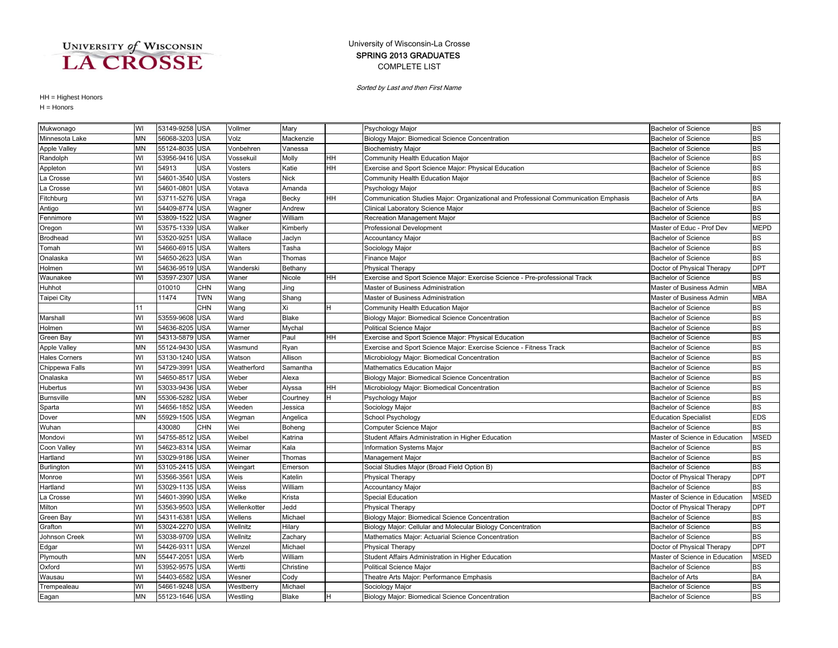#### COMPLETE LIST SPRING 2013 GRADUATES University of Wisconsin-La Crosse

Sorted by Last and then First Name

| Mukwonago            | WI        | 53149-9258 USA |            | Vollmer      | Mary        |    | Psychology Major                                                                    | <b>Bachelor of Science</b>     | <b>BS</b>   |
|----------------------|-----------|----------------|------------|--------------|-------------|----|-------------------------------------------------------------------------------------|--------------------------------|-------------|
| Minnesota Lake       | <b>MN</b> | 56068-3203     | <b>USA</b> | Volz         | Mackenzie   |    | Biology Major: Biomedical Science Concentration                                     | <b>Bachelor of Science</b>     | <b>BS</b>   |
| <b>Apple Valley</b>  | <b>MN</b> | 55124-8035     | <b>USA</b> | Vonbehren    | √anessa     |    | <b>Biochemistry Major</b>                                                           | Bachelor of Science            | <b>BS</b>   |
| Randolph             | WI        | 53956-9416     | <b>USA</b> | Vossekuil    | Molly       | HН | Community Health Education Major                                                    | <b>Bachelor of Science</b>     | <b>BS</b>   |
| Appleton             | WI        | 54913          | <b>USA</b> | Vosters      | Katie       | HН | Exercise and Sport Science Major: Physical Education                                | <b>Bachelor of Science</b>     | <b>BS</b>   |
| a Crosse.            | WI        | 54601-3540 USA |            | Vosters      | <b>Nick</b> |    | Community Health Education Major                                                    | <b>Bachelor of Science</b>     | <b>BS</b>   |
| La Crosse            | WI        | 54601-0801     | <b>USA</b> | Votava       | Amanda      |    | Psychology Major                                                                    | <b>Bachelor of Science</b>     | <b>BS</b>   |
| Fitchburg            | WI        | 53711-5276 USA |            | Vraga        | Becky       | HH | Communication Studies Major: Organizational and Professional Communication Emphasis | <b>Bachelor of Arts</b>        | <b>BA</b>   |
| Antigo               | WI        | 54409-8774     | <b>USA</b> | Wagner       | Andrew      |    | Clinical Laboratory Science Major                                                   | <b>Bachelor of Science</b>     | <b>BS</b>   |
| Fennimore            | WI        | 53809-1522     | <b>USA</b> | Wagner       | William     |    | Recreation Management Major                                                         | <b>Bachelor of Science</b>     | <b>BS</b>   |
| Oregon               | WI        | 53575-1339     | <b>USA</b> | Walker       | Kimberly    |    | <b>Professional Development</b>                                                     | Master of Educ - Prof Dev      | <b>MEPD</b> |
| <b>Brodhead</b>      | WI        | 53520-925      | USA        | Wallace      | Jaclyn      |    | <b>Accountancy Major</b>                                                            | <b>Bachelor of Science</b>     | <b>BS</b>   |
| Tomah                | WI        | 54660-6915     | <b>USA</b> | Walters      | Tasha       |    | Sociology Major                                                                     | <b>Bachelor of Science</b>     | <b>BS</b>   |
| Onalaska             | WI        | 54650-2623     | <b>USA</b> | Wan          | Thomas      |    | Finance Major                                                                       | <b>Bachelor of Science</b>     | <b>BS</b>   |
| Holmen               | WI        | 54636-9519     | <b>USA</b> | Wanderski    | Bethany     |    | Physical Therapy                                                                    | Doctor of Physical Therapy     | <b>DPT</b>  |
| Waunakee             | WI        | 53597-2307     | <b>USA</b> | Waner        | Nicole      | HН | Exercise and Sport Science Major: Exercise Science - Pre-professional Track         | <b>Bachelor of Science</b>     | <b>BS</b>   |
| Huhhot               |           | 010010         | <b>CHN</b> | Wang         | Jing        |    | Master of Business Administration                                                   | Master of Business Admin       | <b>MBA</b>  |
| <b>Taipei City</b>   |           | 11474          | <b>TWN</b> | Wang         | Shang       |    | Master of Business Administration                                                   | Master of Business Admin       | <b>MBA</b>  |
|                      | 11        |                | CHN        | Wang         | Xi          | H  | Community Health Education Major                                                    | <b>Bachelor of Science</b>     | <b>BS</b>   |
| Marshall             | WI        | 53559-960      | <b>USA</b> | Ward         | Blake       |    | Biology Major: Biomedical Science Concentration                                     | <b>Bachelor of Science</b>     | <b>BS</b>   |
| Holmen               | WI        | 54636-8205     | <b>USA</b> | Warner       | Mychal      |    | <b>Political Science Major</b>                                                      | Bachelor of Science            | <b>BS</b>   |
| Green Bay            | WI        | 54313-5879     | <b>USA</b> | Warner       | Paul        | HН | Exercise and Sport Science Major: Physical Education                                | <b>Bachelor of Science</b>     | <b>BS</b>   |
| Apple Valley         | <b>MN</b> | 55124-9430 USA |            | Wasmund      | Ryan        |    | Exercise and Sport Science Major: Exercise Science - Fitness Track                  | <b>Bachelor of Science</b>     | <b>BS</b>   |
| <b>Hales Corners</b> | WI        | 53130-1240 USA |            | Watson       | Allison     |    | Microbiology Major: Biomedical Concentration                                        | <b>Bachelor of Science</b>     | <b>BS</b>   |
| Chippewa Falls       | WI        | 54729-3991     | USA        | Weatherford  | Samantha    |    | Mathematics Education Major                                                         | Bachelor of Science            | <b>BS</b>   |
| Onalaska             | WI        | 54650-8517     | <b>USA</b> | Weber        | Alexa       |    | Biology Major: Biomedical Science Concentration                                     | <b>Bachelor of Science</b>     | <b>BS</b>   |
| Hubertus             | WI        | 53033-9436     | <b>USA</b> | Weber        | Alyssa      | HН | Microbiology Major: Biomedical Concentration                                        | <b>Bachelor of Science</b>     | <b>BS</b>   |
| <b>Burnsville</b>    | <b>MN</b> | 55306-5282     | <b>USA</b> | Weber        | Courtney    | н  | Psychology Major                                                                    | <b>Bachelor of Science</b>     | <b>BS</b>   |
| Sparta               | WI        | 54656-1852     | <b>USA</b> | Weeden       | Jessica     |    | Sociology Major                                                                     | <b>Bachelor of Science</b>     | <b>BS</b>   |
| Dover                | ΜN        | 55929-1505     | <b>USA</b> | Wegman       | Angelica    |    | School Psychology                                                                   | Education Specialist           | <b>EDS</b>  |
| Wuhan                |           | 430080         | <b>CHN</b> | Wei          | Boheng      |    | Computer Science Major                                                              | <b>Bachelor of Science</b>     | <b>BS</b>   |
| Mondovi              | WI        | 54755-8512 USA |            | Weibel       | Katrina     |    | Student Affairs Administration in Higher Education                                  | Master of Science in Education | <b>MSED</b> |
| Coon Valley          | WI        | 54623-8314     | <b>USA</b> | Weimar       | Kala        |    | <b>Information Systems Major</b>                                                    | <b>Bachelor of Science</b>     | <b>BS</b>   |
| Hartland             | WI        | 53029-9186     | <b>USA</b> | Weiner       | Thomas      |    | Management Major                                                                    | <b>Bachelor of Science</b>     | <b>BS</b>   |
| Burlington           | WI        | 53105-2415     | <b>USA</b> | Weingart     | Emerson     |    | Social Studies Major (Broad Field Option B)                                         | <b>Bachelor of Science</b>     | <b>BS</b>   |
| Monroe               | WI        | 53566-3561     | <b>USA</b> | Weis         | Katelin     |    | <b>Physical Therapy</b>                                                             | Doctor of Physical Therapy     | <b>DPT</b>  |
| Hartland             | WI        | 53029-1135     | <b>USA</b> | Weiss        | William     |    | <b>Accountancy Major</b>                                                            | <b>Bachelor of Science</b>     | <b>BS</b>   |
| La Crosse            | WI        | 54601-3990     | <b>USA</b> | Welke        | Krista      |    | Special Education                                                                   | Master of Science in Education | <b>MSED</b> |
| Milton               | WI        | 53563-9503     | <b>USA</b> | Wellenkotter | Jedd        |    | <b>Physical Therapy</b>                                                             | Doctor of Physical Therapy     | DPT         |
| Green Bay            | WI        | 54311-6381     | <b>USA</b> | Wellens      | Michael     |    | Biology Major: Biomedical Science Concentration                                     | <b>Bachelor of Science</b>     | <b>BS</b>   |
| Grafton              | WI        | 53024-2270 USA |            | Wellnitz     | Hilary      |    | Biology Major: Cellular and Molecular Biology Concentration                         | <b>Bachelor of Science</b>     | <b>BS</b>   |
| Johnson Creek        | WI        | 53038-9709     | <b>USA</b> | Wellnitz     | Zachary     |    | Mathematics Major: Actuarial Science Concentration                                  | <b>Bachelor of Science</b>     | <b>BS</b>   |
| Edgar                | WI        | 54426-931      | <b>USA</b> | Wenzel       | Michael     |    | <b>Physical Therapy</b>                                                             | Doctor of Physical Therapy     | <b>DPT</b>  |
| Plymouth             | <b>MN</b> | 55447-205      | <b>USA</b> | Werb         | William     |    | Student Affairs Administration in Higher Education                                  | Master of Science in Education | <b>MSED</b> |
| Oxford               | WI        | 53952-9575     | <b>USA</b> | Wertti       | Christine   |    | Political Science Major                                                             | <b>Bachelor of Science</b>     | <b>BS</b>   |
| Wausau               | WI        | 54403-6582     | <b>USA</b> | Wesner       | Cody        |    | Theatre Arts Major: Performance Emphasis                                            | <b>Bachelor of Arts</b>        | <b>BA</b>   |
| Trempealeau          | WI        | 54661-9248     | <b>USA</b> | Westberry    | Michael     |    | Sociology Major                                                                     | <b>Bachelor of Science</b>     | <b>BS</b>   |
| Eagan                | <b>MN</b> | 55123-1646 USA |            | Westling     | Blake       | н  | Biology Major: Biomedical Science Concentration                                     | <b>Bachelor of Science</b>     | <b>BS</b>   |
|                      |           |                |            |              |             |    |                                                                                     |                                |             |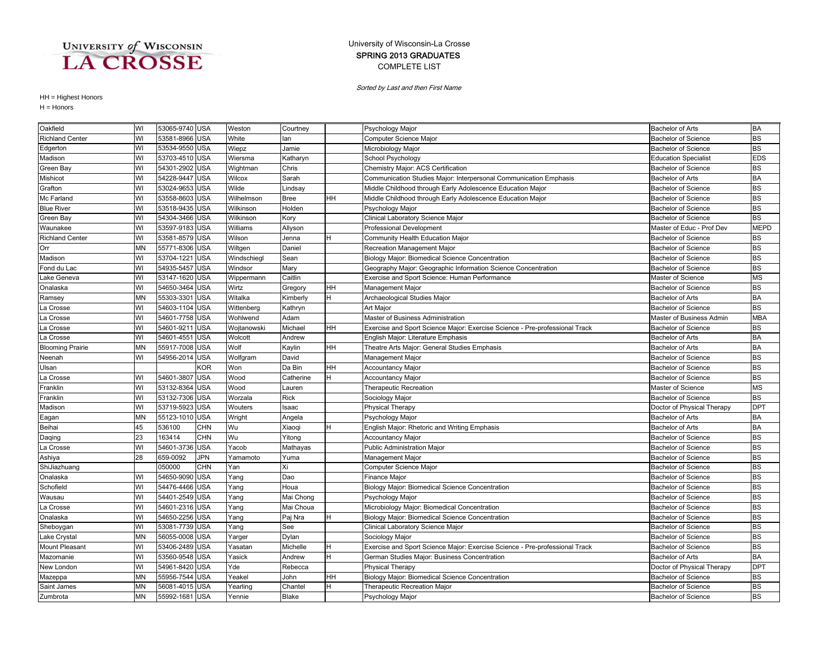### COMPLETE LIST SPRING 2013 GRADUATES University of Wisconsin-La Crosse

Sorted by Last and then First Name

| Oakfield                | WI        | 53065-9740 USA |            | Weston      | Courtney     |           | Psychology Major                                                            | <b>Bachelor of Arts</b>     | <b>BA</b>   |
|-------------------------|-----------|----------------|------------|-------------|--------------|-----------|-----------------------------------------------------------------------------|-----------------------------|-------------|
| <b>Richland Center</b>  | WI        | 53581-8966 USA |            | White       | lan          |           | Computer Science Major                                                      | <b>Bachelor of Science</b>  | <b>BS</b>   |
| Edgerton                | WI        | 53534-9550 USA |            | Wiepz       | Jamie        |           | Microbiology Major                                                          | <b>Bachelor of Science</b>  | <b>BS</b>   |
| Madison                 | WI        | 53703-4510 USA |            | Wiersma     | Katharyn     |           | School Psychology                                                           | <b>Education Specialist</b> | <b>EDS</b>  |
| Green Bay               | WI        | 54301-2902 USA |            | Wightman    | Chris        |           | Chemistry Major: ACS Certification                                          | <b>Bachelor of Science</b>  | <b>BS</b>   |
| Mishicot                | WI        | 54228-9447     | <b>USA</b> | Wilcox      | Sarah        |           | Communication Studies Major: Interpersonal Communication Emphasis           | <b>Bachelor of Arts</b>     | <b>BA</b>   |
| Grafton                 | WI        | 53024-9653     | <b>USA</b> | Wilde       | Lindsay      |           | Middle Childhood through Early Adolescence Education Major                  | <b>Bachelor of Science</b>  | <b>BS</b>   |
| Mc Farland              | WI        | 53558-8603     | <b>USA</b> | Wilhelmson  | <b>Bree</b>  | <b>HH</b> | Middle Childhood through Early Adolescence Education Major                  | <b>Bachelor of Science</b>  | <b>BS</b>   |
| <b>Blue River</b>       | WI        | 53518-9435 USA |            | Wilkinson   | Holden       |           | Psychology Major                                                            | <b>Bachelor of Science</b>  | <b>BS</b>   |
| Green Bay               | WI        | 54304-3466 USA |            | Wilkinson   | Kory         |           | Clinical Laboratory Science Major                                           | <b>Bachelor of Science</b>  | <b>BS</b>   |
| Waunakee                | WI        | 53597-9183 USA |            | Williams    | Allyson      |           | Professional Development                                                    | Master of Educ - Prof Dev   | <b>MEPD</b> |
| <b>Richland Center</b>  | WI        | 53581-8579 USA |            | Wilson      | Jenna        | H         | Community Health Education Major                                            | <b>Bachelor of Science</b>  | <b>BS</b>   |
| Orr                     | <b>MN</b> | 55771-8306 USA |            | Wiltgen     | Daniel       |           | Recreation Management Major                                                 | <b>Bachelor of Science</b>  | <b>BS</b>   |
| Madison                 | WI        | 53704-1221     | <b>USA</b> | Windschiegl | Sean         |           | Biology Major: Biomedical Science Concentration                             | <b>Bachelor of Science</b>  | <b>BS</b>   |
| Fond du Lac             | WI        | 54935-5457 USA |            | Windsor     | Mary         |           | Geography Major: Geographic Information Science Concentration               | <b>Bachelor of Science</b>  | <b>BS</b>   |
| Lake Geneva             | WI        | 53147-1620 USA |            | Wippermann  | Caitlin      |           | Exercise and Sport Science: Human Performance                               | Master of Science           | <b>MS</b>   |
| Onalaska                | WI        | 54650-3464     | <b>USA</b> | Wirtz       | Gregory      | HН        | Management Major                                                            | Bachelor of Science         | <b>BS</b>   |
| Ramsey                  | MN        | 55303-3301     | <b>USA</b> | Witalka     | Kimberly     | н         | Archaeological Studies Major                                                | <b>Bachelor of Arts</b>     | <b>BA</b>   |
| La Crosse               | WI        | 54603-1104 USA |            | Wittenberg  | Kathryn      |           | Art Major                                                                   | <b>Bachelor of Science</b>  | <b>BS</b>   |
| La Crosse               | WI        | 54601-7758 USA |            | Wohlwend    | Adam         |           | Master of Business Administration                                           | Master of Business Admin    | <b>MBA</b>  |
| La Crosse               | WI        | 54601-9211     | <b>USA</b> | Wojtanowski | Michael      | <b>HH</b> | Exercise and Sport Science Major: Exercise Science - Pre-professional Track | <b>Bachelor of Science</b>  | <b>BS</b>   |
| La Crosse               | WI        | 54601-4551     | <b>USA</b> | Wolcott     | Andrew       |           | English Major: Literature Emphasis                                          | <b>Bachelor of Arts</b>     | <b>BA</b>   |
| <b>Blooming Prairie</b> | <b>MN</b> | 55917-7008 USA |            | Wolf        | Kaylin       | <b>HH</b> | Theatre Arts Major: General Studies Emphasis                                | Bachelor of Arts            | <b>BA</b>   |
| Neenah                  | WI        | 54956-2014     | <b>USA</b> | Wolfgram    | David        |           | <b>Management Major</b>                                                     | <b>Bachelor of Science</b>  | <b>BS</b>   |
| Ulsan                   |           |                | KOR        | Won         | Da Bin       | HH        | Accountancy Major                                                           | <b>Bachelor of Science</b>  | <b>BS</b>   |
| La Crosse               | WI        | 54601-3807     | <b>USA</b> | Wood        | Catherine    | H         | Accountancy Major                                                           | Bachelor of Science         | <b>BS</b>   |
| Franklin                | WI        | 53132-8364 USA |            | Wood        | Lauren       |           | Therapeutic Recreation                                                      | Master of Science           | <b>MS</b>   |
| Franklin                | WI        | 53132-7306 USA |            | Worzala     | <b>Rick</b>  |           | Sociology Major                                                             | <b>Bachelor of Science</b>  | <b>BS</b>   |
| Madison                 | WI        | 53719-5923     | <b>USA</b> | Wouters     | Isaac        |           | Physical Therapy                                                            | Doctor of Physical Therapy  | <b>DPT</b>  |
| Eagan                   | MN        | 55123-1010     | <b>USA</b> | Wright      | Angela       |           | Psychology Major                                                            | <b>Bachelor of Arts</b>     | <b>BA</b>   |
| Beihai                  | 45        | 536100         | <b>CHN</b> | Wu          | Xiaoqi       | H.        | English Major: Rhetoric and Writing Emphasis                                | <b>Bachelor of Arts</b>     | <b>BA</b>   |
| Daqing                  | 23        | 163414         | <b>CHN</b> | Wu          | Yitong       |           | <b>Accountancy Major</b>                                                    | <b>Bachelor of Science</b>  | <b>BS</b>   |
| La Crosse               | WI        | 54601-3736 USA |            | Yacob       | Mathayas     |           | <b>Public Administration Major</b>                                          | <b>Bachelor of Science</b>  | <b>BS</b>   |
| Ashiya                  | 28        | 659-0092       | JPN        | Yamamoto    | Yuma         |           | Management Major                                                            | <b>Bachelor of Science</b>  | <b>BS</b>   |
| ShiJiazhuang            |           | 050000         | <b>CHN</b> | Yan         | Xi           |           | Computer Science Major                                                      | <b>Bachelor of Science</b>  | <b>BS</b>   |
| Onalaska                | WI        | 54650-9090 USA |            | Yang        | Dao          |           | Finance Major                                                               | <b>Bachelor of Science</b>  | <b>BS</b>   |
| Schofield               | WI        | 54476-4466 USA |            | Yang        | Houa         |           | Biology Major: Biomedical Science Concentration                             | <b>Bachelor of Science</b>  | <b>BS</b>   |
| Wausau                  | WI        | 54401-2549 USA |            | Yang        | Mai Chong    |           | Psychology Major                                                            | <b>Bachelor of Science</b>  | <b>BS</b>   |
| La Crosse               | WI        | 54601-2316 USA |            | Yang        | Mai Choua    |           | Microbiology Major: Biomedical Concentration                                | <b>Bachelor of Science</b>  | <b>BS</b>   |
| Onalaska                | WI        | 54650-2256 USA |            | Yang        | Paj Nra      |           | Biology Major: Biomedical Science Concentration                             | <b>Bachelor of Science</b>  | <b>BS</b>   |
| Sheboygan               | WI        | 53081-7739 USA |            | Yang        | See          |           | Clinical Laboratory Science Major                                           | <b>Bachelor of Science</b>  | <b>BS</b>   |
| Lake Crystal            | MN        | 56055-0008 USA |            | Yarger      | Dylan        |           | Sociology Major                                                             | <b>Bachelor of Science</b>  | <b>BS</b>   |
| Mount Pleasant          | WI        | 53406-2489 USA |            | Yasatan     | Michelle     | H         | Exercise and Sport Science Major: Exercise Science - Pre-professional Track | <b>Bachelor of Science</b>  | <b>BS</b>   |
| Mazomanie               | WI        | 53560-9548 USA |            | Yasick      | Andrew       | H.        | German Studies Major: Business Concentration                                | Bachelor of Arts            | <b>BA</b>   |
| New London              | WI        | 54961-8420 USA |            | Yde         | Rebecca      |           | <b>Physical Therapy</b>                                                     | Doctor of Physical Therapy  | <b>DPT</b>  |
| Mazeppa                 | MN        | 55956-7544 USA |            | Yeakel      | John         | HH        | Biology Major: Biomedical Science Concentration                             | <b>Bachelor of Science</b>  | <b>BS</b>   |
| Saint James             | <b>MN</b> | 56081-4015 USA |            | Yearling    | Chantel      | H.        | Therapeutic Recreation Major                                                | <b>Bachelor of Science</b>  | <b>BS</b>   |
| Zumbrota                | <b>MN</b> | 55992-1681 USA |            | Yennie      | <b>Blake</b> |           | Psychology Major                                                            | <b>Bachelor of Science</b>  | <b>BS</b>   |